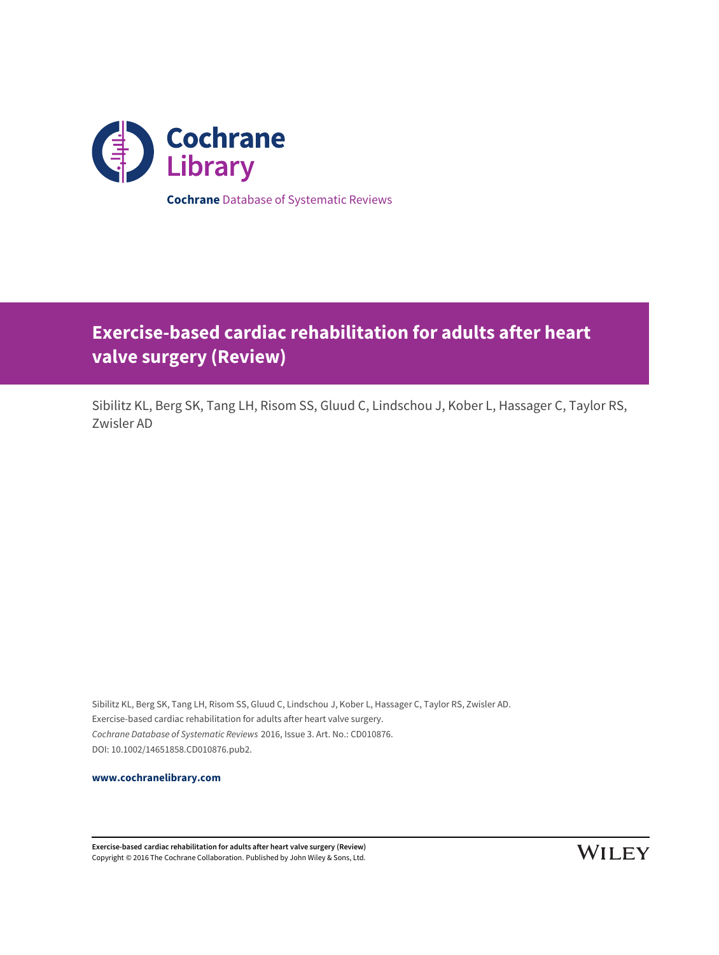

# **Exercise-based cardiac rehabilitation for adults after heart valve surgery (Review)**

Sibilitz KL, Berg SK, Tang LH, Risom SS, Gluud C, Lindschou J, Kober L, Hassager C, Taylor RS, Zwisler AD

Sibilitz KL, Berg SK, Tang LH, Risom SS, Gluud C, Lindschou J, Kober L, Hassager C, Taylor RS, Zwisler AD. Exercise-based cardiac rehabilitation for adults after heart valve surgery. Cochrane Database of Systematic Reviews 2016, Issue 3. Art. No.: CD010876. DOI: 10.1002/14651858.CD010876.pub2.

**[www.cochranelibrary.com](http://www.cochranelibrary.com)**

**Exercise-based cardiac rehabilitation for adults after heart valve surgery (Review)** Copyright © 2016 The Cochrane Collaboration. Published by John Wiley & Sons, Ltd.

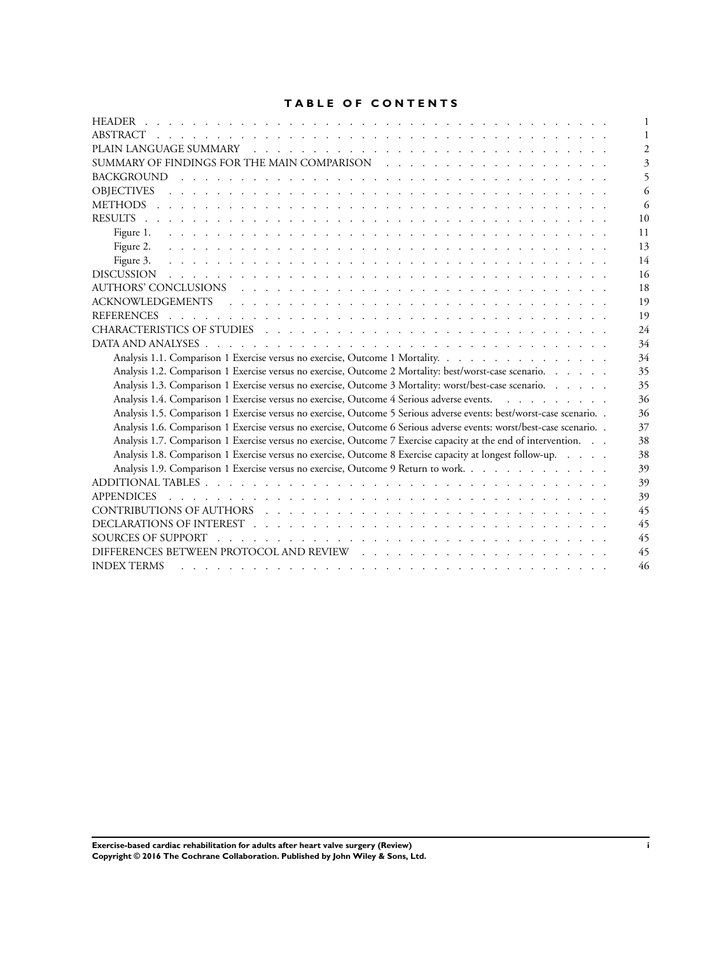# **TABLE OF CONTENTS**

| <b>HEADER</b>                                                                                                                                                                                                                                                    |
|------------------------------------------------------------------------------------------------------------------------------------------------------------------------------------------------------------------------------------------------------------------|
| ABSTRACT<br>والمتعاونة والمتعاونة والمتعاونة والمتعاونة والمتعاونة والمتعاونة والمتعاونة والمتعاونة والمتعاونة والمتعاونة                                                                                                                                        |
|                                                                                                                                                                                                                                                                  |
|                                                                                                                                                                                                                                                                  |
|                                                                                                                                                                                                                                                                  |
| <b>OBJECTIVES</b><br><u>. In the second contract of the second contract of the second contract of the second contract of the second contract of the second contract of the second contract of the second contract of the second contract of the secon</u>        |
| 6                                                                                                                                                                                                                                                                |
| 10                                                                                                                                                                                                                                                               |
| 11                                                                                                                                                                                                                                                               |
| 13                                                                                                                                                                                                                                                               |
| 14                                                                                                                                                                                                                                                               |
| 16                                                                                                                                                                                                                                                               |
| 18                                                                                                                                                                                                                                                               |
| 19                                                                                                                                                                                                                                                               |
| <b>REFERENCES</b><br>19                                                                                                                                                                                                                                          |
| 24                                                                                                                                                                                                                                                               |
| 34                                                                                                                                                                                                                                                               |
| Analysis 1.1. Comparison 1 Exercise versus no exercise, Outcome 1 Mortality.<br>34                                                                                                                                                                               |
| Analysis 1.2. Comparison 1 Exercise versus no exercise, Outcome 2 Mortality: best/worst-case scenario.<br>35                                                                                                                                                     |
| Analysis 1.3. Comparison 1 Exercise versus no exercise, Outcome 3 Mortality: worst/best-case scenario.<br>35                                                                                                                                                     |
| Analysis 1.4. Comparison 1 Exercise versus no exercise, Outcome 4 Serious adverse events.<br>36                                                                                                                                                                  |
| Analysis 1.5. Comparison 1 Exercise versus no exercise, Outcome 5 Serious adverse events: best/worst-case scenario. .<br>36                                                                                                                                      |
| Analysis 1.6. Comparison 1 Exercise versus no exercise, Outcome 6 Serious adverse events: worst/best-case scenario. .<br>37                                                                                                                                      |
| Analysis 1.7. Comparison 1 Exercise versus no exercise, Outcome 7 Exercise capacity at the end of intervention.<br>38                                                                                                                                            |
| Analysis 1.8. Comparison 1 Exercise versus no exercise, Outcome 8 Exercise capacity at longest follow-up.<br>38                                                                                                                                                  |
| Analysis 1.9. Comparison 1 Exercise versus no exercise, Outcome 9 Return to work.<br>39                                                                                                                                                                          |
| 39                                                                                                                                                                                                                                                               |
| <b>APPENDICES</b><br>39                                                                                                                                                                                                                                          |
| 45                                                                                                                                                                                                                                                               |
| 45                                                                                                                                                                                                                                                               |
| <b>SOURCES OF SUPPORT</b><br>45<br>and a construction of the construction of the construction of the construction of the construction of the construction of the construction of the construction of the construction of the construction of the construction of |
| 45                                                                                                                                                                                                                                                               |
| <b>INDEX TERMS</b><br>46                                                                                                                                                                                                                                         |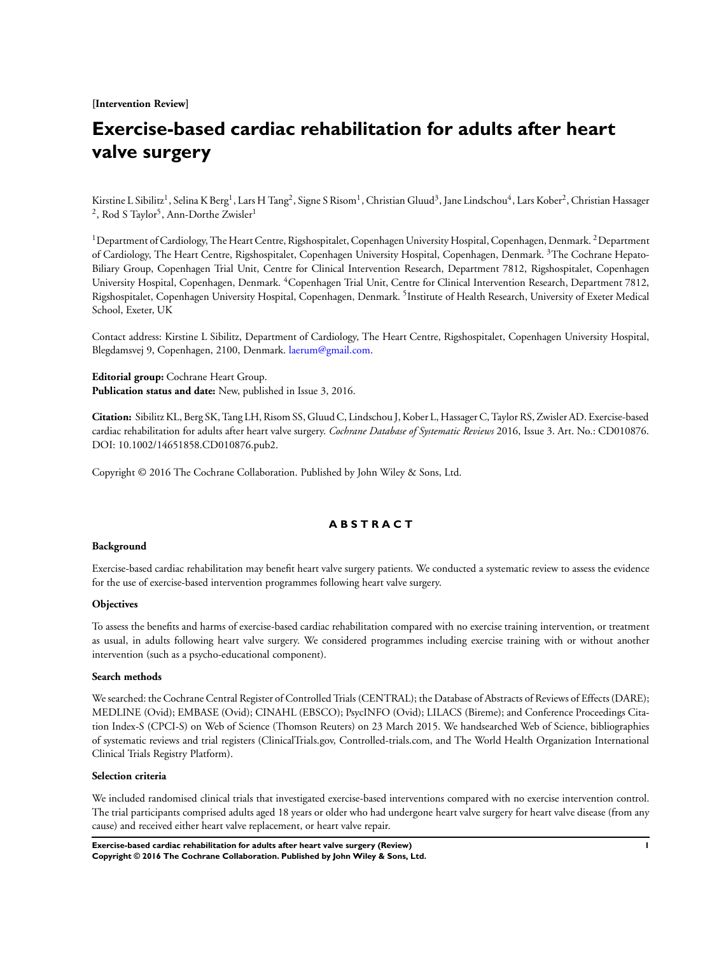**[Intervention Review]**

# **Exercise-based cardiac rehabilitation for adults after heart valve surgery**

Kirstine L Sibilitz<sup>1</sup>, Selina K Berg<sup>1</sup>, Lars H Tang<sup>2</sup>, Signe S Risom<sup>1</sup>, Christian Gluud<sup>3</sup>, Jane Lindschou<sup>4</sup>, Lars Kober<sup>2</sup>, Christian Hassager  $^2$ , Rod S Taylor<sup>5</sup>, Ann-Dorthe Zwisler $^1$ 

<sup>1</sup>Department of Cardiology, The Heart Centre, Rigshospitalet, Copenhagen University Hospital, Copenhagen, Denmark. <sup>2</sup>Department of Cardiology, The Heart Centre, Rigshospitalet, Copenhagen University Hospital, Copenhagen, Denmark. <sup>3</sup>The Cochrane Hepato-Biliary Group, Copenhagen Trial Unit, Centre for Clinical Intervention Research, Department 7812, Rigshospitalet, Copenhagen University Hospital, Copenhagen, Denmark. <sup>4</sup>Copenhagen Trial Unit, Centre for Clinical Intervention Research, Department 7812, Rigshospitalet, Copenhagen University Hospital, Copenhagen, Denmark. <sup>5</sup>Institute of Health Research, University of Exeter Medical School, Exeter, UK

Contact address: Kirstine L Sibilitz, Department of Cardiology, The Heart Centre, Rigshospitalet, Copenhagen University Hospital, Blegdamsvej 9, Copenhagen, 2100, Denmark. [laerum@gmail.com.](mailto:laerum@gmail.com)

**Editorial group:** Cochrane Heart Group. **Publication status and date:** New, published in Issue 3, 2016.

**Citation:** Sibilitz KL, Berg SK, Tang LH, Risom SS, Gluud C, Lindschou J, Kober L, Hassager C, Taylor RS, Zwisler AD. Exercise-based cardiac rehabilitation for adults after heart valve surgery. *Cochrane Database of Systematic Reviews* 2016, Issue 3. Art. No.: CD010876. DOI: 10.1002/14651858.CD010876.pub2.

Copyright © 2016 The Cochrane Collaboration. Published by John Wiley & Sons, Ltd.

## **A B S T R A C T**

## **Background**

Exercise-based cardiac rehabilitation may benefit heart valve surgery patients. We conducted a systematic review to assess the evidence for the use of exercise-based intervention programmes following heart valve surgery.

## **Objectives**

To assess the benefits and harms of exercise-based cardiac rehabilitation compared with no exercise training intervention, or treatment as usual, in adults following heart valve surgery. We considered programmes including exercise training with or without another intervention (such as a psycho-educational component).

#### **Search methods**

We searched: the Cochrane Central Register of Controlled Trials (CENTRAL); the Database of Abstracts of Reviews of Effects (DARE); MEDLINE (Ovid); EMBASE (Ovid); CINAHL (EBSCO); PsycINFO (Ovid); LILACS (Bireme); and Conference Proceedings Citation Index-S (CPCI-S) on Web of Science (Thomson Reuters) on 23 March 2015. We handsearched Web of Science, bibliographies of systematic reviews and trial registers (ClinicalTrials.gov, Controlled-trials.com, and The World Health Organization International Clinical Trials Registry Platform).

#### **Selection criteria**

We included randomised clinical trials that investigated exercise-based interventions compared with no exercise intervention control. The trial participants comprised adults aged 18 years or older who had undergone heart valve surgery for heart valve disease (from any cause) and received either heart valve replacement, or heart valve repair.

**Exercise-based cardiac rehabilitation for adults after heart valve surgery (Review) 1 Copyright © 2016 The Cochrane Collaboration. Published by John Wiley & Sons, Ltd.**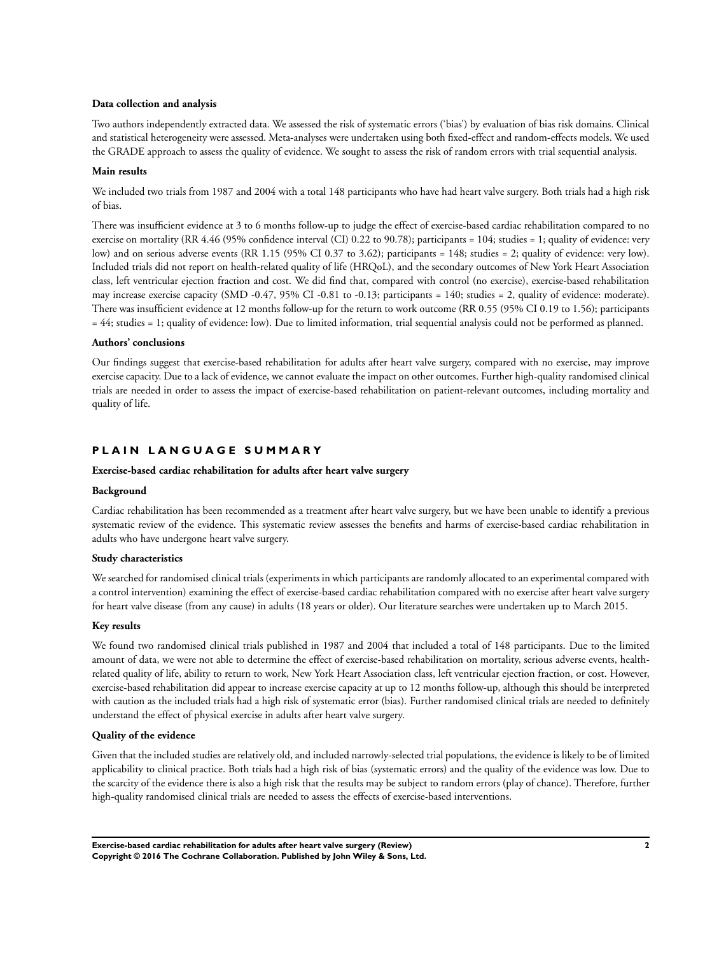## **Data collection and analysis**

Two authors independently extracted data. We assessed the risk of systematic errors ('bias') by evaluation of bias risk domains. Clinical and statistical heterogeneity were assessed. Meta-analyses were undertaken using both fixed-effect and random-effects models. We used the GRADE approach to assess the quality of evidence. We sought to assess the risk of random errors with trial sequential analysis.

## **Main results**

We included two trials from 1987 and 2004 with a total 148 participants who have had heart valve surgery. Both trials had a high risk of bias.

There was insufficient evidence at 3 to 6 months follow-up to judge the effect of exercise-based cardiac rehabilitation compared to no exercise on mortality (RR 4.46 (95% confidence interval (CI) 0.22 to 90.78); participants = 104; studies = 1; quality of evidence: very low) and on serious adverse events (RR 1.15 (95% CI 0.37 to 3.62); participants = 148; studies = 2; quality of evidence: very low). Included trials did not report on health-related quality of life (HRQoL), and the secondary outcomes of New York Heart Association class, left ventricular ejection fraction and cost. We did find that, compared with control (no exercise), exercise-based rehabilitation may increase exercise capacity (SMD -0.47, 95% CI -0.81 to -0.13; participants = 140; studies = 2, quality of evidence: moderate). There was insufficient evidence at 12 months follow-up for the return to work outcome (RR 0.55 (95% CI 0.19 to 1.56); participants = 44; studies = 1; quality of evidence: low). Due to limited information, trial sequential analysis could not be performed as planned.

## **Authors' conclusions**

Our findings suggest that exercise-based rehabilitation for adults after heart valve surgery, compared with no exercise, may improve exercise capacity. Due to a lack of evidence, we cannot evaluate the impact on other outcomes. Further high-quality randomised clinical trials are needed in order to assess the impact of exercise-based rehabilitation on patient-relevant outcomes, including mortality and quality of life.

# **P L A I N L A N G U A G E S U M M A R Y**

### **Exercise-based cardiac rehabilitation for adults after heart valve surgery**

## **Background**

Cardiac rehabilitation has been recommended as a treatment after heart valve surgery, but we have been unable to identify a previous systematic review of the evidence. This systematic review assesses the benefits and harms of exercise-based cardiac rehabilitation in adults who have undergone heart valve surgery.

## **Study characteristics**

We searched for randomised clinical trials (experiments in which participants are randomly allocated to an experimental compared with a control intervention) examining the effect of exercise-based cardiac rehabilitation compared with no exercise after heart valve surgery for heart valve disease (from any cause) in adults (18 years or older). Our literature searches were undertaken up to March 2015.

## **Key results**

We found two randomised clinical trials published in 1987 and 2004 that included a total of 148 participants. Due to the limited amount of data, we were not able to determine the effect of exercise-based rehabilitation on mortality, serious adverse events, healthrelated quality of life, ability to return to work, New York Heart Association class, left ventricular ejection fraction, or cost. However, exercise-based rehabilitation did appear to increase exercise capacity at up to 12 months follow-up, although this should be interpreted with caution as the included trials had a high risk of systematic error (bias). Further randomised clinical trials are needed to definitely understand the effect of physical exercise in adults after heart valve surgery.

## **Quality of the evidence**

Given that the included studies are relatively old, and included narrowly-selected trial populations, the evidence is likely to be of limited applicability to clinical practice. Both trials had a high risk of bias (systematic errors) and the quality of the evidence was low. Due to the scarcity of the evidence there is also a high risk that the results may be subject to random errors (play of chance). Therefore, further high-quality randomised clinical trials are needed to assess the effects of exercise-based interventions.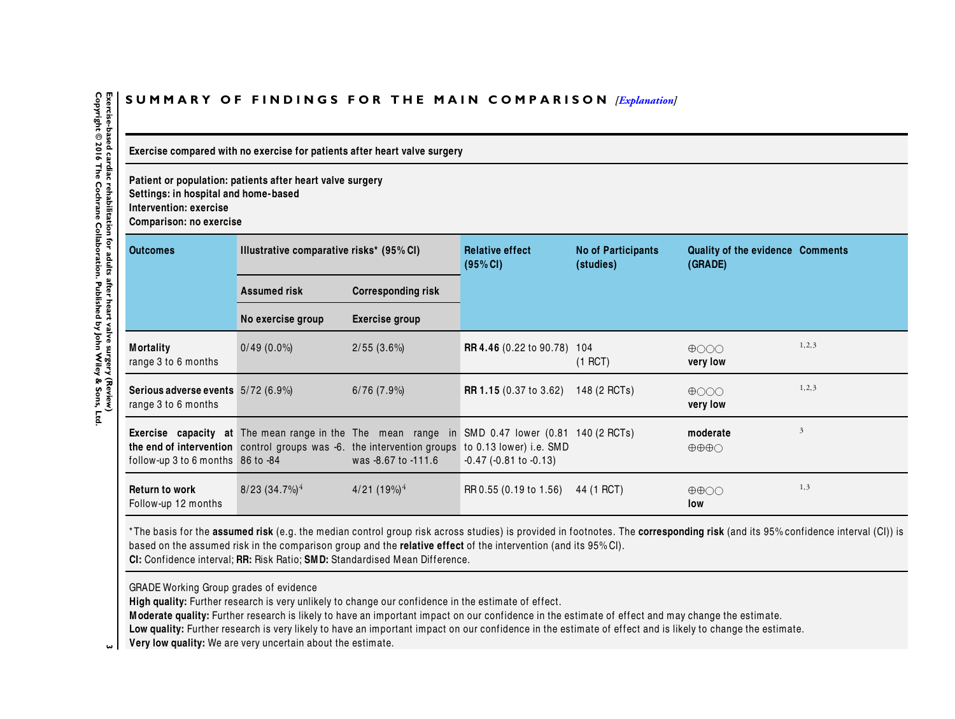# <span id="page-4-0"></span>SUMMARY OF FINDINGS FOR THE MAIN COMPARISON *[\[Explanation\]](http://www.thecochranelibrary.com/view/0/SummaryFindings.html)*

**Exercise compared with no exercise for patients after heart valve surgery**

**Patient or population: patients after heart valve surgery**

**Settings: in hospital and home-based**

**Intervention: exercise**

**Comparison: no exercise**

| <b>Outcomes</b>                                           | Illustrative comparative risks* (95% CI) |                                                                                                                                                                                                                                | <b>Relative effect</b><br>(95% CI) | <b>No of Participants</b><br>(studies) | Quality of the evidence Comments<br>(GRADE)   |         |
|-----------------------------------------------------------|------------------------------------------|--------------------------------------------------------------------------------------------------------------------------------------------------------------------------------------------------------------------------------|------------------------------------|----------------------------------------|-----------------------------------------------|---------|
|                                                           | <b>Assumed risk</b>                      | <b>Corresponding risk</b>                                                                                                                                                                                                      |                                    |                                        |                                               |         |
|                                                           | No exercise group                        | Exercise group                                                                                                                                                                                                                 |                                    |                                        |                                               |         |
| <b>Mortality</b><br>range 3 to 6 months                   | $0/49(0.0\%)$                            | $2/55(3.6\%)$                                                                                                                                                                                                                  | <b>RR 4.46</b> (0.22 to 90.78) 104 | $(1$ RCT)                              | $\bigoplus$ OOO<br>very low                   | 1, 2, 3 |
| Serious adverse events 5/72 (6.9%)<br>range 3 to 6 months |                                          | $6/76$ $(7.9\%)$                                                                                                                                                                                                               | <b>RR 1.15</b> (0.37 to 3.62)      | 148 (2 RCTs)                           | $\bigoplus$ $\bigodot$ $\bigodot$<br>very low | 1, 2, 3 |
| follow-up 3 to 6 months 86 to -84                         |                                          | <b>Exercise capacity at</b> The mean range in the The mean range in SMD 0.47 lower (0.81 140 (2 RCTs)<br>the end of intervention control groups was -6. the intervention groups to 0.13 lower) i.e. SMD<br>was -8.67 to -111.6 | $-0.47$ ( $-0.81$ to $-0.13$ )     |                                        | moderate<br>$\oplus \oplus \oplus \bigcirc$   | 3       |
| <b>Return to work</b><br>Follow-up 12 months              | $8/23$ $(34.7\%)$ <sup>4</sup>           | $4/21(19\%)^4$                                                                                                                                                                                                                 | RR 0.55 (0.19 to 1.56)             | 44 (1 RCT)                             | $\oplus \oplus \odot \odot$<br>low            | 1,3     |

\* The basis for the **assumed risk** (e.g. the median control group risk across studies) is provided in footnotes. The **corresponding risk** (and its 95% confidence interval (CI)) is based on the assumed risk in the comparison group and the **relative effect** of the intervention (and its 95% CI). **CI:** Confidence interval; **RR:** Risk Ratio; **SM D:** Standardised Mean Difference.

GRADE Working Group grades of evidence

**High quality:** Further research is very unlikely to change our confidence in the estimate of effect.

**M oderate quality:** Further research is likely to have an important impact on our confidence in the estimate of effect and may change the estimate.

**Low quality:** Further research is very likely to have an important impact on our confidence in the estimate of effect and is likely to change the estimate.

**<sup>3</sup>Very low quality:** We are very uncertain about the estimate.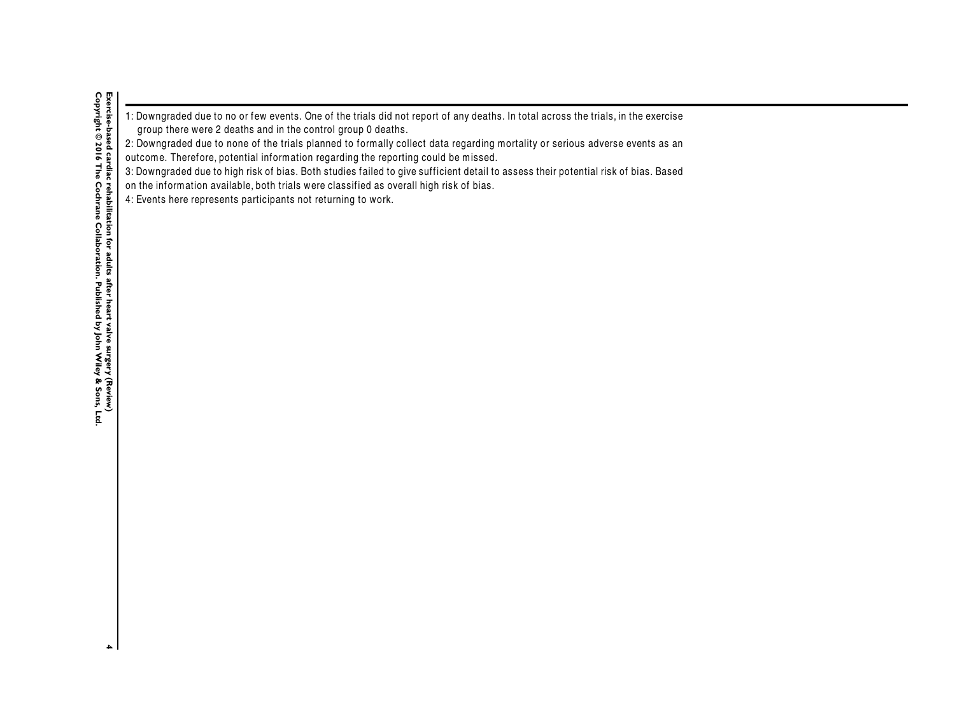|                                                              | 1: Downgraded due to no or few events. One of the trials did not report of any deaths. In total across the trials, in the exercise |  |
|--------------------------------------------------------------|------------------------------------------------------------------------------------------------------------------------------------|--|
| group there were 2 deaths and in the control group 0 deaths. |                                                                                                                                    |  |

2: Downgraded due to none of the trials planned to formally collect data regarding mortality or serious adverse events as an

outcome. Therefore, potential information regarding the reporting could be missed.

3: Downgraded due to high risk of bias. Both studies failed to give sufficient detail to assess their potential risk of bias. Based

on the information available, both trials were classified as overall high risk of bias.

4: Events here represents participants not returning to work.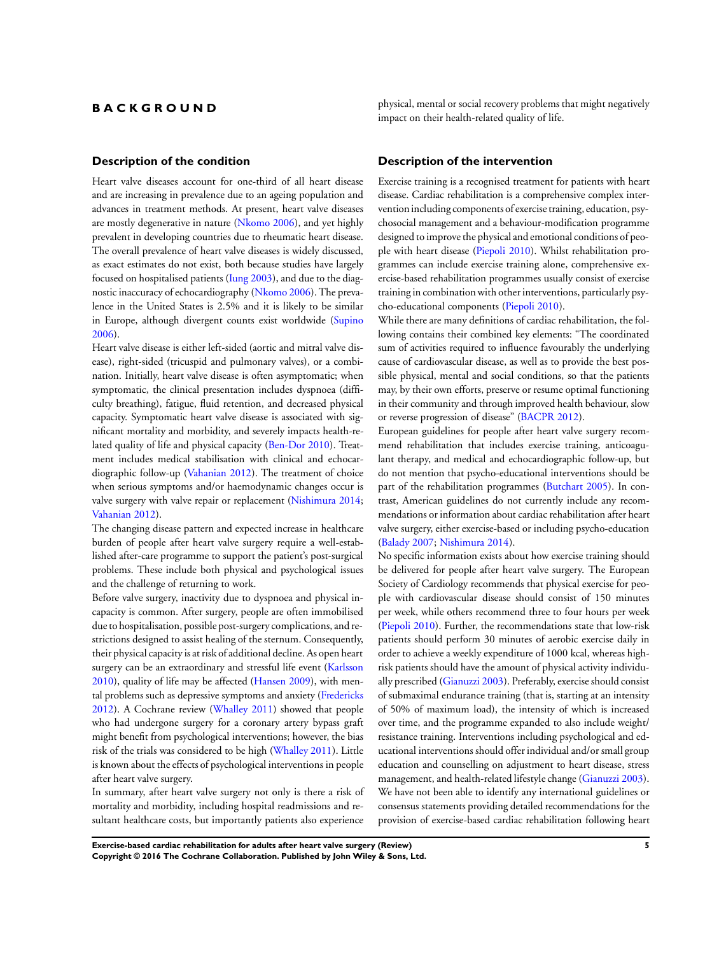# <span id="page-6-0"></span>**B A C K G R O U N D**

## **Description of the condition**

Heart valve diseases account for one-third of all heart disease and are increasing in prevalence due to an ageing population and advances in treatment methods. At present, heart valve diseases are mostly degenerative in nature ([Nkomo 2006](#page-20-0)), and yet highly prevalent in developing countries due to rheumatic heart disease. The overall prevalence of heart valve diseases is widely discussed, as exact estimates do not exist, both because studies have largely focused on hospitalised patients ([Iung 2003\)](#page-20-0), and due to the diagnostic inaccuracy of echocardiography ([Nkomo 2006\)](#page-20-0). The prevalence in the United States is 2.5% and it is likely to be similar in Europe, although divergent counts exist worldwide [\(Supino](#page-20-0) [2006](#page-20-0)).

Heart valve disease is either left-sided (aortic and mitral valve disease), right-sided (tricuspid and pulmonary valves), or a combination. Initially, heart valve disease is often asymptomatic; when symptomatic, the clinical presentation includes dyspnoea (difficulty breathing), fatigue, fluid retention, and decreased physical capacity. Symptomatic heart valve disease is associated with significant mortality and morbidity, and severely impacts health-related quality of life and physical capacity [\(Ben-Dor 2010](#page-20-0)). Treatment includes medical stabilisation with clinical and echocardiographic follow-up [\(Vahanian 2012](#page-20-0)). The treatment of choice when serious symptoms and/or haemodynamic changes occur is valve surgery with valve repair or replacement [\(Nishimura 2014;](#page-20-0) [Vahanian 2012](#page-20-0)).

The changing disease pattern and expected increase in healthcare burden of people after heart valve surgery require a well-established after-care programme to support the patient's post-surgical problems. These include both physical and psychological issues and the challenge of returning to work.

Before valve surgery, inactivity due to dyspnoea and physical incapacity is common. After surgery, people are often immobilised due to hospitalisation, possible post-surgery complications, and restrictions designed to assist healing of the sternum. Consequently, their physical capacity is at risk of additional decline. As open heart surgery can be an extraordinary and stressful life event [\(Karlsson](#page-20-0) [2010](#page-20-0)), quality of life may be affected [\(Hansen 2009](#page-20-0)), with mental problems such as depressive symptoms and anxiety ([Fredericks](#page-20-0) [2012](#page-20-0)). A Cochrane review [\(Whalley 2011](#page-20-0)) showed that people who had undergone surgery for a coronary artery bypass graft might benefit from psychological interventions; however, the bias risk of the trials was considered to be high [\(Whalley 2011](#page-20-0)). Little is known about the effects of psychological interventions in people after heart valve surgery.

In summary, after heart valve surgery not only is there a risk of mortality and morbidity, including hospital readmissions and resultant healthcare costs, but importantly patients also experience

physical, mental or social recovery problems that might negatively impact on their health-related quality of life.

#### **Description of the intervention**

Exercise training is a recognised treatment for patients with heart disease. Cardiac rehabilitation is a comprehensive complex intervention including components of exercise training, education, psychosocial management and a behaviour-modification programme designed to improve the physical and emotional conditions of people with heart disease ([Piepoli 2010\)](#page-20-0). Whilst rehabilitation programmes can include exercise training alone, comprehensive exercise-based rehabilitation programmes usually consist of exercise training in combination with other interventions, particularly psycho-educational components ([Piepoli 2010](#page-20-0)).

While there are many definitions of cardiac rehabilitation, the following contains their combined key elements: "The coordinated sum of activities required to influence favourably the underlying cause of cardiovascular disease, as well as to provide the best possible physical, mental and social conditions, so that the patients may, by their own efforts, preserve or resume optimal functioning in their community and through improved health behaviour, slow or reverse progression of disease" [\(BACPR 2012\)](#page-20-0).

European guidelines for people after heart valve surgery recommend rehabilitation that includes exercise training, anticoagulant therapy, and medical and echocardiographic follow-up, but do not mention that psycho-educational interventions should be part of the rehabilitation programmes ([Butchart 2005\)](#page-20-0). In contrast, American guidelines do not currently include any recommendations or information about cardiac rehabilitation after heart valve surgery, either exercise-based or including psycho-education [\(Balady 2007;](#page-20-0) [Nishimura 2014\)](#page-20-0).

No specific information exists about how exercise training should be delivered for people after heart valve surgery. The European Society of Cardiology recommends that physical exercise for people with cardiovascular disease should consist of 150 minutes per week, while others recommend three to four hours per week [\(Piepoli 2010\)](#page-20-0). Further, the recommendations state that low-risk patients should perform 30 minutes of aerobic exercise daily in order to achieve a weekly expenditure of 1000 kcal, whereas highrisk patients should have the amount of physical activity individually prescribed ([Gianuzzi 2003](#page-20-0)). Preferably, exercise should consist of submaximal endurance training (that is, starting at an intensity of 50% of maximum load), the intensity of which is increased over time, and the programme expanded to also include weight/ resistance training. Interventions including psychological and educational interventions should offer individual and/or small group education and counselling on adjustment to heart disease, stress management, and health-related lifestyle change [\(Gianuzzi 2003](#page-20-0)). We have not been able to identify any international guidelines or consensus statements providing detailed recommendations for the provision of exercise-based cardiac rehabilitation following heart

**Exercise-based cardiac rehabilitation for adults after heart valve surgery (Review) 5 Copyright © 2016 The Cochrane Collaboration. Published by John Wiley & Sons, Ltd.**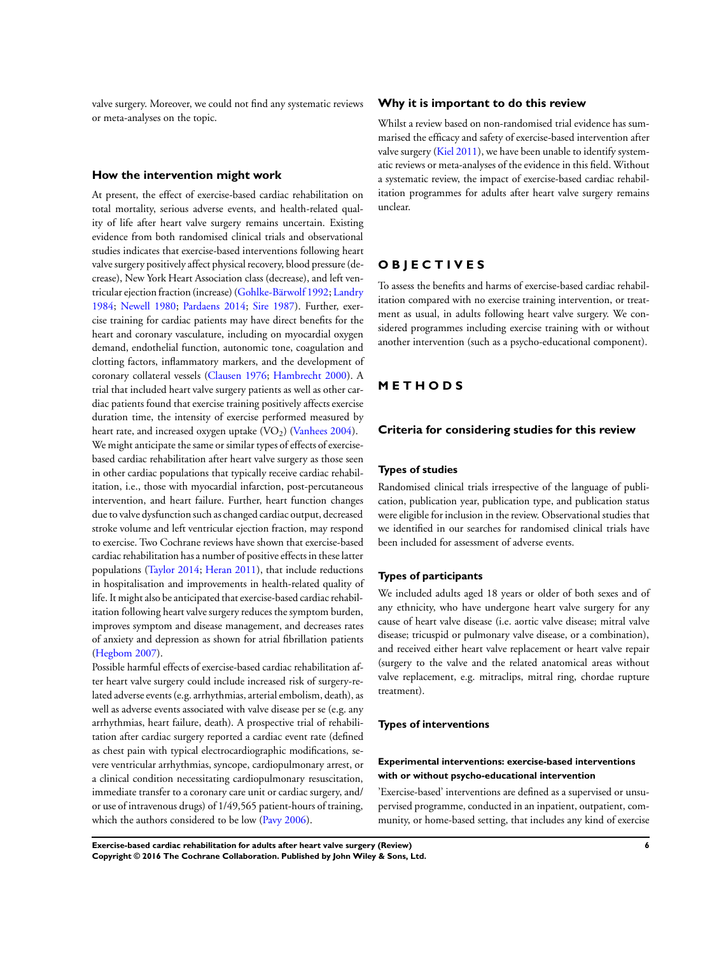valve surgery. Moreover, we could not find any systematic reviews or meta-analyses on the topic.

## **How the intervention might work**

At present, the effect of exercise-based cardiac rehabilitation on total mortality, serious adverse events, and health-related quality of life after heart valve surgery remains uncertain. Existing evidence from both randomised clinical trials and observational studies indicates that exercise-based interventions following heart valve surgery positively affect physical recovery, blood pressure (decrease), New York Heart Association class (decrease), and left ventricular ejection fraction (increase) ([Gohlke-Bärwolf 1992;](#page-20-0) [Landry](#page-20-0) [1984](#page-20-0); [Newell 1980;](#page-20-0) [Pardaens 2014;](#page-20-0) [Sire 1987](#page-20-0)). Further, exercise training for cardiac patients may have direct benefits for the heart and coronary vasculature, including on myocardial oxygen demand, endothelial function, autonomic tone, coagulation and clotting factors, inflammatory markers, and the development of coronary collateral vessels [\(Clausen 1976](#page-20-0); [Hambrecht 2000](#page-20-0)). A trial that included heart valve surgery patients as well as other cardiac patients found that exercise training positively affects exercise duration time, the intensity of exercise performed measured by heart rate, and increased oxygen uptake  $(VO<sub>2</sub>)$  [\(Vanhees 2004\)](#page-20-0). We might anticipate the same or similar types of effects of exercisebased cardiac rehabilitation after heart valve surgery as those seen in other cardiac populations that typically receive cardiac rehabilitation, i.e., those with myocardial infarction, post-percutaneous intervention, and heart failure. Further, heart function changes due to valve dysfunction such as changed cardiac output, decreased stroke volume and left ventricular ejection fraction, may respond to exercise. Two Cochrane reviews have shown that exercise-based cardiac rehabilitation has a number of positive effects in these latter populations ([Taylor 2014](#page-20-0); [Heran 2011\)](#page-20-0), that include reductions in hospitalisation and improvements in health-related quality of life. It might also be anticipated that exercise-based cardiac rehabilitation following heart valve surgery reduces the symptom burden, improves symptom and disease management, and decreases rates of anxiety and depression as shown for atrial fibrillation patients [\(Hegbom 2007\)](#page-20-0).

Possible harmful effects of exercise-based cardiac rehabilitation after heart valve surgery could include increased risk of surgery-related adverse events (e.g. arrhythmias, arterial embolism, death), as well as adverse events associated with valve disease per se (e.g. any arrhythmias, heart failure, death). A prospective trial of rehabilitation after cardiac surgery reported a cardiac event rate (defined as chest pain with typical electrocardiographic modifications, severe ventricular arrhythmias, syncope, cardiopulmonary arrest, or a clinical condition necessitating cardiopulmonary resuscitation, immediate transfer to a coronary care unit or cardiac surgery, and/ or use of intravenous drugs) of 1/49,565 patient-hours of training, which the authors considered to be low ([Pavy 2006\)](#page-20-0).

## **Why it is important to do this review**

Whilst a review based on non-randomised trial evidence has summarised the efficacy and safety of exercise-based intervention after valve surgery ([Kiel 2011\)](#page-20-0), we have been unable to identify systematic reviews or meta-analyses of the evidence in this field. Without a systematic review, the impact of exercise-based cardiac rehabilitation programmes for adults after heart valve surgery remains unclear.

# **O B J E C T I V E S**

To assess the benefits and harms of exercise-based cardiac rehabilitation compared with no exercise training intervention, or treatment as usual, in adults following heart valve surgery. We considered programmes including exercise training with or without another intervention (such as a psycho-educational component).

# **M E T H O D S**

## **Criteria for considering studies for this review**

#### **Types of studies**

Randomised clinical trials irrespective of the language of publication, publication year, publication type, and publication status were eligible for inclusion in the review. Observational studies that we identified in our searches for randomised clinical trials have been included for assessment of adverse events.

## **Types of participants**

We included adults aged 18 years or older of both sexes and of any ethnicity, who have undergone heart valve surgery for any cause of heart valve disease (i.e. aortic valve disease; mitral valve disease; tricuspid or pulmonary valve disease, or a combination), and received either heart valve replacement or heart valve repair (surgery to the valve and the related anatomical areas without valve replacement, e.g. mitraclips, mitral ring, chordae rupture treatment).

#### **Types of interventions**

## **Experimental interventions: exercise-based interventions with or without psycho-educational intervention**

'Exercise-based' interventions are defined as a supervised or unsupervised programme, conducted in an inpatient, outpatient, community, or home-based setting, that includes any kind of exercise

**Exercise-based cardiac rehabilitation for adults after heart valve surgery (Review) 6 Copyright © 2016 The Cochrane Collaboration. Published by John Wiley & Sons, Ltd.**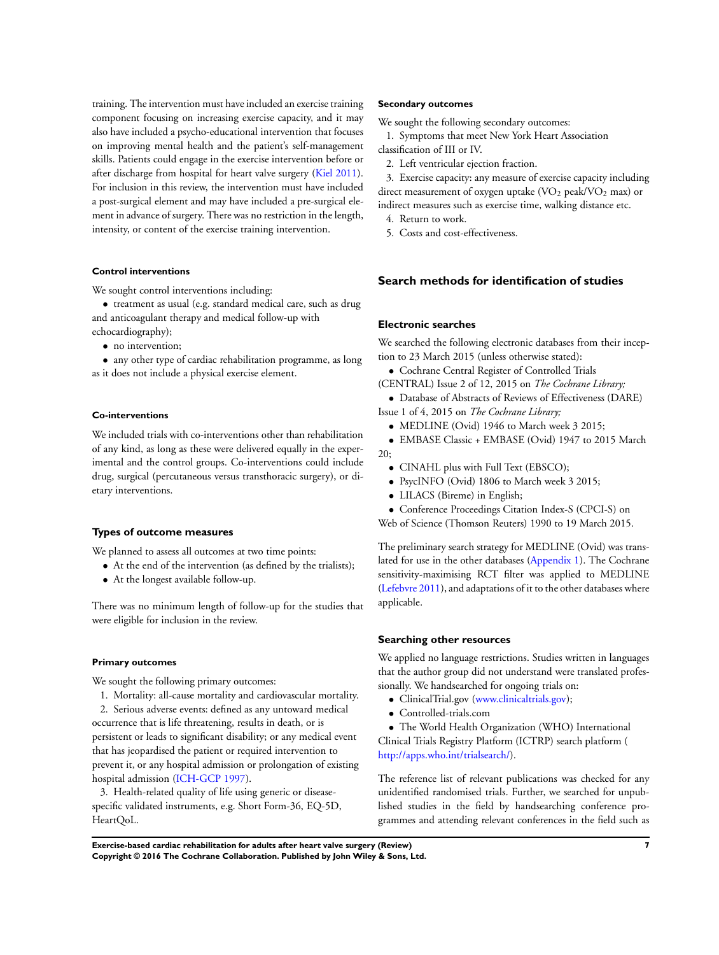training. The intervention must have included an exercise training component focusing on increasing exercise capacity, and it may also have included a psycho-educational intervention that focuses on improving mental health and the patient's self-management skills. Patients could engage in the exercise intervention before or after discharge from hospital for heart valve surgery [\(Kiel 2011](#page-20-0)). For inclusion in this review, the intervention must have included a post-surgical element and may have included a pre-surgical element in advance of surgery. There was no restriction in the length, intensity, or content of the exercise training intervention.

#### **Control interventions**

We sought control interventions including:

• treatment as usual (e.g. standard medical care, such as drug and anticoagulant therapy and medical follow-up with echocardiography);

• no intervention;

• any other type of cardiac rehabilitation programme, as long as it does not include a physical exercise element.

#### **Co-interventions**

We included trials with co-interventions other than rehabilitation of any kind, as long as these were delivered equally in the experimental and the control groups. Co-interventions could include drug, surgical (percutaneous versus transthoracic surgery), or dietary interventions.

## **Types of outcome measures**

We planned to assess all outcomes at two time points:

- At the end of the intervention (as defined by the trialists);
- At the longest available follow-up.

There was no minimum length of follow-up for the studies that were eligible for inclusion in the review.

#### **Primary outcomes**

We sought the following primary outcomes:

- 1. Mortality: all-cause mortality and cardiovascular mortality.
- 2. Serious adverse events: defined as any untoward medical

occurrence that is life threatening, results in death, or is persistent or leads to significant disability; or any medical event that has jeopardised the patient or required intervention to prevent it, or any hospital admission or prolongation of existing hospital admission ([ICH-GCP 1997](#page-20-0)).

3. Health-related quality of life using generic or diseasespecific validated instruments, e.g. Short Form-36, EQ-5D, HeartQoL.

#### **Secondary outcomes**

We sought the following secondary outcomes:

1. Symptoms that meet New York Heart Association classification of III or IV.

2. Left ventricular ejection fraction.

3. Exercise capacity: any measure of exercise capacity including direct measurement of oxygen uptake  $(VO<sub>2</sub>$  peak/VO<sub>2</sub> max) or indirect measures such as exercise time, walking distance etc.

4. Return to work.

5. Costs and cost-effectiveness.

## **Search methods for identification of studies**

#### **Electronic searches**

We searched the following electronic databases from their inception to 23 March 2015 (unless otherwise stated):

• Cochrane Central Register of Controlled Trials

(CENTRAL) Issue 2 of 12, 2015 on *The Cochrane Library;*

• Database of Abstracts of Reviews of Effectiveness (DARE) Issue 1 of 4, 2015 on *The Cochrane Library;*

- MEDLINE (Ovid) 1946 to March week 3 2015;
- EMBASE Classic + EMBASE (Ovid) 1947 to 2015 March 20;
	- CINAHL plus with Full Text (EBSCO);
	- PsycINFO (Ovid) 1806 to March week 3 2015;
	- LILACS (Bireme) in English;
	- Conference Proceedings Citation Index-S (CPCI-S) on

Web of Science (Thomson Reuters) 1990 to 19 March 2015.

The preliminary search strategy for MEDLINE (Ovid) was translated for use in the other databases ([Appendix 1](#page-41-0)). The Cochrane sensitivity-maximising RCT filter was applied to MEDLINE [\(Lefebvre 2011](#page-20-0)), and adaptations of it to the other databases where applicable.

## **Searching other resources**

We applied no language restrictions. Studies written in languages that the author group did not understand were translated professionally. We handsearched for ongoing trials on:

- ClinicalTrial.gov ([www.clinicaltrials.gov](http://www.clinicaltrials.gov));
- Controlled-trials.com

• The World Health Organization (WHO) International Clinical Trials Registry Platform (ICTRP) search platform ( [http://apps.who.int/trialsearch/\)](http://apps.who.int/trialsearch/).

The reference list of relevant publications was checked for any unidentified randomised trials. Further, we searched for unpublished studies in the field by handsearching conference programmes and attending relevant conferences in the field such as

**Exercise-based cardiac rehabilitation for adults after heart valve surgery (Review) 7 Copyright © 2016 The Cochrane Collaboration. Published by John Wiley & Sons, Ltd.**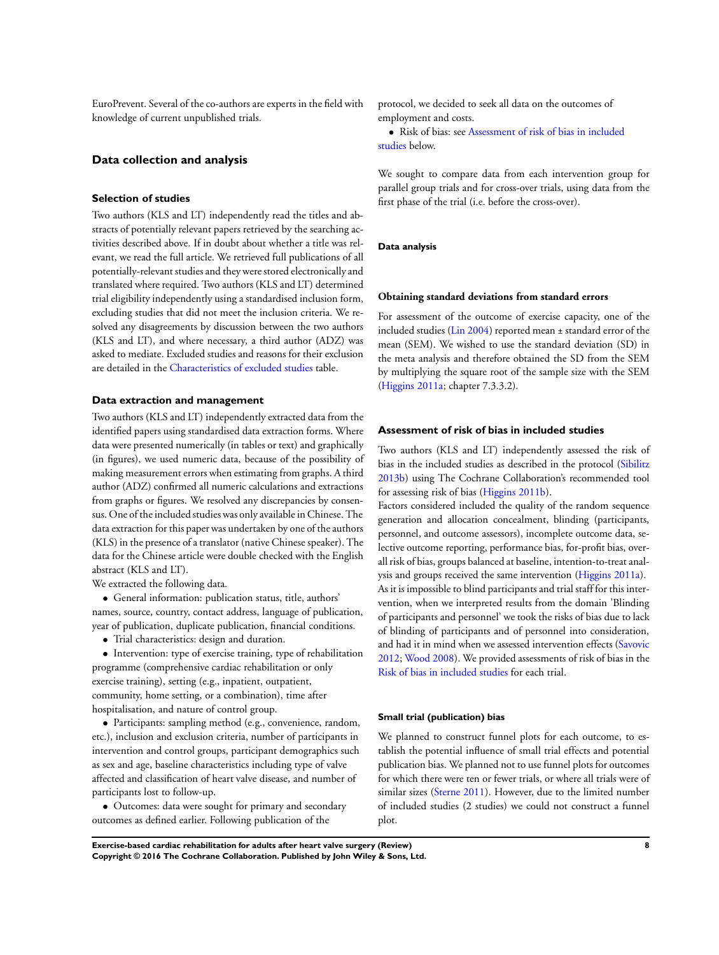EuroPrevent. Several of the co-authors are experts in the field with knowledge of current unpublished trials.

## **Data collection and analysis**

## **Selection of studies**

Two authors (KLS and LT) independently read the titles and abstracts of potentially relevant papers retrieved by the searching activities described above. If in doubt about whether a title was relevant, we read the full article. We retrieved full publications of all potentially-relevant studies and they were stored electronically and translated where required. Two authors (KLS and LT) determined trial eligibility independently using a standardised inclusion form, excluding studies that did not meet the inclusion criteria. We resolved any disagreements by discussion between the two authors (KLS and LT), and where necessary, a third author (ADZ) was asked to mediate. Excluded studies and reasons for their exclusion are detailed in the [Characteristics of excluded studies](#page-31-0) table.

### **Data extraction and management**

Two authors (KLS and LT) independently extracted data from the identified papers using standardised data extraction forms. Where data were presented numerically (in tables or text) and graphically (in figures), we used numeric data, because of the possibility of making measurement errors when estimating from graphs. A third author (ADZ) confirmed all numeric calculations and extractions from graphs or figures. We resolved any discrepancies by consensus. One of the included studies was only available in Chinese. The data extraction for this paper was undertaken by one of the authors (KLS) in the presence of a translator (native Chinese speaker). The data for the Chinese article were double checked with the English abstract (KLS and LT).

We extracted the following data.

• General information: publication status, title, authors' names, source, country, contact address, language of publication, year of publication, duplicate publication, financial conditions.

• Trial characteristics: design and duration.

• Intervention: type of exercise training, type of rehabilitation programme (comprehensive cardiac rehabilitation or only exercise training), setting (e.g., inpatient, outpatient, community, home setting, or a combination), time after hospitalisation, and nature of control group.

• Participants: sampling method (e.g., convenience, random, etc.), inclusion and exclusion criteria, number of participants in intervention and control groups, participant demographics such as sex and age, baseline characteristics including type of valve affected and classification of heart valve disease, and number of participants lost to follow-up.

• Outcomes: data were sought for primary and secondary outcomes as defined earlier. Following publication of the

protocol, we decided to seek all data on the outcomes of employment and costs.

• Risk of bias: see [Assessment of risk of bias in included](#page-6-0) [studies](#page-6-0) below.

We sought to compare data from each intervention group for parallel group trials and for cross-over trials, using data from the first phase of the trial (i.e. before the cross-over).

#### **Data analysis**

#### **Obtaining standard deviations from standard errors**

For assessment of the outcome of exercise capacity, one of the included studies ([Lin 2004](#page-20-0)) reported mean ± standard error of the mean (SEM). We wished to use the standard deviation (SD) in the meta analysis and therefore obtained the SD from the SEM by multiplying the square root of the sample size with the SEM [\(Higgins 2011a](#page-20-0); chapter 7.3.3.2).

## **Assessment of risk of bias in included studies**

Two authors (KLS and LT) independently assessed the risk of bias in the included studies as described in the protocol [\(Sibilitz](#page-20-0) [2013b\)](#page-20-0) using The Cochrane Collaboration's recommended tool for assessing risk of bias [\(Higgins 2011b](#page-20-0)).

Factors considered included the quality of the random sequence generation and allocation concealment, blinding (participants, personnel, and outcome assessors), incomplete outcome data, selective outcome reporting, performance bias, for-profit bias, overall risk of bias, groups balanced at baseline, intention-to-treat analysis and groups received the same intervention [\(Higgins 2011a](#page-20-0)). As it is impossible to blind participants and trial staff for this intervention, when we interpreted results from the domain 'Blinding of participants and personnel' we took the risks of bias due to lack of blinding of participants and of personnel into consideration, and had it in mind when we assessed intervention effects [\(Savovic](#page-20-0) [2012](#page-20-0); [Wood 2008](#page-20-0)). We provided assessments of risk of bias in the [Risk of bias in included studies](#page-13-0) for each trial.

#### **Small trial (publication) bias**

We planned to construct funnel plots for each outcome, to establish the potential influence of small trial effects and potential publication bias. We planned not to use funnel plots for outcomes for which there were ten or fewer trials, or where all trials were of similar sizes ([Sterne 2011\)](#page-20-0). However, due to the limited number of included studies (2 studies) we could not construct a funnel plot.

**Exercise-based cardiac rehabilitation for adults after heart valve surgery (Review) 8 Copyright © 2016 The Cochrane Collaboration. Published by John Wiley & Sons, Ltd.**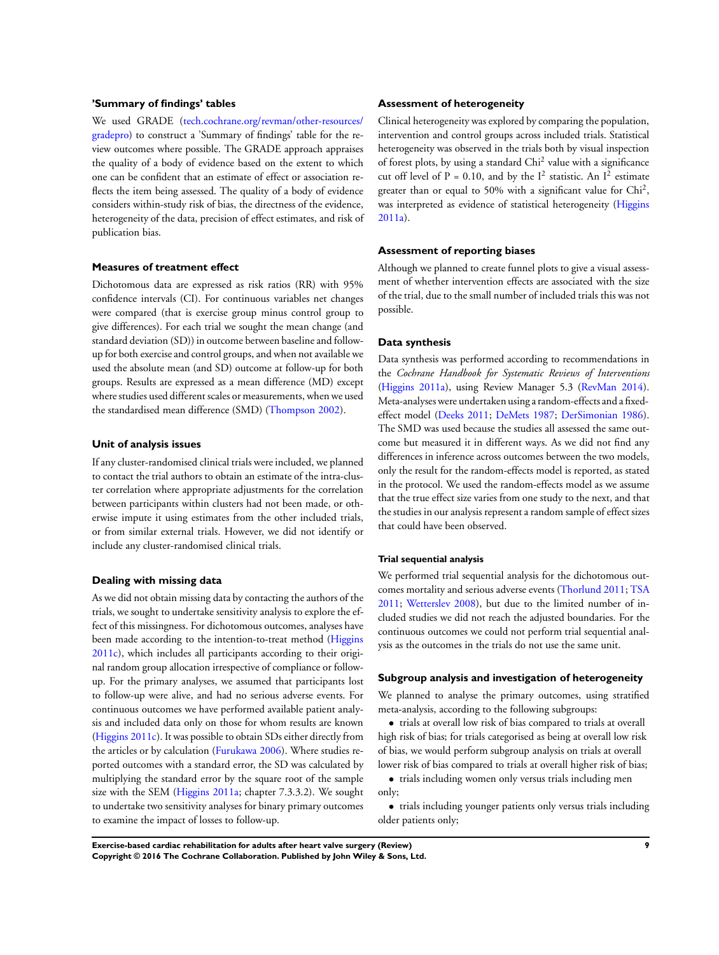## **'Summary of findings' tables**

We used GRADE ([tech.cochrane.org/revman/other-resources/](http://tech.cochrane.org/revman/other-resources/gradepro) [gradepro\)](http://tech.cochrane.org/revman/other-resources/gradepro) to construct a 'Summary of findings' table for the review outcomes where possible. The GRADE approach appraises the quality of a body of evidence based on the extent to which one can be confident that an estimate of effect or association reflects the item being assessed. The quality of a body of evidence considers within-study risk of bias, the directness of the evidence, heterogeneity of the data, precision of effect estimates, and risk of publication bias.

#### **Measures of treatment effect**

Dichotomous data are expressed as risk ratios (RR) with 95% confidence intervals (CI). For continuous variables net changes were compared (that is exercise group minus control group to give differences). For each trial we sought the mean change (and standard deviation (SD)) in outcome between baseline and followup for both exercise and control groups, and when not available we used the absolute mean (and SD) outcome at follow-up for both groups. Results are expressed as a mean difference (MD) except where studies used different scales or measurements, when we used the standardised mean difference (SMD) ([Thompson 2002\)](#page-20-0).

#### **Unit of analysis issues**

If any cluster-randomised clinical trials were included, we planned to contact the trial authors to obtain an estimate of the intra-cluster correlation where appropriate adjustments for the correlation between participants within clusters had not been made, or otherwise impute it using estimates from the other included trials, or from similar external trials. However, we did not identify or include any cluster-randomised clinical trials.

## **Dealing with missing data**

As we did not obtain missing data by contacting the authors of the trials, we sought to undertake sensitivity analysis to explore the effect of this missingness. For dichotomous outcomes, analyses have been made according to the intention-to-treat method ([Higgins](#page-20-0) [2011c\)](#page-20-0), which includes all participants according to their original random group allocation irrespective of compliance or followup. For the primary analyses, we assumed that participants lost to follow-up were alive, and had no serious adverse events. For continuous outcomes we have performed available patient analysis and included data only on those for whom results are known [\(Higgins 2011c\)](#page-20-0). It was possible to obtain SDs either directly from the articles or by calculation ([Furukawa 2006](#page-20-0)). Where studies reported outcomes with a standard error, the SD was calculated by multiplying the standard error by the square root of the sample size with the SEM [\(Higgins 2011a;](#page-20-0) chapter 7.3.3.2). We sought to undertake two sensitivity analyses for binary primary outcomes to examine the impact of losses to follow-up.

## **Assessment of heterogeneity**

Clinical heterogeneity was explored by comparing the population, intervention and control groups across included trials. Statistical heterogeneity was observed in the trials both by visual inspection of forest plots, by using a standard Chi<sup>2</sup> value with a significance cut off level of P = 0.10, and by the  $I^2$  statistic. An  $I^2$  estimate greater than or equal to 50% with a significant value for Chi<sup>2</sup>, was interpreted as evidence of statistical heterogeneity ([Higgins](#page-20-0) [2011a\)](#page-20-0).

#### **Assessment of reporting biases**

Although we planned to create funnel plots to give a visual assessment of whether intervention effects are associated with the size of the trial, due to the small number of included trials this was not possible.

## **Data synthesis**

Data synthesis was performed according to recommendations in the *Cochrane Handbook for Systematic Reviews of Interventions* [\(Higgins 2011a\)](#page-20-0), using Review Manager 5.3 ([RevMan 2014](#page-20-0)). Meta-analyses were undertaken using a random-effects and a fixedeffect model ([Deeks 2011](#page-20-0); [DeMets 1987;](#page-20-0) [DerSimonian 1986](#page-20-0)). The SMD was used because the studies all assessed the same outcome but measured it in different ways. As we did not find any differences in inference across outcomes between the two models, only the result for the random-effects model is reported, as stated in the protocol. We used the random-effects model as we assume that the true effect size varies from one study to the next, and that the studies in our analysis represent a random sample of effect sizes that could have been observed.

## **Trial sequential analysis**

We performed trial sequential analysis for the dichotomous outcomes mortality and serious adverse events [\(Thorlund 2011](#page-20-0); [TSA](#page-20-0) [2011](#page-20-0); [Wetterslev 2008](#page-20-0)), but due to the limited number of included studies we did not reach the adjusted boundaries. For the continuous outcomes we could not perform trial sequential analysis as the outcomes in the trials do not use the same unit.

## **Subgroup analysis and investigation of heterogeneity**

We planned to analyse the primary outcomes, using stratified meta-analysis, according to the following subgroups:

• trials at overall low risk of bias compared to trials at overall high risk of bias; for trials categorised as being at overall low risk of bias, we would perform subgroup analysis on trials at overall lower risk of bias compared to trials at overall higher risk of bias;

• trials including women only versus trials including men only;

• trials including younger patients only versus trials including older patients only;

**Exercise-based cardiac rehabilitation for adults after heart valve surgery (Review) 9 Copyright © 2016 The Cochrane Collaboration. Published by John Wiley & Sons, Ltd.**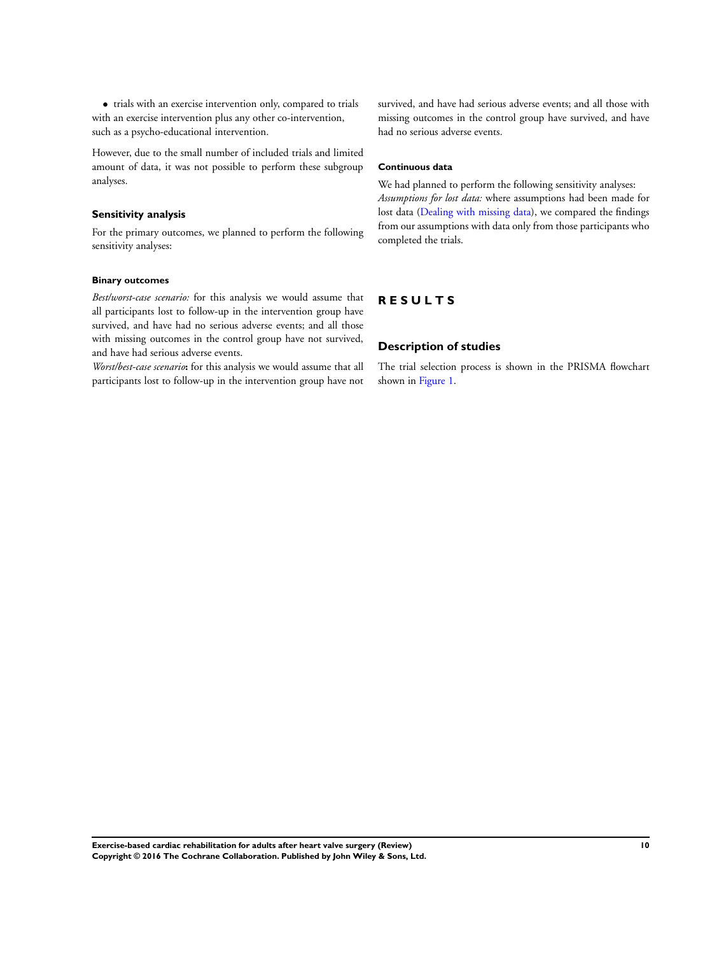• trials with an exercise intervention only, compared to trials with an exercise intervention plus any other co-intervention, such as a psycho-educational intervention.

However, due to the small number of included trials and limited amount of data, it was not possible to perform these subgroup analyses.

## **Sensitivity analysis**

For the primary outcomes, we planned to perform the following sensitivity analyses:

## **Binary outcomes**

*Best/worst-case scenario:* for this analysis we would assume that all participants lost to follow-up in the intervention group have survived, and have had no serious adverse events; and all those with missing outcomes in the control group have not survived, and have had serious adverse events.

*Worst/best-case scenario***:** for this analysis we would assume that all participants lost to follow-up in the intervention group have not

survived, and have had serious adverse events; and all those with missing outcomes in the control group have survived, and have had no serious adverse events.

# **Continuous data**

We had planned to perform the following sensitivity analyses: *Assumptions for lost data:* where assumptions had been made for lost data [\(Dealing with missing data\)](#page-6-0), we compared the findings from our assumptions with data only from those participants who completed the trials.

# **R E S U L T S**

## **Description of studies**

The trial selection process is shown in the PRISMA flowchart shown in [Figure 1.](#page-12-0)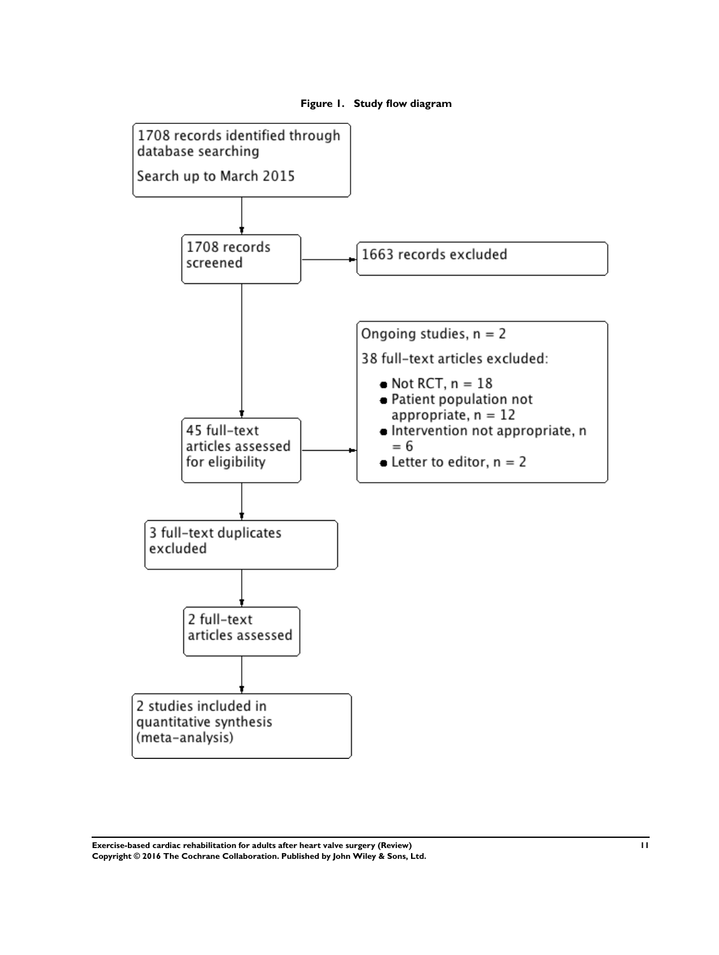<span id="page-12-0"></span>

## **Figure 1. Study flow diagram**

**Exercise-based cardiac rehabilitation for adults after heart valve surgery (Review) 11 Copyright © 2016 The Cochrane Collaboration. Published by John Wiley & Sons, Ltd.**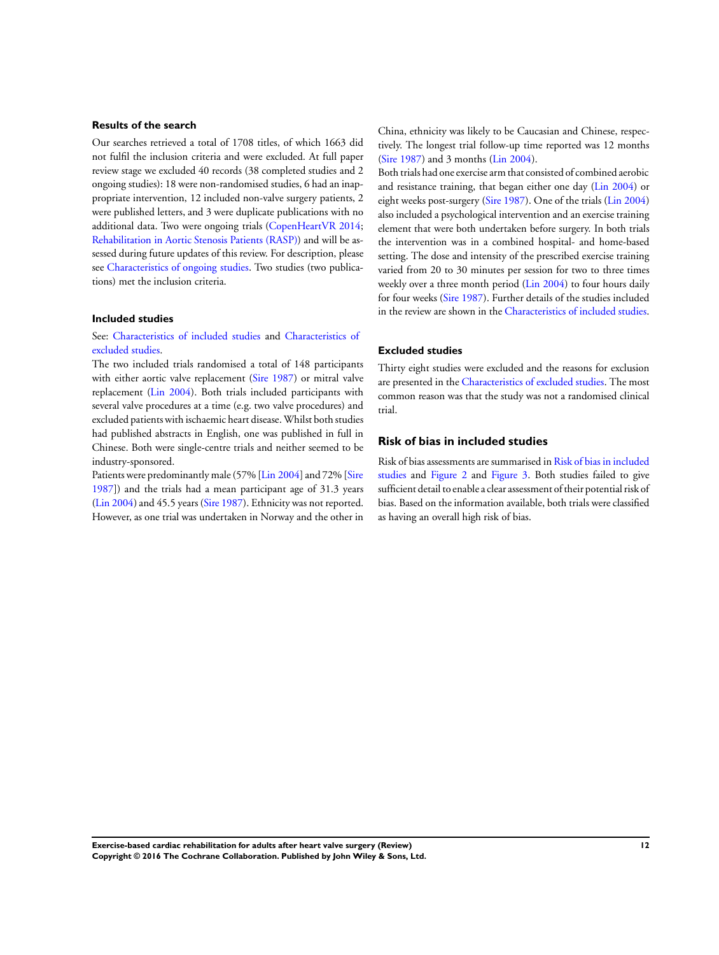## <span id="page-13-0"></span>**Results of the search**

Our searches retrieved a total of 1708 titles, of which 1663 did not fulfil the inclusion criteria and were excluded. At full paper review stage we excluded 40 records (38 completed studies and 2 ongoing studies): 18 were non-randomised studies, 6 had an inappropriate intervention, 12 included non-valve surgery patients, 2 were published letters, and 3 were duplicate publications with no additional data. Two were ongoing trials ([CopenHeartVR 2014;](#page-20-0) [Rehabilitation in Aortic Stenosis Patients \(RASP\)\)](#page-20-0) and will be assessed during future updates of this review. For description, please see [Characteristics of ongoing studies](#page-33-0). Two studies (two publications) met the inclusion criteria.

## **Included studies**

## See: [Characteristics of included studies](#page-26-0) and [Characteristics of](#page-31-0) [excluded studies.](#page-31-0)

The two included trials randomised a total of 148 participants with either aortic valve replacement [\(Sire 1987](#page-20-0)) or mitral valve replacement ([Lin 2004](#page-20-0)). Both trials included participants with several valve procedures at a time (e.g. two valve procedures) and excluded patients with ischaemic heart disease. Whilst both studies had published abstracts in English, one was published in full in Chinese. Both were single-centre trials and neither seemed to be industry-sponsored.

Patients were predominantly male (57% [\[Lin 2004](#page-20-0)] and 72% [[Sire](#page-20-0) [1987](#page-20-0)]) and the trials had a mean participant age of 31.3 years [\(Lin 2004\)](#page-20-0) and 45.5 years ([Sire 1987](#page-20-0)). Ethnicity was not reported. However, as one trial was undertaken in Norway and the other in

China, ethnicity was likely to be Caucasian and Chinese, respectively. The longest trial follow-up time reported was 12 months [\(Sire 1987](#page-20-0)) and 3 months [\(Lin 2004](#page-20-0)).

Both trials had one exercise arm that consisted of combined aerobic and resistance training, that began either one day [\(Lin 2004](#page-20-0)) or eight weeks post-surgery [\(Sire 1987](#page-20-0)). One of the trials [\(Lin 2004](#page-20-0)) also included a psychological intervention and an exercise training element that were both undertaken before surgery. In both trials the intervention was in a combined hospital- and home-based setting. The dose and intensity of the prescribed exercise training varied from 20 to 30 minutes per session for two to three times weekly over a three month period [\(Lin 2004\)](#page-20-0) to four hours daily for four weeks [\(Sire 1987](#page-20-0)). Further details of the studies included in the review are shown in the [Characteristics of included studies.](#page-26-0)

## **Excluded studies**

Thirty eight studies were excluded and the reasons for exclusion are presented in the [Characteristics of excluded studies.](#page-31-0) The most common reason was that the study was not a randomised clinical trial.

## **Risk of bias in included studies**

Risk of bias assessments are summarised in Risk of bias in included studies and [Figure 2](#page-14-0) and [Figure 3](#page-15-0). Both studies failed to give sufficient detail to enable a clear assessment of their potential risk of bias. Based on the information available, both trials were classified as having an overall high risk of bias.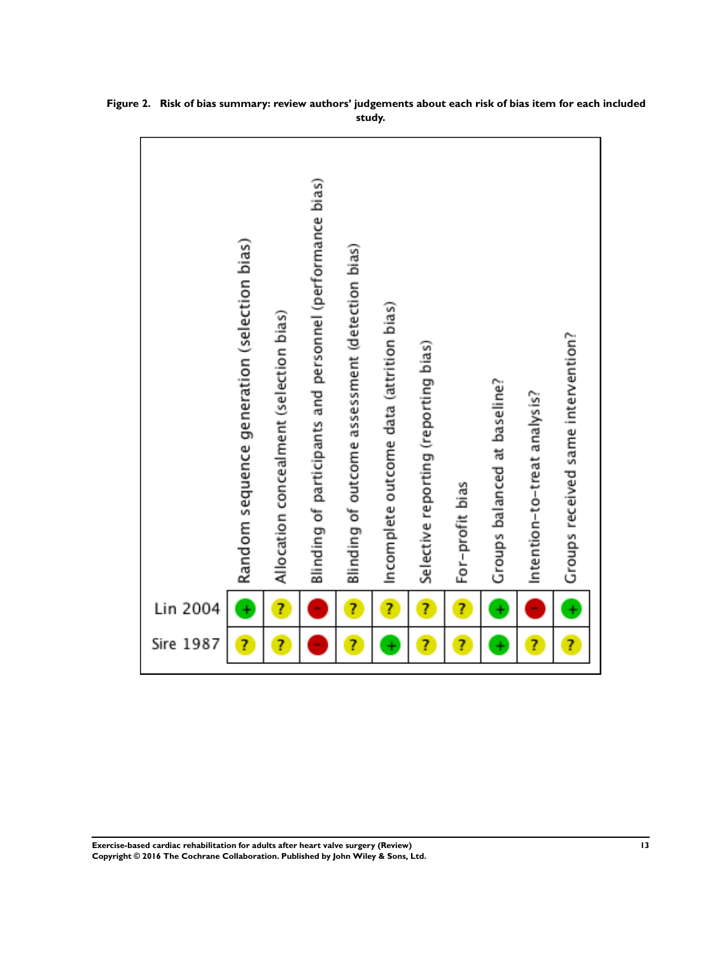| Sire 1987    | Lin 2004  |                                                           |
|--------------|-----------|-----------------------------------------------------------|
| 7            | ÷         | Random sequence generation (selection bias)               |
| Ĩ,           | Ż         | Allocation concealment (selection bias)                   |
|              |           | Blinding of participants and personnel (performance bias) |
| 7            | Ż         | Blinding of outcome assessment (detection bias)           |
| $\ddot{}$    | Ż,        | Incomplete outcome data (attrition bias)                  |
| Ż            | Ż         | Selective reporting (reporting bias)                      |
| 7            | Ż,        | For-profit bias                                           |
| $\ddot{}$    | ÷         | Groups balanced at baseline?                              |
| Ż            | ۰         | Intention-to-treat analysis?                              |
| <sup>7</sup> | $\ddot{}$ | Groups received same intervention?                        |
|              |           |                                                           |

<span id="page-14-0"></span>**Figure 2. Risk of bias summary: review authors' judgements about each risk of bias item for each included study.**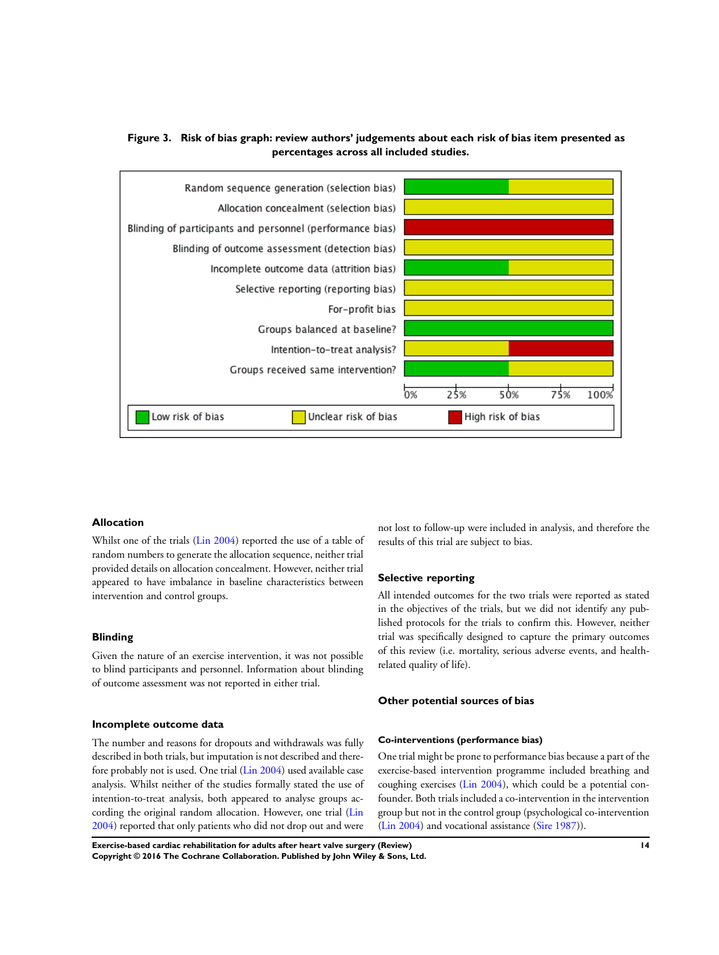

# <span id="page-15-0"></span>**Figure 3. Risk of bias graph: review authors' judgements about each risk of bias item presented as percentages across all included studies.**

## **Allocation**

Whilst one of the trials ([Lin 2004](#page-20-0)) reported the use of a table of random numbers to generate the allocation sequence, neither trial provided details on allocation concealment. However, neither trial appeared to have imbalance in baseline characteristics between intervention and control groups.

## **Blinding**

Given the nature of an exercise intervention, it was not possible to blind participants and personnel. Information about blinding of outcome assessment was not reported in either trial.

#### **Incomplete outcome data**

The number and reasons for dropouts and withdrawals was fully described in both trials, but imputation is not described and therefore probably not is used. One trial [\(Lin 2004](#page-20-0)) used available case analysis. Whilst neither of the studies formally stated the use of intention-to-treat analysis, both appeared to analyse groups according the original random allocation. However, one trial [\(Lin](#page-20-0) [2004](#page-20-0)) reported that only patients who did not drop out and were

not lost to follow-up were included in analysis, and therefore the results of this trial are subject to bias.

## **Selective reporting**

All intended outcomes for the two trials were reported as stated in the objectives of the trials, but we did not identify any published protocols for the trials to confirm this. However, neither trial was specifically designed to capture the primary outcomes of this review (i.e. mortality, serious adverse events, and healthrelated quality of life).

#### **Other potential sources of bias**

#### **Co-interventions (performance bias)**

One trial might be prone to performance bias because a part of the exercise-based intervention programme included breathing and coughing exercises [\(Lin 2004](#page-20-0)), which could be a potential confounder. Both trials included a co-intervention in the intervention group but not in the control group (psychological co-intervention [\(Lin 2004](#page-20-0)) and vocational assistance [\(Sire 1987\)](#page-20-0)).

**Exercise-based cardiac rehabilitation for adults after heart valve surgery (Review) 14 Copyright © 2016 The Cochrane Collaboration. Published by John Wiley & Sons, Ltd.**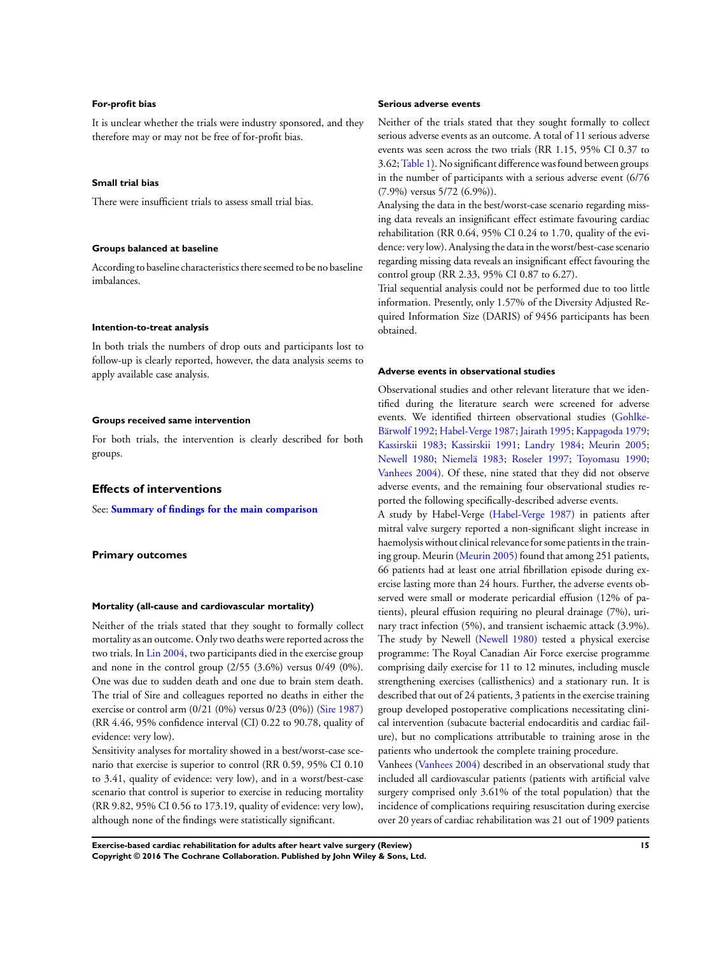#### **For-profit bias**

It is unclear whether the trials were industry sponsored, and they therefore may or may not be free of for-profit bias.

#### **Small trial bias**

There were insufficient trials to assess small trial bias.

## **Groups balanced at baseline**

According to baseline characteristics there seemed to be no baseline imbalances.

#### **Intention-to-treat analysis**

In both trials the numbers of drop outs and participants lost to follow-up is clearly reported, however, the data analysis seems to apply available case analysis.

#### **Groups received same intervention**

For both trials, the intervention is clearly described for both groups.

#### **Effects of interventions**

See: **[Summary of findings for the main comparison](#page-4-0)**

## **Primary outcomes**

#### **Mortality (all-cause and cardiovascular mortality)**

Neither of the trials stated that they sought to formally collect mortality as an outcome. Only two deaths were reported across the two trials. In [Lin 2004](#page-20-0), two participants died in the exercise group and none in the control group (2/55 (3.6%) versus 0/49 (0%). One was due to sudden death and one due to brain stem death. The trial of Sire and colleagues reported no deaths in either the exercise or control arm (0/21 (0%) versus 0/23 (0%)) [\(Sire 1987](#page-20-0)) (RR 4.46, 95% confidence interval (CI) 0.22 to 90.78, quality of evidence: very low).

Sensitivity analyses for mortality showed in a best/worst-case scenario that exercise is superior to control (RR 0.59, 95% CI 0.10 to 3.41, quality of evidence: very low), and in a worst/best-case scenario that control is superior to exercise in reducing mortality (RR 9.82, 95% CI 0.56 to 173.19, quality of evidence: very low), although none of the findings were statistically significant.

#### **Serious adverse events**

Neither of the trials stated that they sought formally to collect serious adverse events as an outcome. A total of 11 serious adverse events was seen across the two trials (RR 1.15, 95% CI 0.37 to 3.62; [Table 1](#page-40-0)). No significant difference was found between groups in the number of participants with a serious adverse event (6/76 (7.9%) versus 5/72 (6.9%)).

Analysing the data in the best/worst-case scenario regarding missing data reveals an insignificant effect estimate favouring cardiac rehabilitation (RR 0.64, 95% CI 0.24 to 1.70, quality of the evidence: very low). Analysing the data in the worst/best-case scenario regarding missing data reveals an insignificant effect favouring the control group (RR 2.33, 95% CI 0.87 to 6.27).

Trial sequential analysis could not be performed due to too little information. Presently, only 1.57% of the Diversity Adjusted Required Information Size (DARIS) of 9456 participants has been obtained.

#### **Adverse events in observational studies**

Observational studies and other relevant literature that we identified during the literature search were screened for adverse events. We identified thirteen observational studies ([Gohlke-](#page-20-0)[Bärwolf 1992](#page-20-0); [Habel-Verge 1987](#page-20-0); [Jairath 1995](#page-20-0); [Kappagoda 1979;](#page-20-0) [Kassirskii 1983;](#page-20-0) [Kassirskii 1991;](#page-20-0) [Landry 1984;](#page-20-0) [Meurin 2005;](#page-20-0) [Newell 1980;](#page-20-0) [Niemelä 1983;](#page-20-0) [Roseler 1997;](#page-20-0) [Toyomasu 1990;](#page-20-0) [Vanhees 2004\)](#page-20-0). Of these, nine stated that they did not observe adverse events, and the remaining four observational studies reported the following specifically-described adverse events.

A study by Habel-Verge [\(Habel-Verge 1987\)](#page-20-0) in patients after mitral valve surgery reported a non-significant slight increase in haemolysis without clinical relevance for some patients in the training group. Meurin ([Meurin 2005](#page-20-0)) found that among 251 patients, 66 patients had at least one atrial fibrillation episode during exercise lasting more than 24 hours. Further, the adverse events observed were small or moderate pericardial effusion (12% of patients), pleural effusion requiring no pleural drainage (7%), urinary tract infection (5%), and transient ischaemic attack (3.9%). The study by Newell ([Newell 1980\)](#page-20-0) tested a physical exercise programme: The Royal Canadian Air Force exercise programme comprising daily exercise for 11 to 12 minutes, including muscle strengthening exercises (callisthenics) and a stationary run. It is described that out of 24 patients, 3 patients in the exercise training group developed postoperative complications necessitating clinical intervention (subacute bacterial endocarditis and cardiac failure), but no complications attributable to training arose in the patients who undertook the complete training procedure.

Vanhees ([Vanhees 2004](#page-20-0)) described in an observational study that included all cardiovascular patients (patients with artificial valve surgery comprised only 3.61% of the total population) that the incidence of complications requiring resuscitation during exercise over 20 years of cardiac rehabilitation was 21 out of 1909 patients

**Exercise-based cardiac rehabilitation for adults after heart valve surgery (Review) 15 Copyright © 2016 The Cochrane Collaboration. Published by John Wiley & Sons, Ltd.**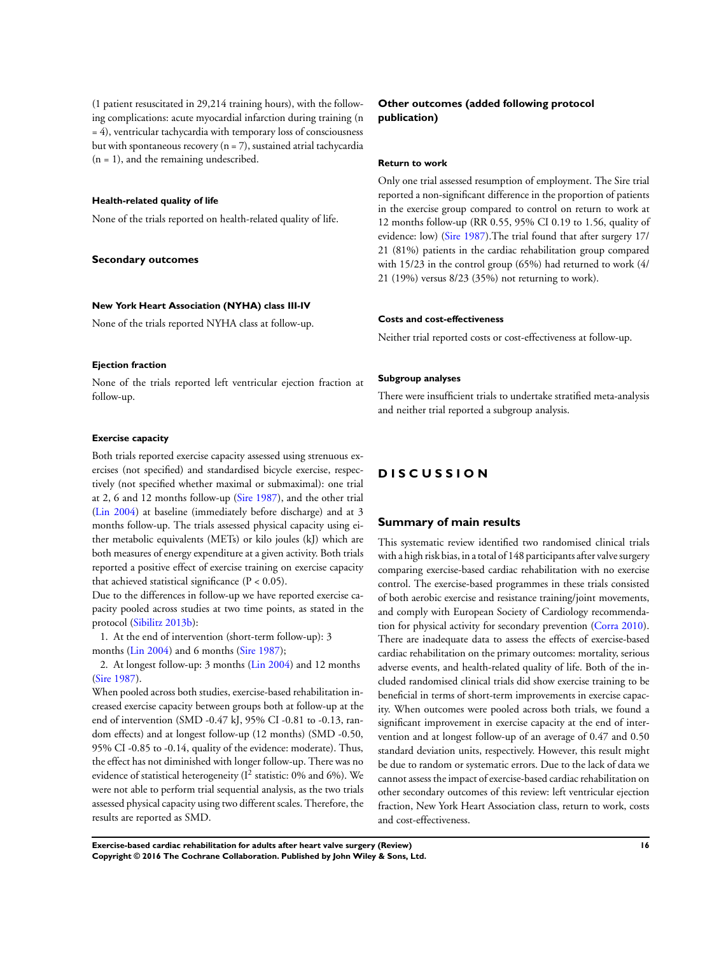(1 patient resuscitated in 29,214 training hours), with the following complications: acute myocardial infarction during training (n = 4), ventricular tachycardia with temporary loss of consciousness but with spontaneous recovery  $(n = 7)$ , sustained atrial tachycardia  $(n = 1)$ , and the remaining undescribed.

## **Health-related quality of life**

None of the trials reported on health-related quality of life.

#### **Secondary outcomes**

#### **New York Heart Association (NYHA) class III-IV**

None of the trials reported NYHA class at follow-up.

#### **Ejection fraction**

None of the trials reported left ventricular ejection fraction at follow-up.

#### **Exercise capacity**

Both trials reported exercise capacity assessed using strenuous exercises (not specified) and standardised bicycle exercise, respectively (not specified whether maximal or submaximal): one trial at 2, 6 and 12 months follow-up [\(Sire 1987\)](#page-20-0), and the other trial [\(Lin 2004](#page-20-0)) at baseline (immediately before discharge) and at 3 months follow-up. The trials assessed physical capacity using either metabolic equivalents (METs) or kilo joules (kJ) which are both measures of energy expenditure at a given activity. Both trials reported a positive effect of exercise training on exercise capacity that achieved statistical significance  $(P < 0.05)$ .

Due to the differences in follow-up we have reported exercise capacity pooled across studies at two time points, as stated in the protocol ([Sibilitz 2013b](#page-20-0)):

1. At the end of intervention (short-term follow-up): 3

months ([Lin 2004](#page-20-0)) and 6 months ([Sire 1987](#page-20-0));

2. At longest follow-up: 3 months [\(Lin 2004](#page-20-0)) and 12 months [\(Sire 1987](#page-20-0)).

When pooled across both studies, exercise-based rehabilitation increased exercise capacity between groups both at follow-up at the end of intervention (SMD -0.47 kJ, 95% CI -0.81 to -0.13, random effects) and at longest follow-up (12 months) (SMD -0.50, 95% CI -0.85 to -0.14, quality of the evidence: moderate). Thus, the effect has not diminished with longer follow-up. There was no evidence of statistical heterogeneity ( $I<sup>2</sup>$  statistic: 0% and 6%). We were not able to perform trial sequential analysis, as the two trials assessed physical capacity using two different scales. Therefore, the results are reported as SMD.

## **Other outcomes (added following protocol publication)**

#### **Return to work**

Only one trial assessed resumption of employment. The Sire trial reported a non-significant difference in the proportion of patients in the exercise group compared to control on return to work at 12 months follow-up (RR 0.55, 95% CI 0.19 to 1.56, quality of evidence: low) ([Sire 1987](#page-20-0)).The trial found that after surgery 17/ 21 (81%) patients in the cardiac rehabilitation group compared with 15/23 in the control group (65%) had returned to work (4/ 21 (19%) versus 8/23 (35%) not returning to work).

#### **Costs and cost-effectiveness**

Neither trial reported costs or cost-effectiveness at follow-up.

#### **Subgroup analyses**

There were insufficient trials to undertake stratified meta-analysis and neither trial reported a subgroup analysis.

# **D I S C U S S I O N**

## **Summary of main results**

This systematic review identified two randomised clinical trials with a high risk bias, in a total of 148 participants after valve surgery comparing exercise-based cardiac rehabilitation with no exercise control. The exercise-based programmes in these trials consisted of both aerobic exercise and resistance training/joint movements, and comply with European Society of Cardiology recommendation for physical activity for secondary prevention [\(Corra 2010](#page-20-0)). There are inadequate data to assess the effects of exercise-based cardiac rehabilitation on the primary outcomes: mortality, serious adverse events, and health-related quality of life. Both of the included randomised clinical trials did show exercise training to be beneficial in terms of short-term improvements in exercise capacity. When outcomes were pooled across both trials, we found a significant improvement in exercise capacity at the end of intervention and at longest follow-up of an average of 0.47 and 0.50 standard deviation units, respectively. However, this result might be due to random or systematic errors. Due to the lack of data we cannot assess the impact of exercise-based cardiac rehabilitation on other secondary outcomes of this review: left ventricular ejection fraction, New York Heart Association class, return to work, costs and cost-effectiveness.

**Exercise-based cardiac rehabilitation for adults after heart valve surgery (Review) 16 Copyright © 2016 The Cochrane Collaboration. Published by John Wiley & Sons, Ltd.**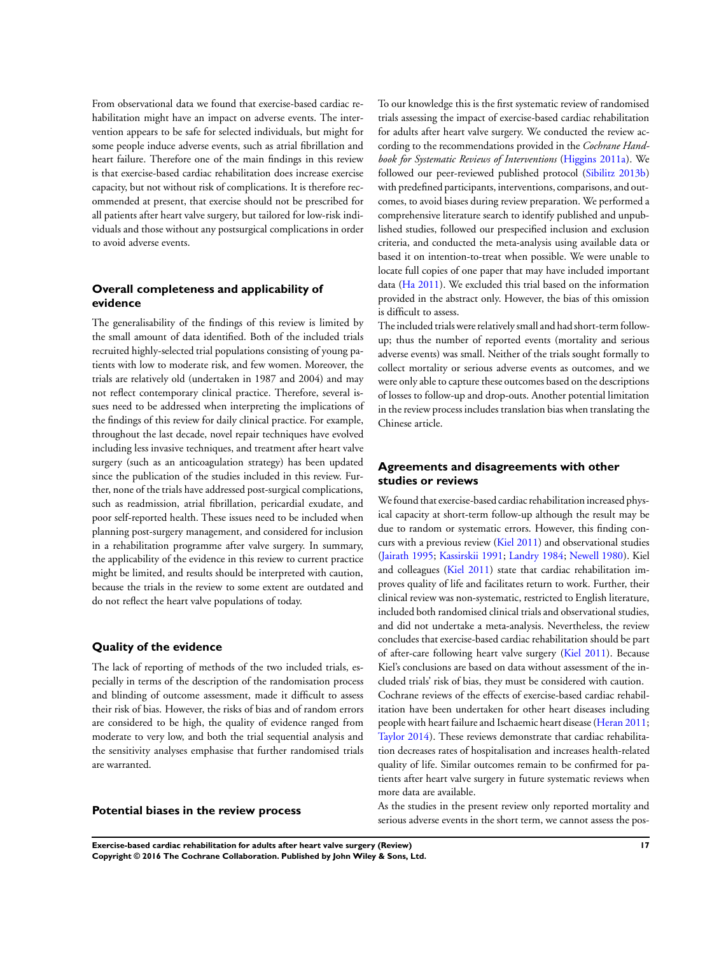From observational data we found that exercise-based cardiac rehabilitation might have an impact on adverse events. The intervention appears to be safe for selected individuals, but might for some people induce adverse events, such as atrial fibrillation and heart failure. Therefore one of the main findings in this review is that exercise-based cardiac rehabilitation does increase exercise capacity, but not without risk of complications. It is therefore recommended at present, that exercise should not be prescribed for all patients after heart valve surgery, but tailored for low-risk individuals and those without any postsurgical complications in order to avoid adverse events.

## **Overall completeness and applicability of evidence**

The generalisability of the findings of this review is limited by the small amount of data identified. Both of the included trials recruited highly-selected trial populations consisting of young patients with low to moderate risk, and few women. Moreover, the trials are relatively old (undertaken in 1987 and 2004) and may not reflect contemporary clinical practice. Therefore, several issues need to be addressed when interpreting the implications of the findings of this review for daily clinical practice. For example, throughout the last decade, novel repair techniques have evolved including less invasive techniques, and treatment after heart valve surgery (such as an anticoagulation strategy) has been updated since the publication of the studies included in this review. Further, none of the trials have addressed post-surgical complications, such as readmission, atrial fibrillation, pericardial exudate, and poor self-reported health. These issues need to be included when planning post-surgery management, and considered for inclusion in a rehabilitation programme after valve surgery. In summary, the applicability of the evidence in this review to current practice might be limited, and results should be interpreted with caution, because the trials in the review to some extent are outdated and do not reflect the heart valve populations of today.

## **Quality of the evidence**

The lack of reporting of methods of the two included trials, especially in terms of the description of the randomisation process and blinding of outcome assessment, made it difficult to assess their risk of bias. However, the risks of bias and of random errors are considered to be high, the quality of evidence ranged from moderate to very low, and both the trial sequential analysis and the sensitivity analyses emphasise that further randomised trials are warranted.

### **Potential biases in the review process**

To our knowledge this is the first systematic review of randomised trials assessing the impact of exercise-based cardiac rehabilitation for adults after heart valve surgery. We conducted the review according to the recommendations provided in the *Cochrane Handbook for Systematic Reviews of Interventions* ([Higgins 2011a\)](#page-20-0). We followed our peer-reviewed published protocol [\(Sibilitz 2013b](#page-20-0)) with predefined participants, interventions, comparisons, and outcomes, to avoid biases during review preparation. We performed a comprehensive literature search to identify published and unpublished studies, followed our prespecified inclusion and exclusion criteria, and conducted the meta-analysis using available data or based it on intention-to-treat when possible. We were unable to locate full copies of one paper that may have included important data [\(Ha 2011](#page-20-0)). We excluded this trial based on the information provided in the abstract only. However, the bias of this omission is difficult to assess.

The included trials were relatively small and had short-term followup; thus the number of reported events (mortality and serious adverse events) was small. Neither of the trials sought formally to collect mortality or serious adverse events as outcomes, and we were only able to capture these outcomes based on the descriptions of losses to follow-up and drop-outs. Another potential limitation in the review process includes translation bias when translating the Chinese article.

## **Agreements and disagreements with other studies or reviews**

We found that exercise-based cardiac rehabilitation increased physical capacity at short-term follow-up although the result may be due to random or systematic errors. However, this finding concurs with a previous review ([Kiel 2011](#page-20-0)) and observational studies [\(Jairath 1995](#page-20-0); [Kassirskii 1991](#page-20-0); [Landry 1984](#page-20-0); [Newell 1980](#page-20-0)). Kiel and colleagues [\(Kiel 2011\)](#page-20-0) state that cardiac rehabilitation improves quality of life and facilitates return to work. Further, their clinical review was non-systematic, restricted to English literature, included both randomised clinical trials and observational studies, and did not undertake a meta-analysis. Nevertheless, the review concludes that exercise-based cardiac rehabilitation should be part of after-care following heart valve surgery [\(Kiel 2011\)](#page-20-0). Because Kiel's conclusions are based on data without assessment of the included trials' risk of bias, they must be considered with caution. Cochrane reviews of the effects of exercise-based cardiac rehabilitation have been undertaken for other heart diseases including people with heart failure and Ischaemic heart disease [\(Heran 2011;](#page-20-0) [Taylor 2014\)](#page-20-0). These reviews demonstrate that cardiac rehabilitation decreases rates of hospitalisation and increases health-related quality of life. Similar outcomes remain to be confirmed for patients after heart valve surgery in future systematic reviews when more data are available.

As the studies in the present review only reported mortality and serious adverse events in the short term, we cannot assess the pos-

**Exercise-based cardiac rehabilitation for adults after heart valve surgery (Review) 17 Copyright © 2016 The Cochrane Collaboration. Published by John Wiley & Sons, Ltd.**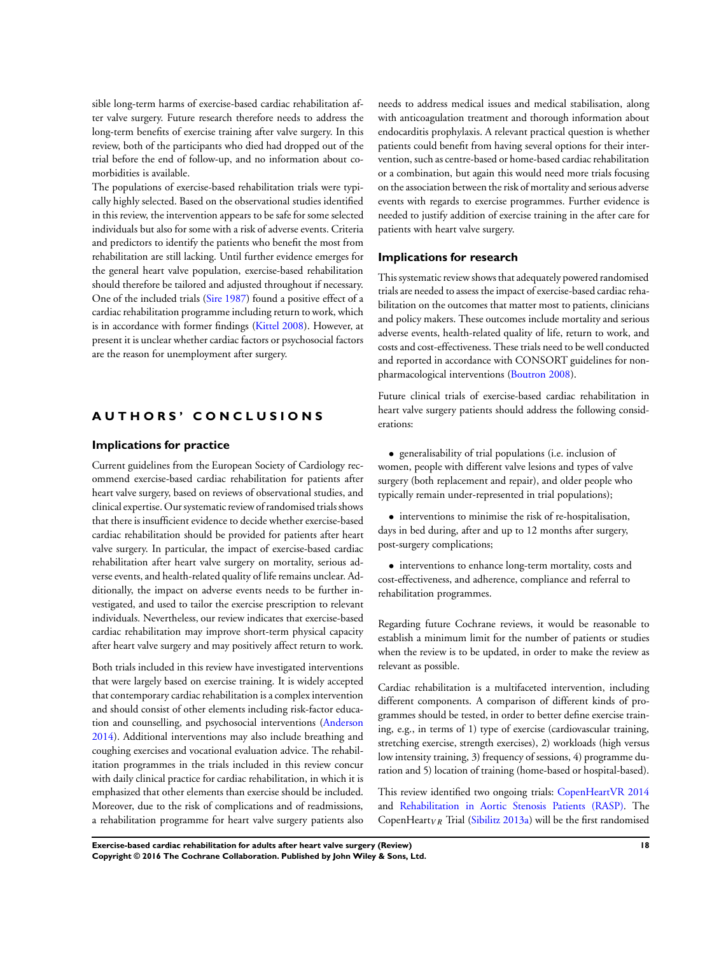sible long-term harms of exercise-based cardiac rehabilitation after valve surgery. Future research therefore needs to address the long-term benefits of exercise training after valve surgery. In this review, both of the participants who died had dropped out of the trial before the end of follow-up, and no information about comorbidities is available.

The populations of exercise-based rehabilitation trials were typically highly selected. Based on the observational studies identified in this review, the intervention appears to be safe for some selected individuals but also for some with a risk of adverse events. Criteria and predictors to identify the patients who benefit the most from rehabilitation are still lacking. Until further evidence emerges for the general heart valve population, exercise-based rehabilitation should therefore be tailored and adjusted throughout if necessary. One of the included trials ([Sire 1987](#page-20-0)) found a positive effect of a cardiac rehabilitation programme including return to work, which is in accordance with former findings ([Kittel 2008\)](#page-20-0). However, at present it is unclear whether cardiac factors or psychosocial factors are the reason for unemployment after surgery.

# **A U T H O R S ' C O N C L U S I O N S**

## **Implications for practice**

Current guidelines from the European Society of Cardiology recommend exercise-based cardiac rehabilitation for patients after heart valve surgery, based on reviews of observational studies, and clinical expertise. Our systematic review of randomised trials shows that there is insufficient evidence to decide whether exercise-based cardiac rehabilitation should be provided for patients after heart valve surgery. In particular, the impact of exercise-based cardiac rehabilitation after heart valve surgery on mortality, serious adverse events, and health-related quality of life remains unclear. Additionally, the impact on adverse events needs to be further investigated, and used to tailor the exercise prescription to relevant individuals. Nevertheless, our review indicates that exercise-based cardiac rehabilitation may improve short-term physical capacity after heart valve surgery and may positively affect return to work.

Both trials included in this review have investigated interventions that were largely based on exercise training. It is widely accepted that contemporary cardiac rehabilitation is a complex intervention and should consist of other elements including risk-factor education and counselling, and psychosocial interventions ([Anderson](#page-20-0) [2014](#page-20-0)). Additional interventions may also include breathing and coughing exercises and vocational evaluation advice. The rehabilitation programmes in the trials included in this review concur with daily clinical practice for cardiac rehabilitation, in which it is emphasized that other elements than exercise should be included. Moreover, due to the risk of complications and of readmissions, a rehabilitation programme for heart valve surgery patients also

needs to address medical issues and medical stabilisation, along with anticoagulation treatment and thorough information about endocarditis prophylaxis. A relevant practical question is whether patients could benefit from having several options for their intervention, such as centre-based or home-based cardiac rehabilitation or a combination, but again this would need more trials focusing on the association between the risk of mortality and serious adverse events with regards to exercise programmes. Further evidence is needed to justify addition of exercise training in the after care for patients with heart valve surgery.

## **Implications for research**

This systematic review shows that adequately powered randomised trials are needed to assess the impact of exercise-based cardiac rehabilitation on the outcomes that matter most to patients, clinicians and policy makers. These outcomes include mortality and serious adverse events, health-related quality of life, return to work, and costs and cost-effectiveness. These trials need to be well conducted and reported in accordance with CONSORT guidelines for nonpharmacological interventions [\(Boutron 2008\)](#page-20-0).

Future clinical trials of exercise-based cardiac rehabilitation in heart valve surgery patients should address the following considerations:

• generalisability of trial populations (i.e. inclusion of women, people with different valve lesions and types of valve surgery (both replacement and repair), and older people who typically remain under-represented in trial populations);

• interventions to minimise the risk of re-hospitalisation, days in bed during, after and up to 12 months after surgery, post-surgery complications;

• interventions to enhance long-term mortality, costs and cost-effectiveness, and adherence, compliance and referral to rehabilitation programmes.

Regarding future Cochrane reviews, it would be reasonable to establish a minimum limit for the number of patients or studies when the review is to be updated, in order to make the review as relevant as possible.

Cardiac rehabilitation is a multifaceted intervention, including different components. A comparison of different kinds of programmes should be tested, in order to better define exercise training, e.g., in terms of 1) type of exercise (cardiovascular training, stretching exercise, strength exercises), 2) workloads (high versus low intensity training, 3) frequency of sessions, 4) programme duration and 5) location of training (home-based or hospital-based).

This review identified two ongoing trials: [CopenHeartVR 2014](#page-20-0) and [Rehabilitation in Aortic Stenosis Patients \(RASP\).](#page-20-0) The CopenHeart<sub>VR</sub> Trial [\(Sibilitz 2013a](#page-20-0)) will be the first randomised

**Exercise-based cardiac rehabilitation for adults after heart valve surgery (Review) 18 Copyright © 2016 The Cochrane Collaboration. Published by John Wiley & Sons, Ltd.**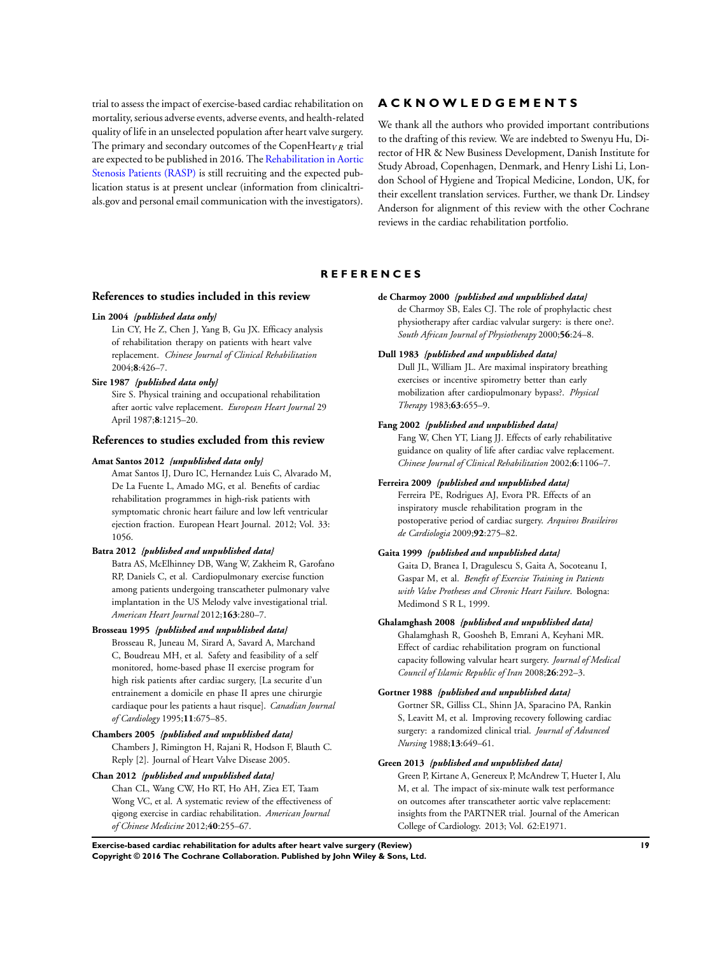<span id="page-20-0"></span>trial to assess the impact of exercise-based cardiac rehabilitation on mortality, serious adverse events, adverse events, and health-related quality of life in an unselected population after heart valve surgery. The primary and secondary outcomes of the CopenHeart<sub>VR</sub> trial are expected to be published in 2016. The Rehabilitation in Aortic Stenosis Patients (RASP) is still recruiting and the expected publication status is at present unclear (information from clinicaltrials.gov and personal email communication with the investigators).

# **A C K N O W L E D G E M E N T S**

We thank all the authors who provided important contributions to the drafting of this review. We are indebted to Swenyu Hu, Director of HR & New Business Development, Danish Institute for Study Abroad, Copenhagen, Denmark, and Henry Lishi Li, London School of Hygiene and Tropical Medicine, London, UK, for their excellent translation services. Further, we thank Dr. Lindsey Anderson for alignment of this review with the other Cochrane reviews in the cardiac rehabilitation portfolio.

## **R E F E R E N C E S**

## **References to studies included in this review**

#### **Lin 2004** *{published data only}*

Lin CY, He Z, Chen J, Yang B, Gu JX. Efficacy analysis of rehabilitation therapy on patients with heart valve replacement. *Chinese Journal of Clinical Rehabilitation* 2004;**8**:426–7.

## **Sire 1987** *{published data only}*

Sire S. Physical training and occupational rehabilitation after aortic valve replacement. *European Heart Journal* 29 April 1987;**8**:1215–20.

# **References to studies excluded from this review**

#### **Amat Santos 2012** *{unpublished data only}*

Amat Santos IJ, Duro IC, Hernandez Luis C, Alvarado M, De La Fuente L, Amado MG, et al. Benefits of cardiac rehabilitation programmes in high-risk patients with symptomatic chronic heart failure and low left ventricular ejection fraction. European Heart Journal. 2012; Vol. 33: 1056.

#### **Batra 2012** *{published and unpublished data}*

Batra AS, McElhinney DB, Wang W, Zakheim R, Garofano RP, Daniels C, et al. Cardiopulmonary exercise function among patients undergoing transcatheter pulmonary valve implantation in the US Melody valve investigational trial. *American Heart Journal* 2012;**163**:280–7.

## **Brosseau 1995** *{published and unpublished data}*

Brosseau R, Juneau M, Sirard A, Savard A, Marchand C, Boudreau MH, et al. Safety and feasibility of a self monitored, home-based phase II exercise program for high risk patients after cardiac surgery, [La securite d'un entrainement a domicile en phase II apres une chirurgie cardiaque pour les patients a haut risque]. *Canadian Journal of Cardiology* 1995;**11**:675–85.

#### **Chambers 2005** *{published and unpublished data}*

Chambers J, Rimington H, Rajani R, Hodson F, Blauth C. Reply [2]. Journal of Heart Valve Disease 2005.

#### **Chan 2012** *{published and unpublished data}*

Chan CL, Wang CW, Ho RT, Ho AH, Ziea ET, Taam Wong VC, et al. A systematic review of the effectiveness of qigong exercise in cardiac rehabilitation. *American Journal of Chinese Medicine* 2012;**40**:255–67.

#### **de Charmoy 2000** *{published and unpublished data}*

de Charmoy SB, Eales CJ. The role of prophylactic chest physiotherapy after cardiac valvular surgery: is there one?. *South African Journal of Physiotherapy* 2000;**56**:24–8.

## **Dull 1983** *{published and unpublished data}*

Dull JL, William JL. Are maximal inspiratory breathing exercises or incentive spirometry better than early mobilization after cardiopulmonary bypass?. *Physical Therapy* 1983;**63**:655–9.

#### **Fang 2002** *{published and unpublished data}*

Fang W, Chen YT, Liang JJ. Effects of early rehabilitative guidance on quality of life after cardiac valve replacement. *Chinese Journal of Clinical Rehabilitation* 2002;**6**:1106–7.

#### **Ferreira 2009** *{published and unpublished data}*

Ferreira PE, Rodrigues AJ, Evora PR. Effects of an inspiratory muscle rehabilitation program in the postoperative period of cardiac surgery. *Arquivos Brasileiros de Cardiologia* 2009;**92**:275–82.

#### **Gaita 1999** *{published and unpublished data}*

Gaita D, Branea I, Dragulescu S, Gaita A, Socoteanu I, Gaspar M, et al. *Benefit of Exercise Training in Patients with Valve Protheses and Chronic Heart Failure*. Bologna: Medimond S R L, 1999.

#### **Ghalamghash 2008** *{published and unpublished data}*

Ghalamghash R, Goosheh B, Emrani A, Keyhani MR. Effect of cardiac rehabilitation program on functional capacity following valvular heart surgery. *Journal of Medical Council of Islamic Republic of Iran* 2008;**26**:292–3.

## **Gortner 1988** *{published and unpublished data}*

Gortner SR, Gilliss CL, Shinn JA, Sparacino PA, Rankin S, Leavitt M, et al. Improving recovery following cardiac surgery: a randomized clinical trial. *Journal of Advanced Nursing* 1988;**13**:649–61.

### **Green 2013** *{published and unpublished data}*

Green P, Kirtane A, Genereux P, McAndrew T, Hueter I, Alu M, et al. The impact of six-minute walk test performance on outcomes after transcatheter aortic valve replacement: insights from the PARTNER trial. Journal of the American College of Cardiology. 2013; Vol. 62:E1971.

**Exercise-based cardiac rehabilitation for adults after heart valve surgery (Review) 19 Copyright © 2016 The Cochrane Collaboration. Published by John Wiley & Sons, Ltd.**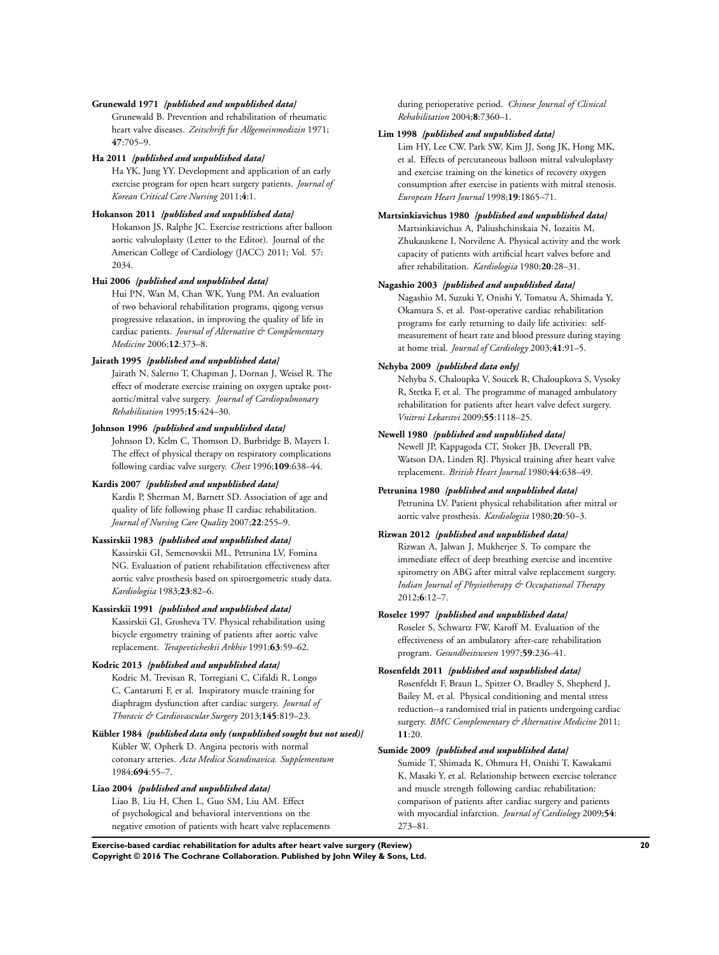#### **Grunewald 1971** *{published and unpublished data}*

Grunewald B. Prevention and rehabilitation of rheumatic heart valve diseases. *Zeitschrift fur Allgemeinmedizin* 1971; **47**:705–9.

## **Ha 2011** *{published and unpublished data}*

Ha YK, Jung YY. Development and application of an early exercise program for open heart surgery patients. *Journal of Korean Critical Care Nursing* 2011;**4**:1.

## **Hokanson 2011** *{published and unpublished data}*

Hokanson JS, Ralphe JC. Exercise restrictions after balloon aortic valvuloplasty (Letter to the Editor). Journal of the American College of Cardiology (JACC) 2011; Vol. 57: 2034.

## **Hui 2006** *{published and unpublished data}*

Hui PN, Wan M, Chan WK, Yung PM. An evaluation of two behavioral rehabilitation programs, qigong versus progressive relaxation, in improving the quality of life in cardiac patients. *Journal of Alternative & Complementary Medicine* 2006;**12**:373–8.

## **Jairath 1995** *{published and unpublished data}*

Jairath N, Salerno T, Chapman J, Dornan J, Weisel R. The effect of moderate exercise training on oxygen uptake postaortic/mitral valve surgery. *Journal of Cardiopulmonary Rehabilitation* 1995;**15**:424–30.

#### **Johnson 1996** *{published and unpublished data}*

Johnson D, Kelm C, Thomson D, Burbridge B, Mayers I. The effect of physical therapy on respiratory complications following cardiac valve surgery. *Chest* 1996;**109**:638–44.

#### **Kardis 2007** *{published and unpublished data}*

Kardis P, Sherman M, Barnett SD. Association of age and quality of life following phase II cardiac rehabilitation. *Journal of Nursing Care Quality* 2007;**22**:255–9.

## **Kassirskii 1983** *{published and unpublished data}*

Kassirskii GI, Semenovskii ML, Petrunina LV, Fomina NG. Evaluation of patient rehabilitation effectiveness after aortic valve prosthesis based on spiroergometric study data. *Kardiologiia* 1983;**23**:82–6.

### **Kassirskii 1991** *{published and unpublished data}*

Kassirskii GI, Grosheva TV. Physical rehabilitation using bicycle ergometry training of patients after aortic valve replacement. *Terapevticheskii Arkhiv* 1991;**63**:59–62.

## **Kodric 2013** *{published and unpublished data}*

Kodric M, Trevisan R, Torregiani C, Cifaldi R, Longo C, Cantarutti F, et al. Inspiratory muscle training for diaphragm dysfunction after cardiac surgery. *Journal of Thoracic & Cardiovascular Surgery* 2013;**145**:819–23.

# **Kübler 1984** *{published data only (unpublished sought but not used)}*

Kübler W, Opherk D. Angina pectoris with normal coronary arteries. *Acta Medica Scandinavica. Supplementum* 1984;**694**:55–7.

#### **Liao 2004** *{published and unpublished data}*

Liao B, Liu H, Chen L, Guo SM, Liu AM. Effect of psychological and behavioral interventions on the negative emotion of patients with heart valve replacements during perioperative period. *Chinese Journal of Clinical Rehabilitation* 2004;**8**:7360–1.

## **Lim 1998** *{published and unpublished data}*

Lim HY, Lee CW, Park SW, Kim JJ, Song JK, Hong MK, et al. Effects of percutaneous balloon mitral valvuloplasty and exercise training on the kinetics of recovery oxygen consumption after exercise in patients with mitral stenosis. *European Heart Journal* 1998;**19**:1865–71.

## **Martsinkiavichus 1980** *{published and unpublished data}*

Martsinkiavichus A, Paliushchinskaia N, Iozaitis M, Zhukauskene I, Norvilene A. Physical activity and the work capacity of patients with artificial heart valves before and after rehabilitation. *Kardiologiia* 1980;**20**:28–31.

#### **Nagashio 2003** *{published and unpublished data}*

Nagashio M, Suzuki Y, Onishi Y, Tomatsu A, Shimada Y, Okamura S, et al. Post-operative cardiac rehabilitation programs for early returning to daily life activities: selfmeasurement of heart rate and blood pressure during staying at home trial. *Journal of Cardiology* 2003;**41**:91–5.

#### **Nehyba 2009** *{published data only}*

Nehyba S, Chaloupka V, Soucek R, Chaloupkova S, Vysoky R, Stetka F, et al. The programme of managed ambulatory rehabilitation for patients after heart valve defect surgery. *Vnitrni Lekarstvi* 2009;**55**:1118–25.

## **Newell 1980** *{published and unpublished data}*

Newell JP, Kappagoda CT, Stoker JB, Deverall PB, Watson DA, Linden RJ. Physical training after heart valve replacement. *British Heart Journal* 1980;**44**:638–49.

## **Petrunina 1980** *{published and unpublished data}*

Petrunina LV. Patient physical rehabilitation after mitral or aortic valve prosthesis. *Kardiologiia* 1980;**20**:50–3.

## **Rizwan 2012** *{published and unpublished data}*

Rizwan A, Jalwan J, Mukherjee S. To compare the immediate effect of deep breathing exercise and incentive spirometry on ABG after mitral valve replacement surgery. *Indian Journal of Physiotherapy & Occupational Therapy* 2012;**6**:12–7.

## **Roseler 1997** *{published and unpublished data}*

Roseler S, Schwartz FW, Karoff M. Evaluation of the effectiveness of an ambulatory after-care rehabilitation program. *Gesundheitswesen* 1997;**59**:236–41.

### **Rosenfeldt 2011** *{published and unpublished data}*

Rosenfeldt F, Braun L, Spitzer O, Bradley S, Shepherd J, Bailey M, et al. Physical conditioning and mental stress reduction--a randomised trial in patients undergoing cardiac surgery. *BMC Complementary & Alternative Medicine* 2011; **11**:20.

#### **Sumide 2009** *{published and unpublished data}*

Sumide T, Shimada K, Ohmura H, Onishi T, Kawakami K, Masaki Y, et al. Relationship between exercise tolerance and muscle strength following cardiac rehabilitation: comparison of patients after cardiac surgery and patients with myocardial infarction. *Journal of Cardiology* 2009;**54**: 273–81.

**Exercise-based cardiac rehabilitation for adults after heart valve surgery (Review) 20 Copyright © 2016 The Cochrane Collaboration. Published by John Wiley & Sons, Ltd.**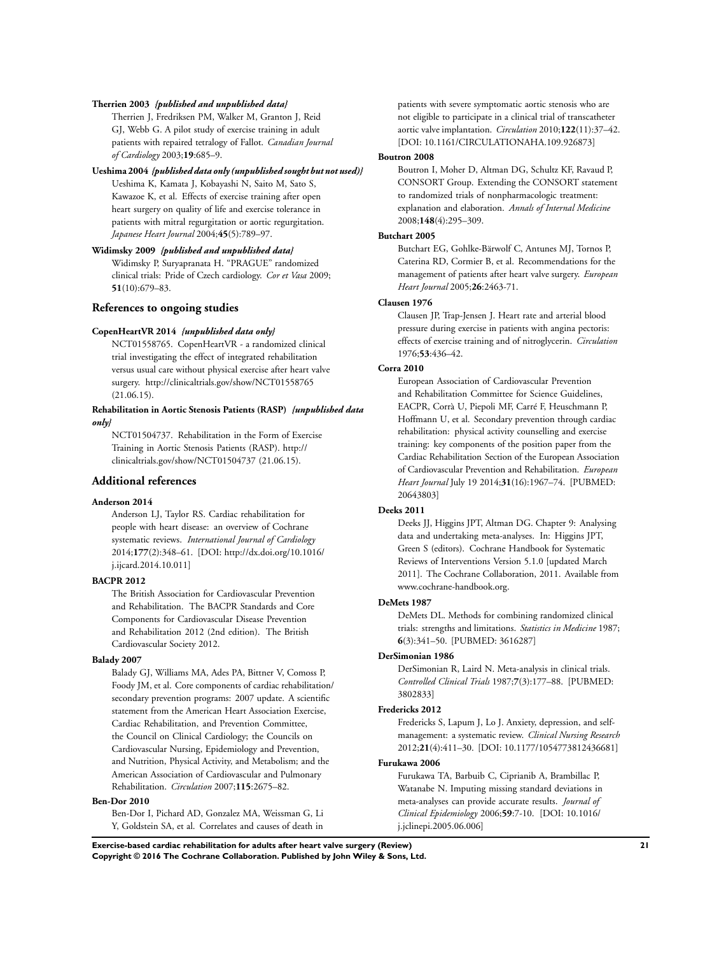### **Therrien 2003** *{published and unpublished data}*

Therrien J, Fredriksen PM, Walker M, Granton J, Reid GJ, Webb G. A pilot study of exercise training in adult patients with repaired tetralogy of Fallot. *Canadian Journal of Cardiology* 2003;**19**:685–9.

#### **Ueshima 2004** *{published data only (unpublished sought but not used)}*

Ueshima K, Kamata J, Kobayashi N, Saito M, Sato S, Kawazoe K, et al. Effects of exercise training after open heart surgery on quality of life and exercise tolerance in patients with mitral regurgitation or aortic regurgitation. *Japanese Heart Journal* 2004;**45**(5):789–97.

**Widimsky 2009** *{published and unpublished data}* Widimsky P, Suryapranata H. "PRAGUE" randomized clinical trials: Pride of Czech cardiology. *Cor et Vasa* 2009; **51**(10):679–83.

#### **References to ongoing studies**

#### **CopenHeartVR 2014** *{unpublished data only}*

NCT01558765. CopenHeartVR - a randomized clinical trial investigating the effect of integrated rehabilitation versus usual care without physical exercise after heart valve surgery. http://clinicaltrials.gov/show/NCT01558765  $(21.06.15).$ 

**Rehabilitation in Aortic Stenosis Patients (RASP)** *{unpublished data only}*

NCT01504737. Rehabilitation in the Form of Exercise Training in Aortic Stenosis Patients (RASP). http:// clinicaltrials.gov/show/NCT01504737 (21.06.15).

## **Additional references**

## **Anderson 2014**

Anderson LJ, Taylor RS. Cardiac rehabilitation for people with heart disease: an overview of Cochrane systematic reviews. *International Journal of Cardiology* 2014;**177**(2):348–61. [DOI: http://dx.doi.org/10.1016/ j.ijcard.2014.10.011]

## **BACPR 2012**

The British Association for Cardiovascular Prevention and Rehabilitation. The BACPR Standards and Core Components for Cardiovascular Disease Prevention and Rehabilitation 2012 (2nd edition). The British Cardiovascular Society 2012.

# **Balady 2007**

Balady GJ, Williams MA, Ades PA, Bittner V, Comoss P, Foody JM, et al. Core components of cardiac rehabilitation/ secondary prevention programs: 2007 update. A scientific statement from the American Heart Association Exercise, Cardiac Rehabilitation, and Prevention Committee, the Council on Clinical Cardiology; the Councils on Cardiovascular Nursing, Epidemiology and Prevention, and Nutrition, Physical Activity, and Metabolism; and the American Association of Cardiovascular and Pulmonary Rehabilitation. *Circulation* 2007;**115**:2675–82.

## **Ben-Dor 2010**

Ben-Dor I, Pichard AD, Gonzalez MA, Weissman G, Li Y, Goldstein SA, et al. Correlates and causes of death in

patients with severe symptomatic aortic stenosis who are not eligible to participate in a clinical trial of transcatheter aortic valve implantation. *Circulation* 2010;**122**(11):37–42. [DOI: 10.1161/CIRCULATIONAHA.109.926873]

#### **Boutron 2008**

Boutron I, Moher D, Altman DG, Schultz KF, Ravaud P, CONSORT Group. Extending the CONSORT statement to randomized trials of nonpharmacologic treatment: explanation and elaboration. *Annals of Internal Medicine* 2008;**148**(4):295–309.

## **Butchart 2005**

Butchart EG, Gohlke-Bärwolf C, Antunes MJ, Tornos P, Caterina RD, Cormier B, et al. Recommendations for the management of patients after heart valve surgery. *European Heart Journal* 2005;**26**:2463-71.

#### **Clausen 1976**

Clausen JP, Trap-Jensen J. Heart rate and arterial blood pressure during exercise in patients with angina pectoris: effects of exercise training and of nitroglycerin. *Circulation* 1976;**53**:436–42.

## **Corra 2010**

European Association of Cardiovascular Prevention and Rehabilitation Committee for Science Guidelines, EACPR, Corrà U, Piepoli MF, Carré F, Heuschmann P, Hoffmann U, et al. Secondary prevention through cardiac rehabilitation: physical activity counselling and exercise training: key components of the position paper from the Cardiac Rehabilitation Section of the European Association of Cardiovascular Prevention and Rehabilitation. *European Heart Journal* July 19 2014;**31**(16):1967–74. [PUBMED: 20643803]

#### **Deeks 2011**

Deeks JJ, Higgins JPT, Altman DG. Chapter 9: Analysing data and undertaking meta-analyses. In: Higgins JPT, Green S (editors). Cochrane Handbook for Systematic Reviews of Interventions Version 5.1.0 [updated March 2011]. The Cochrane Collaboration, 2011. Available from www.cochrane-handbook.org.

#### **DeMets 1987**

DeMets DL. Methods for combining randomized clinical trials: strengths and limitations. *Statistics in Medicine* 1987; **6**(3):341–50. [PUBMED: 3616287]

#### **DerSimonian 1986**

DerSimonian R, Laird N. Meta-analysis in clinical trials. *Controlled Clinical Trials* 1987;**7**(3):177–88. [PUBMED: 3802833]

#### **Fredericks 2012**

Fredericks S, Lapum J, Lo J. Anxiety, depression, and selfmanagement: a systematic review. *Clinical Nursing Research* 2012;**21**(4):411–30. [DOI: 10.1177/1054773812436681]

### **Furukawa 2006**

Furukawa TA, Barbuib C, Ciprianib A, Brambillac P, Watanabe N. Imputing missing standard deviations in meta-analyses can provide accurate results. *Journal of Clinical Epidemiology* 2006;**59**:7-10. [DOI: 10.1016/ j.jclinepi.2005.06.006]

**Exercise-based cardiac rehabilitation for adults after heart valve surgery (Review) 21 Copyright © 2016 The Cochrane Collaboration. Published by John Wiley & Sons, Ltd.**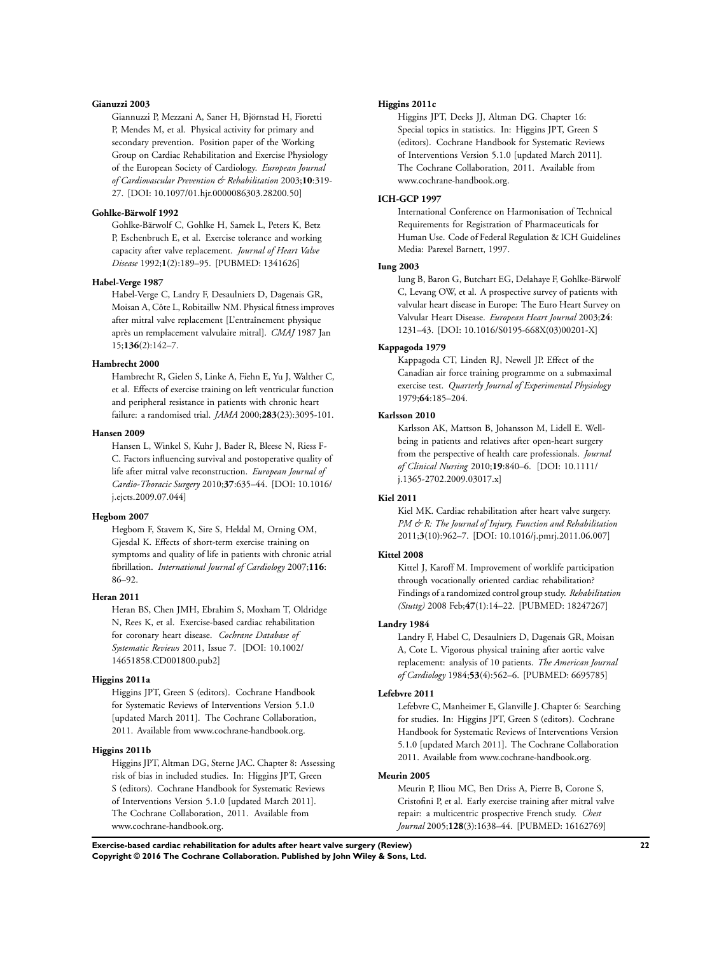#### **Gianuzzi 2003**

Giannuzzi P, Mezzani A, Saner H, Björnstad H, Fioretti P, Mendes M, et al. Physical activity for primary and secondary prevention. Position paper of the Working Group on Cardiac Rehabilitation and Exercise Physiology of the European Society of Cardiology. *European Journal of Cardiovascular Prevention & Rehabilitation* 2003;**10**:319- 27. [DOI: 10.1097/01.hjr.0000086303.28200.50]

#### **Gohlke-Bärwolf 1992**

Gohlke-Bärwolf C, Gohlke H, Samek L, Peters K, Betz P, Eschenbruch E, et al. Exercise tolerance and working capacity after valve replacement. *Journal of Heart Valve Disease* 1992;**1**(2):189–95. [PUBMED: 1341626]

#### **Habel-Verge 1987**

Habel-Verge C, Landry F, Desaulniers D, Dagenais GR, Moisan A, Côte L, Robitaillw NM. Physical fitness improves after mitral valve replacement [L'entraînement physique après un remplacement valvulaire mitral]. *CMAJ* 1987 Jan 15;**136**(2):142–7.

#### **Hambrecht 2000**

Hambrecht R, Gielen S, Linke A, Fiehn E, Yu J, Walther C, et al. Effects of exercise training on left ventricular function and peripheral resistance in patients with chronic heart failure: a randomised trial. *JAMA* 2000;**283**(23):3095-101.

### **Hansen 2009**

Hansen L, Winkel S, Kuhr J, Bader R, Bleese N, Riess F-C. Factors influencing survival and postoperative quality of life after mitral valve reconstruction. *European Journal of Cardio-Thoracic Surgery* 2010;**37**:635–44. [DOI: 10.1016/ j.ejcts.2009.07.044]

## **Hegbom 2007**

Hegbom F, Stavem K, Sire S, Heldal M, Orning OM, Gjesdal K. Effects of short-term exercise training on symptoms and quality of life in patients with chronic atrial fibrillation. *International Journal of Cardiology* 2007;**116**: 86–92.

#### **Heran 2011**

Heran BS, Chen JMH, Ebrahim S, Moxham T, Oldridge N, Rees K, et al. Exercise-based cardiac rehabilitation for coronary heart disease. *Cochrane Database of Systematic Reviews* 2011, Issue 7. [DOI: 10.1002/ 14651858.CD001800.pub2]

#### **Higgins 2011a**

Higgins JPT, Green S (editors). Cochrane Handbook for Systematic Reviews of Interventions Version 5.1.0 [updated March 2011]. The Cochrane Collaboration, 2011. Available from www.cochrane-handbook.org.

## **Higgins 2011b**

Higgins JPT, Altman DG, Sterne JAC. Chapter 8: Assessing risk of bias in included studies. In: Higgins JPT, Green S (editors). Cochrane Handbook for Systematic Reviews of Interventions Version 5.1.0 [updated March 2011]. The Cochrane Collaboration, 2011. Available from www.cochrane-handbook.org.

#### **Higgins 2011c**

Higgins JPT, Deeks JJ, Altman DG. Chapter 16: Special topics in statistics. In: Higgins JPT, Green S (editors). Cochrane Handbook for Systematic Reviews of Interventions Version 5.1.0 [updated March 2011]. The Cochrane Collaboration, 2011. Available from www.cochrane-handbook.org.

## **ICH-GCP 1997**

International Conference on Harmonisation of Technical Requirements for Registration of Pharmaceuticals for Human Use. Code of Federal Regulation & ICH Guidelines Media: Parexel Barnett, 1997.

#### **Iung 2003**

Iung B, Baron G, Butchart EG, Delahaye F, Gohlke-Bärwolf C, Levang OW, et al. A prospective survey of patients with valvular heart disease in Europe: The Euro Heart Survey on Valvular Heart Disease. *European Heart Journal* 2003;**24**: 1231–43. [DOI: 10.1016/S0195-668X(03)00201-X]

## **Kappagoda 1979**

Kappagoda CT, Linden RJ, Newell JP. Effect of the Canadian air force training programme on a submaximal exercise test. *Quarterly Journal of Experimental Physiology* 1979;**64**:185–204.

## **Karlsson 2010**

Karlsson AK, Mattson B, Johansson M, Lidell E. Wellbeing in patients and relatives after open-heart surgery from the perspective of health care professionals. *Journal of Clinical Nursing* 2010;**19**:840–6. [DOI: 10.1111/ j.1365-2702.2009.03017.x]

## **Kiel 2011**

Kiel MK. Cardiac rehabilitation after heart valve surgery. *PM & R: The Journal of Injury, Function and Rehabilitation* 2011;**3**(10):962–7. [DOI: 10.1016/j.pmrj.2011.06.007]

#### **Kittel 2008**

Kittel J, Karoff M. Improvement of worklife participation through vocationally oriented cardiac rehabilitation? Findings of a randomized control group study. *Rehabilitation (Stuttg)* 2008 Feb;**47**(1):14–22. [PUBMED: 18247267]

#### **Landry 1984**

Landry F, Habel C, Desaulniers D, Dagenais GR, Moisan A, Cote L. Vigorous physical training after aortic valve replacement: analysis of 10 patients. *The American Journal of Cardiology* 1984;**53**(4):562–6. [PUBMED: 6695785]

#### **Lefebvre 2011**

Lefebvre C, Manheimer E, Glanville J. Chapter 6: Searching for studies. In: Higgins JPT, Green S (editors). Cochrane Handbook for Systematic Reviews of Interventions Version 5.1.0 [updated March 2011]. The Cochrane Collaboration 2011. Available from www.cochrane-handbook.org.

## **Meurin 2005**

Meurin P, Iliou MC, Ben Driss A, Pierre B, Corone S, Cristofini P, et al. Early exercise training after mitral valve repair: a multicentric prospective French study. *Chest Journal* 2005;**128**(3):1638–44. [PUBMED: 16162769]

**Exercise-based cardiac rehabilitation for adults after heart valve surgery (Review) 22 Copyright © 2016 The Cochrane Collaboration. Published by John Wiley & Sons, Ltd.**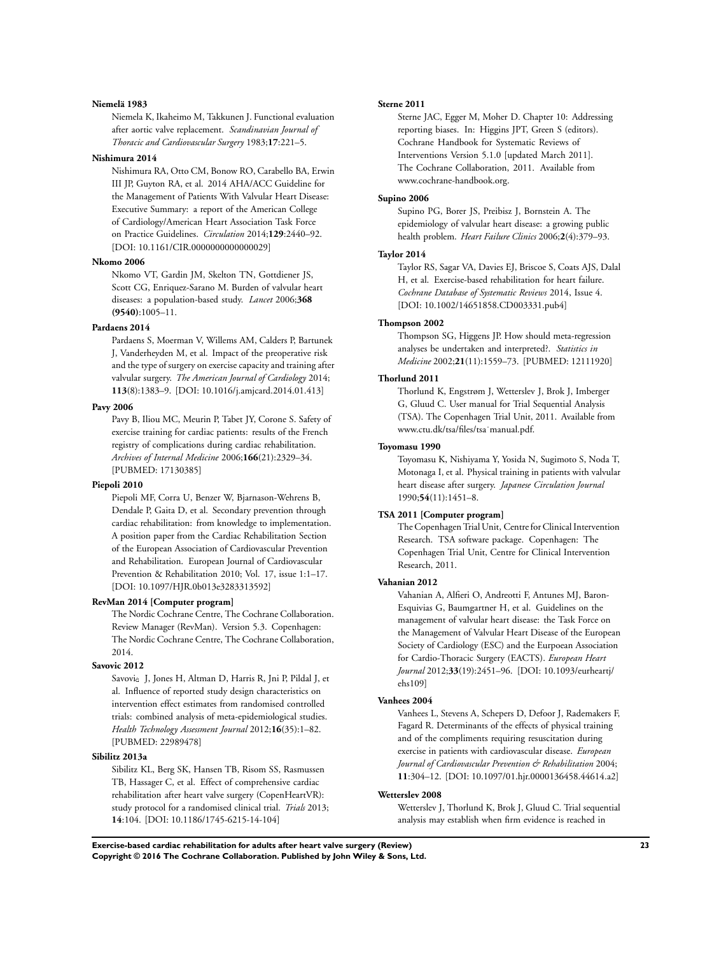#### **Niemelä 1983**

Niemela K, Ikaheimo M, Takkunen J. Functional evaluation after aortic valve replacement. *Scandinavian Journal of Thoracic and Cardiovascular Surgery* 1983;**17**:221–5.

## **Nishimura 2014**

Nishimura RA, Otto CM, Bonow RO, Carabello BA, Erwin III JP, Guyton RA, et al. 2014 AHA/ACC Guideline for the Management of Patients With Valvular Heart Disease: Executive Summary: a report of the American College of Cardiology/American Heart Association Task Force on Practice Guidelines. *Circulation* 2014;**129**:2440–92. [DOI: 10.1161/CIR.0000000000000029]

#### **Nkomo 2006**

Nkomo VT, Gardin JM, Skelton TN, Gottdiener JS, Scott CG, Enriquez-Sarano M. Burden of valvular heart diseases: a population-based study. *Lancet* 2006;**368 (9540)**:1005–11.

## **Pardaens 2014**

Pardaens S, Moerman V, Willems AM, Calders P, Bartunek J, Vanderheyden M, et al. Impact of the preoperative risk and the type of surgery on exercise capacity and training after valvular surgery. *The American Journal of Cardiology* 2014; **113**(8):1383–9. [DOI: 10.1016/j.amjcard.2014.01.413]

#### **Pavy 2006**

Pavy B, Iliou MC, Meurin P, Tabet JY, Corone S. Safety of exercise training for cardiac patients: results of the French registry of complications during cardiac rehabilitation. *Archives of Internal Medicine* 2006;**166**(21):2329–34. [PUBMED: 17130385]

# **Piepoli 2010**

Piepoli MF, Corra U, Benzer W, Bjarnason-Wehrens B, Dendale P, Gaita D, et al. Secondary prevention through cardiac rehabilitation: from knowledge to implementation. A position paper from the Cardiac Rehabilitation Section of the European Association of Cardiovascular Prevention and Rehabilitation. European Journal of Cardiovascular Prevention & Rehabilitation 2010; Vol. 17, issue 1:1–17. [DOI: 10.1097/HJR.0b013e3283313592]

## **RevMan 2014 [Computer program]**

The Nordic Cochrane Centre, The Cochrane Collaboration. Review Manager (RevMan). Version 5.3. Copenhagen: The Nordic Cochrane Centre, The Cochrane Collaboration, 2014.

## **Savovic 2012**

Savovic J, Jones H, Altman D, Harris R, Jni P, Pildal J, et al. Influence of reported study design characteristics on intervention effect estimates from randomised controlled trials: combined analysis of meta-epidemiological studies. *Health Technology Assessment Journal* 2012;**16**(35):1–82. [PUBMED: 22989478]

## **Sibilitz 2013a**

Sibilitz KL, Berg SK, Hansen TB, Risom SS, Rasmussen TB, Hassager C, et al. Effect of comprehensive cardiac rehabilitation after heart valve surgery (CopenHeartVR): study protocol for a randomised clinical trial. *Trials* 2013; **14**:104. [DOI: 10.1186/1745-6215-14-104]

#### **Sterne 2011**

Sterne JAC, Egger M, Moher D. Chapter 10: Addressing reporting biases. In: Higgins JPT, Green S (editors). Cochrane Handbook for Systematic Reviews of Interventions Version 5.1.0 [updated March 2011]. The Cochrane Collaboration, 2011. Available from www.cochrane-handbook.org.

# **Supino 2006**

Supino PG, Borer JS, Preibisz J, Bornstein A. The epidemiology of valvular heart disease: a growing public health problem. *Heart Failure Clinics* 2006;**2**(4):379–93.

### **Taylor 2014**

Taylor RS, Sagar VA, Davies EJ, Briscoe S, Coats AJS, Dalal H, et al. Exercise-based rehabilitation for heart failure. *Cochrane Database of Systematic Reviews* 2014, Issue 4. [DOI: 10.1002/14651858.CD003331.pub4]

## **Thompson 2002**

Thompson SG, Higgens JP. How should meta-regression analyses be undertaken and interpreted?. *Statistics in Medicine* 2002;**21**(11):1559–73. [PUBMED: 12111920]

#### **Thorlund 2011**

Thorlund K, Engstrøm J, Wetterslev J, Brok J, Imberger G, Gluud C. User manual for Trial Sequential Analysis (TSA). The Copenhagen Trial Unit, 2011. Available from www.ctu.dk/tsa/files/tsa˙manual.pdf.

## **Toyomasu 1990**

Toyomasu K, Nishiyama Y, Yosida N, Sugimoto S, Noda T, Motonaga I, et al. Physical training in patients with valvular heart disease after surgery. *Japanese Circulation Journal* 1990;**54**(11):1451–8.

## **TSA 2011 [Computer program]**

The Copenhagen Trial Unit, Centre for Clinical Intervention Research. TSA software package. Copenhagen: The Copenhagen Trial Unit, Centre for Clinical Intervention Research, 2011.

#### **Vahanian 2012**

Vahanian A, Alfieri O, Andreotti F, Antunes MJ, Baron-Esquivias G, Baumgartner H, et al. Guidelines on the management of valvular heart disease: the Task Force on the Management of Valvular Heart Disease of the European Society of Cardiology (ESC) and the Eurpoean Association for Cardio-Thoracic Surgery (EACTS). *European Heart Journal* 2012;**33**(19):2451–96. [DOI: 10.1093/eurheartj/ ehs109]

## **Vanhees 2004**

Vanhees L, Stevens A, Schepers D, Defoor J, Rademakers F, Fagard R. Determinants of the effects of physical training and of the compliments requiring resuscitation during exercise in patients with cardiovascular disease. *European Journal of Cardiovascular Prevention & Rehabilitation* 2004; **11**:304–12. [DOI: 10.1097/01.hjr.0000136458.44614.a2]

#### **Wetterslev 2008**

Wetterslev J, Thorlund K, Brok J, Gluud C. Trial sequential analysis may establish when firm evidence is reached in

**Exercise-based cardiac rehabilitation for adults after heart valve surgery (Review) 23 Copyright © 2016 The Cochrane Collaboration. Published by John Wiley & Sons, Ltd.**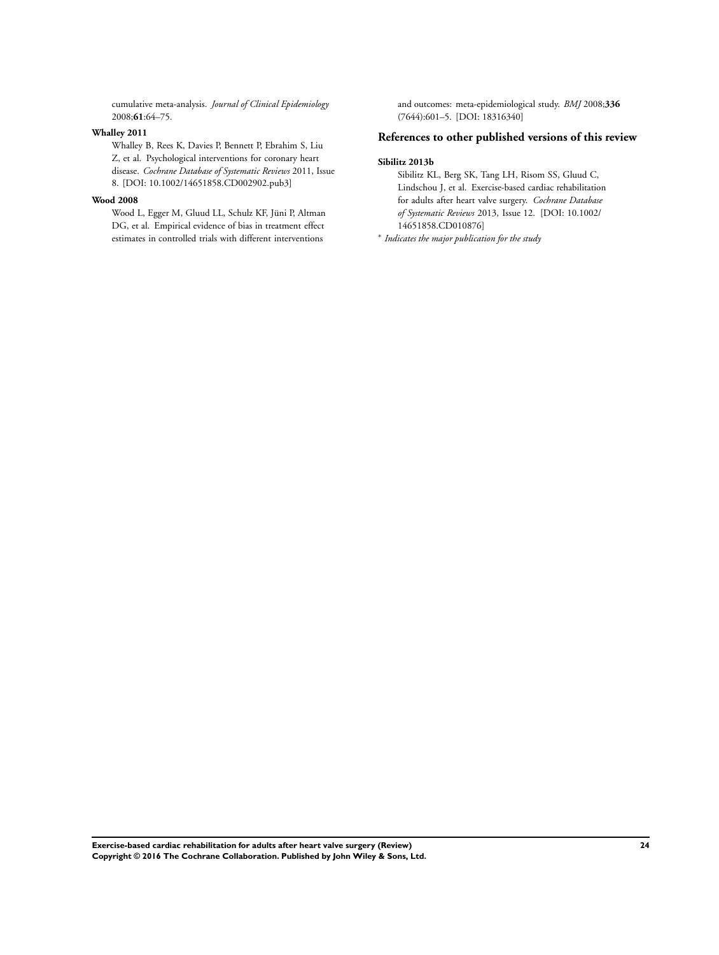cumulative meta-analysis. *Journal of Clinical Epidemiology* 2008;**61**:64–75.

## **Whalley 2011**

Whalley B, Rees K, Davies P, Bennett P, Ebrahim S, Liu Z, et al. Psychological interventions for coronary heart disease. *Cochrane Database of Systematic Reviews* 2011, Issue 8. [DOI: 10.1002/14651858.CD002902.pub3]

## **Wood 2008**

Wood L, Egger M, Gluud LL, Schulz KF, Jüni P, Altman DG, et al. Empirical evidence of bias in treatment effect estimates in controlled trials with different interventions

and outcomes: meta-epidemiological study. *BMJ* 2008;**336** (7644):601–5. [DOI: 18316340]

# **References to other published versions of this review**

#### **Sibilitz 2013b**

Sibilitz KL, Berg SK, Tang LH, Risom SS, Gluud C, Lindschou J, et al. Exercise-based cardiac rehabilitation for adults after heart valve surgery. *Cochrane Database of Systematic Reviews* 2013, Issue 12. [DOI: 10.1002/ 14651858.CD010876]

∗ *Indicates the major publication for the study*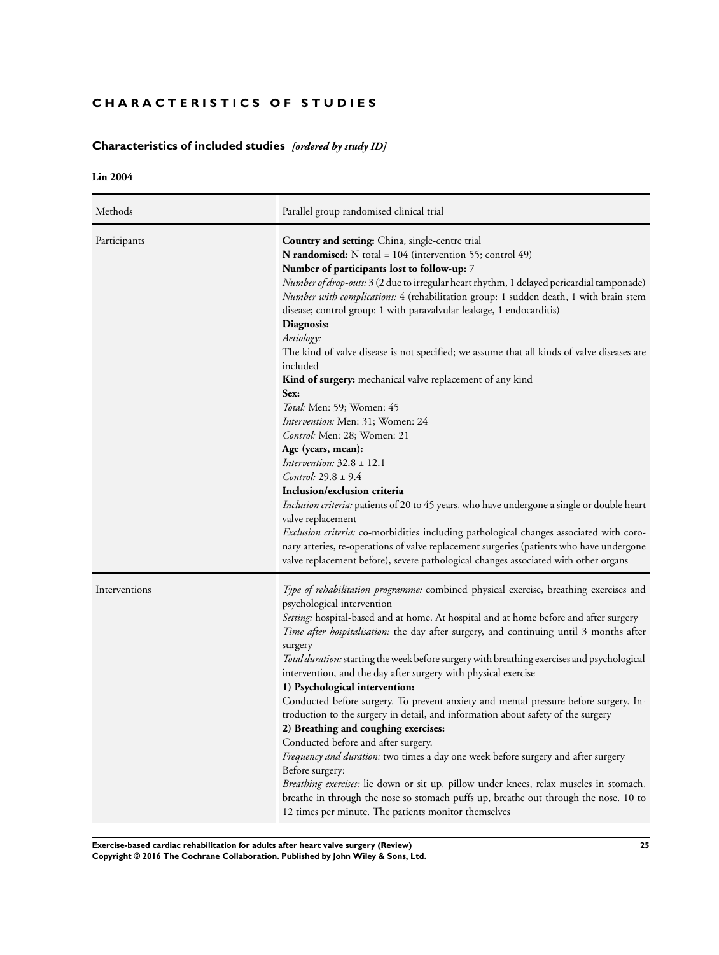# <span id="page-26-0"></span>**CHARACTERISTICS OF STUDIES**

# **Characteristics of included studies** *[ordered by study ID]*

**Lin 2004**

| Methods       | Parallel group randomised clinical trial                                                                                                                                                                                                                                                                                                                                                                                                                                                                                                                                                                                                                                                                                                                                                                                                                                                                                                                                                                                                                                                                                                                                                                                                                                              |
|---------------|---------------------------------------------------------------------------------------------------------------------------------------------------------------------------------------------------------------------------------------------------------------------------------------------------------------------------------------------------------------------------------------------------------------------------------------------------------------------------------------------------------------------------------------------------------------------------------------------------------------------------------------------------------------------------------------------------------------------------------------------------------------------------------------------------------------------------------------------------------------------------------------------------------------------------------------------------------------------------------------------------------------------------------------------------------------------------------------------------------------------------------------------------------------------------------------------------------------------------------------------------------------------------------------|
| Participants  | Country and setting: China, single-centre trial<br>N randomised: N total = 104 (intervention 55; control 49)<br>Number of participants lost to follow-up: 7<br>Number of drop-outs: 3 (2 due to irregular heart rhythm, 1 delayed pericardial tamponade)<br>Number with complications: 4 (rehabilitation group: 1 sudden death, 1 with brain stem<br>disease; control group: 1 with paravalvular leakage, 1 endocarditis)<br>Diagnosis:<br>Aetiology:<br>The kind of valve disease is not specified; we assume that all kinds of valve diseases are<br>included<br><b>Kind of surgery:</b> mechanical valve replacement of any kind<br>Sex:<br>Total: Men: 59; Women: 45<br>Intervention: Men: 31; Women: 24<br><i>Control:</i> Men: 28; Women: 21<br>Age (years, mean):<br>Intervention: $32.8 \pm 12.1$<br><i>Control</i> : $29.8 \pm 9.4$<br>Inclusion/exclusion criteria<br>Inclusion criteria: patients of 20 to 45 years, who have undergone a single or double heart<br>valve replacement<br><i>Exclusion criteria:</i> co-morbidities including pathological changes associated with coro-<br>nary arteries, re-operations of valve replacement surgeries (patients who have undergone<br>valve replacement before), severe pathological changes associated with other organs |
| Interventions | <i>Type of rehabilitation programme:</i> combined physical exercise, breathing exercises and<br>psychological intervention<br>Setting: hospital-based and at home. At hospital and at home before and after surgery<br>Time after hospitalisation: the day after surgery, and continuing until 3 months after<br>surgery<br>Total duration: starting the week before surgery with breathing exercises and psychological<br>intervention, and the day after surgery with physical exercise<br>1) Psychological intervention:<br>Conducted before surgery. To prevent anxiety and mental pressure before surgery. In-<br>troduction to the surgery in detail, and information about safety of the surgery<br>2) Breathing and coughing exercises:<br>Conducted before and after surgery.<br>Frequency and duration: two times a day one week before surgery and after surgery<br>Before surgery:<br>Breathing exercises: lie down or sit up, pillow under knees, relax muscles in stomach,<br>breathe in through the nose so stomach puffs up, breathe out through the nose. 10 to<br>12 times per minute. The patients monitor themselves                                                                                                                                              |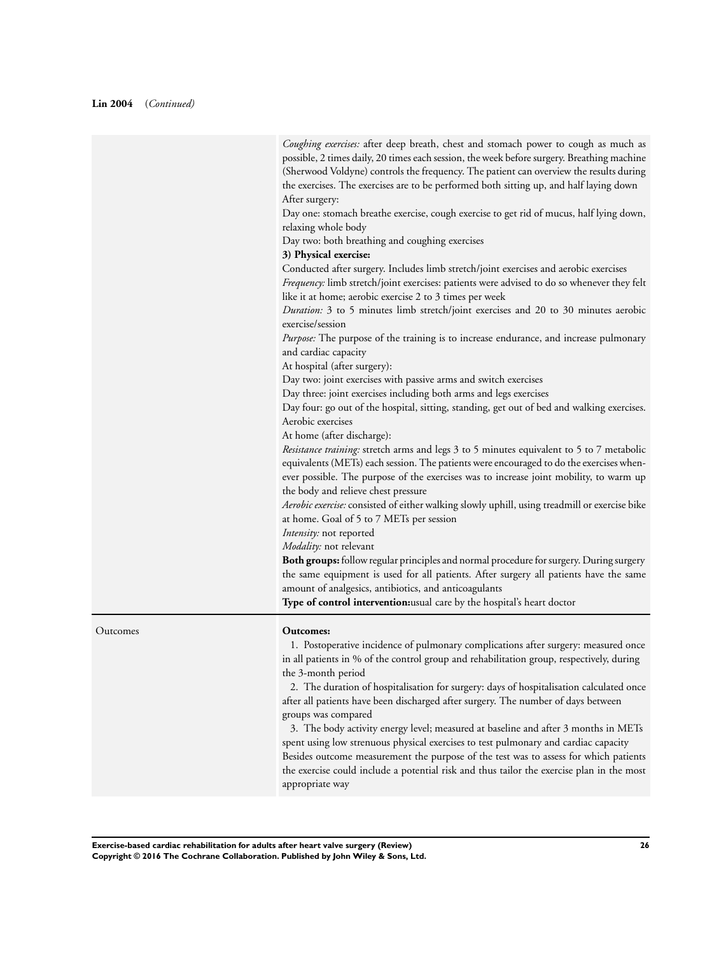*Coughing exercises:* after deep breath, chest and stomach power to cough as much as possible, 2 times daily, 20 times each session, the week before surgery. Breathing machine (Sherwood Voldyne) controls the frequency. The patient can overview the results during the exercises. The exercises are to be performed both sitting up, and half laying down After surgery:

Day one: stomach breathe exercise, cough exercise to get rid of mucus, half lying down, relaxing whole body

Day two: both breathing and coughing exercises

## **3) Physical exercise:**

Conducted after surgery. Includes limb stretch/joint exercises and aerobic exercises

*Frequency:* limb stretch/joint exercises: patients were advised to do so whenever they felt like it at home; aerobic exercise 2 to 3 times per week

*Duration:* 3 to 5 minutes limb stretch/joint exercises and 20 to 30 minutes aerobic exercise/session

*Purpose:* The purpose of the training is to increase endurance, and increase pulmonary and cardiac capacity

At hospital (after surgery):

Day two: joint exercises with passive arms and switch exercises

Day three: joint exercises including both arms and legs exercises

Day four: go out of the hospital, sitting, standing, get out of bed and walking exercises. Aerobic exercises

At home (after discharge):

*Resistance training:* stretch arms and legs 3 to 5 minutes equivalent to 5 to 7 metabolic equivalents (METs) each session. The patients were encouraged to do the exercises whenever possible. The purpose of the exercises was to increase joint mobility, to warm up the body and relieve chest pressure

*Aerobic exercise:* consisted of either walking slowly uphill, using treadmill or exercise bike at home. Goal of 5 to 7 METs per session

*Intensity:* not reported

*Modality:* not relevant

**Both groups:** follow regular principles and normal procedure for surgery. During surgery the same equipment is used for all patients. After surgery all patients have the same amount of analgesics, antibiotics, and anticoagulants

**Type of control intervention:**usual care by the hospital's heart doctor

Outcomes **Outcomes:**

1. Postoperative incidence of pulmonary complications after surgery: measured once in all patients in % of the control group and rehabilitation group, respectively, during the 3-month period

2. The duration of hospitalisation for surgery: days of hospitalisation calculated once after all patients have been discharged after surgery. The number of days between groups was compared

3. The body activity energy level; measured at baseline and after 3 months in METs spent using low strenuous physical exercises to test pulmonary and cardiac capacity Besides outcome measurement the purpose of the test was to assess for which patients the exercise could include a potential risk and thus tailor the exercise plan in the most appropriate way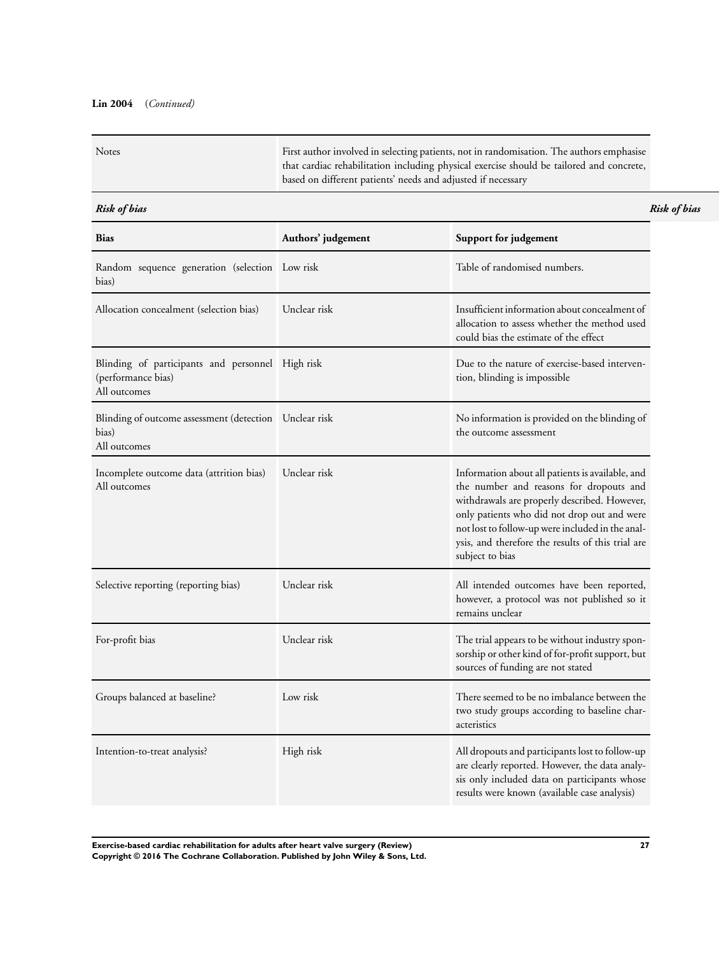# **Lin 2004** (*Continued)*

| <b>Notes</b> | First author involved in selecting patients, not in randomisation. The authors emphasise |
|--------------|------------------------------------------------------------------------------------------|
|              | that cardiac rehabilitation including physical exercise should be tailored and concrete, |
|              | based on different patients' needs and adjusted if necessary                             |

## *Risk of bias Risk of bias*

| <b>Bias</b>                                                                            | Authors' judgement | Support for judgement                                                                                                                                                                                                                                                                                                  |
|----------------------------------------------------------------------------------------|--------------------|------------------------------------------------------------------------------------------------------------------------------------------------------------------------------------------------------------------------------------------------------------------------------------------------------------------------|
| Random sequence generation (selection Low risk<br>bias)                                |                    | Table of randomised numbers.                                                                                                                                                                                                                                                                                           |
| Allocation concealment (selection bias)                                                | Unclear risk       | Insufficient information about concealment of<br>allocation to assess whether the method used<br>could bias the estimate of the effect                                                                                                                                                                                 |
| Blinding of participants and personnel High risk<br>(performance bias)<br>All outcomes |                    | Due to the nature of exercise-based interven-<br>tion, blinding is impossible                                                                                                                                                                                                                                          |
| Blinding of outcome assessment (detection Unclear risk<br>bias)<br>All outcomes        |                    | No information is provided on the blinding of<br>the outcome assessment                                                                                                                                                                                                                                                |
| Incomplete outcome data (attrition bias)<br>All outcomes                               | Unclear risk       | Information about all patients is available, and<br>the number and reasons for dropouts and<br>withdrawals are properly described. However,<br>only patients who did not drop out and were<br>not lost to follow-up were included in the anal-<br>ysis, and therefore the results of this trial are<br>subject to bias |
| Selective reporting (reporting bias)                                                   | Unclear risk       | All intended outcomes have been reported,<br>however, a protocol was not published so it<br>remains unclear                                                                                                                                                                                                            |
| For-profit bias                                                                        | Unclear risk       | The trial appears to be without industry spon-<br>sorship or other kind of for-profit support, but<br>sources of funding are not stated                                                                                                                                                                                |
| Groups balanced at baseline?                                                           | Low risk           | There seemed to be no imbalance between the<br>two study groups according to baseline char-<br>acteristics                                                                                                                                                                                                             |
| Intention-to-treat analysis?                                                           | High risk          | All dropouts and participants lost to follow-up<br>are clearly reported. However, the data analy-<br>sis only included data on participants whose<br>results were known (available case analysis)                                                                                                                      |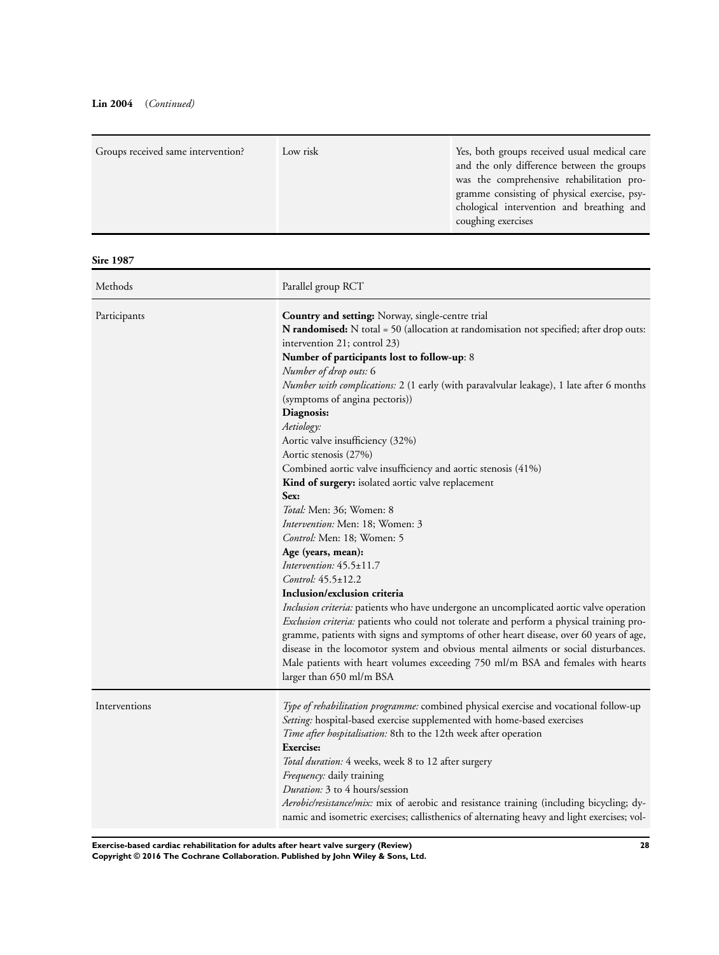# **Lin 2004** (*Continued)*

| Groups received same intervention? | Low risk | Yes, both groups received usual medical care |
|------------------------------------|----------|----------------------------------------------|
|                                    |          | and the only difference between the groups   |
|                                    |          | was the comprehensive rehabilitation pro-    |
|                                    |          | gramme consisting of physical exercise, psy- |
|                                    |          | chological intervention and breathing and    |
|                                    |          | coughing exercises                           |
|                                    |          |                                              |

**Sire 1987**

| Methods       | Parallel group RCT                                                                                                                                                                                                                                                                                                                                                                                                                                                                                                                                                                                                                                                                                                                                                                                                                                                                                                                                                                                                                                                                                                                                                                                                                                                                                                 |
|---------------|--------------------------------------------------------------------------------------------------------------------------------------------------------------------------------------------------------------------------------------------------------------------------------------------------------------------------------------------------------------------------------------------------------------------------------------------------------------------------------------------------------------------------------------------------------------------------------------------------------------------------------------------------------------------------------------------------------------------------------------------------------------------------------------------------------------------------------------------------------------------------------------------------------------------------------------------------------------------------------------------------------------------------------------------------------------------------------------------------------------------------------------------------------------------------------------------------------------------------------------------------------------------------------------------------------------------|
| Participants  | Country and setting: Norway, single-centre trial<br><b>N</b> randomised: N total = 50 (allocation at randomisation not specified; after drop outs:<br>intervention 21; control 23)<br>Number of participants lost to follow-up: 8<br>Number of drop outs: 6<br>Number with complications: 2 (1 early (with paravalvular leakage), 1 late after 6 months<br>(symptoms of angina pectoris))<br>Diagnosis:<br>Aetiology:<br>Aortic valve insufficiency (32%)<br>Aortic stenosis (27%)<br>Combined aortic valve insufficiency and aortic stenosis (41%)<br>Kind of surgery: isolated aortic valve replacement<br>Sex:<br>Total: Men: 36; Women: 8<br>Intervention: Men: 18; Women: 3<br>Control: Men: 18; Women: 5<br>Age (years, mean):<br>Intervention: $45.5 \pm 11.7$<br>Control: 45.5±12.2<br>Inclusion/exclusion criteria<br>Inclusion criteria: patients who have undergone an uncomplicated aortic valve operation<br>Exclusion criteria: patients who could not tolerate and perform a physical training pro-<br>gramme, patients with signs and symptoms of other heart disease, over 60 years of age,<br>disease in the locomotor system and obvious mental ailments or social disturbances.<br>Male patients with heart volumes exceeding 750 ml/m BSA and females with hearts<br>larger than 650 ml/m BSA |
| Interventions | Type of rehabilitation programme: combined physical exercise and vocational follow-up<br>Setting: hospital-based exercise supplemented with home-based exercises<br>Time after hospitalisation: 8th to the 12th week after operation<br><b>Exercise:</b><br>Total duration: 4 weeks, week 8 to 12 after surgery<br>Frequency: daily training<br>Duration: 3 to 4 hours/session<br>Aerobic/resistance/mix: mix of aerobic and resistance training (including bicycling; dy-<br>namic and isometric exercises; callisthenics of alternating heavy and light exercises; vol-                                                                                                                                                                                                                                                                                                                                                                                                                                                                                                                                                                                                                                                                                                                                          |

**Exercise-based cardiac rehabilitation for adults after heart valve surgery (Review) 28 Copyright © 2016 The Cochrane Collaboration. Published by John Wiley & Sons, Ltd.**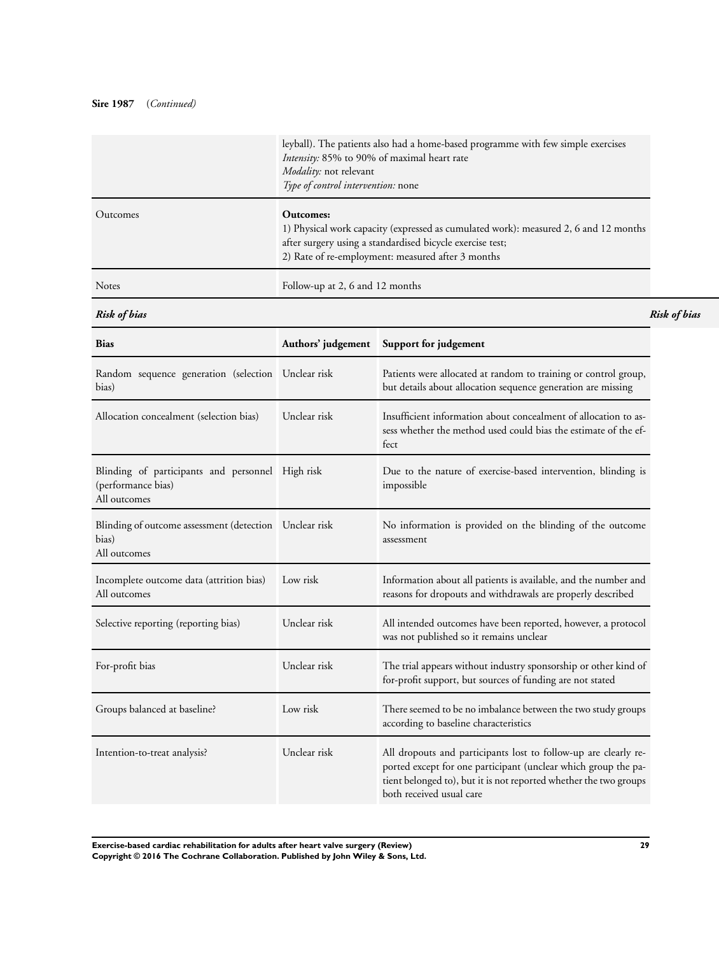# **Sire 1987** (*Continued)*

|              | leyball). The patients also had a home-based programme with few simple exercises<br>Intensity: 85% to 90% of maximal heart rate<br>Modality: not relevant<br>Type of control intervention: none                     |
|--------------|---------------------------------------------------------------------------------------------------------------------------------------------------------------------------------------------------------------------|
| Outcomes     | Outcomes:<br>1) Physical work capacity (expressed as cumulated work): measured 2, 6 and 12 months<br>after surgery using a standardised bicycle exercise test;<br>2) Rate of re-employment: measured after 3 months |
| <b>Notes</b> | Follow-up at 2, 6 and 12 months                                                                                                                                                                                     |

*Risk of bias Risk of bias*

| <b>Bias</b>                                                                            | Authors' judgement | Support for judgement                                                                                                                                                                                                              |
|----------------------------------------------------------------------------------------|--------------------|------------------------------------------------------------------------------------------------------------------------------------------------------------------------------------------------------------------------------------|
| Random sequence generation (selection Unclear risk<br>bias)                            |                    | Patients were allocated at random to training or control group,<br>but details about allocation sequence generation are missing                                                                                                    |
| Allocation concealment (selection bias)                                                | Unclear risk       | Insufficient information about concealment of allocation to as-<br>sess whether the method used could bias the estimate of the ef-<br>fect                                                                                         |
| Blinding of participants and personnel High risk<br>(performance bias)<br>All outcomes |                    | Due to the nature of exercise-based intervention, blinding is<br>impossible                                                                                                                                                        |
| Blinding of outcome assessment (detection Unclear risk<br>bias)<br>All outcomes        |                    | No information is provided on the blinding of the outcome<br>assessment                                                                                                                                                            |
| Incomplete outcome data (attrition bias)<br>All outcomes                               | Low risk           | Information about all patients is available, and the number and<br>reasons for dropouts and withdrawals are properly described                                                                                                     |
| Selective reporting (reporting bias)                                                   | Unclear risk       | All intended outcomes have been reported, however, a protocol<br>was not published so it remains unclear                                                                                                                           |
| For-profit bias                                                                        | Unclear risk       | The trial appears without industry sponsorship or other kind of<br>for-profit support, but sources of funding are not stated                                                                                                       |
| Groups balanced at baseline?                                                           | Low risk           | There seemed to be no imbalance between the two study groups<br>according to baseline characteristics                                                                                                                              |
| Intention-to-treat analysis?                                                           | Unclear risk       | All dropouts and participants lost to follow-up are clearly re-<br>ported except for one participant (unclear which group the pa-<br>tient belonged to), but it is not reported whether the two groups<br>both received usual care |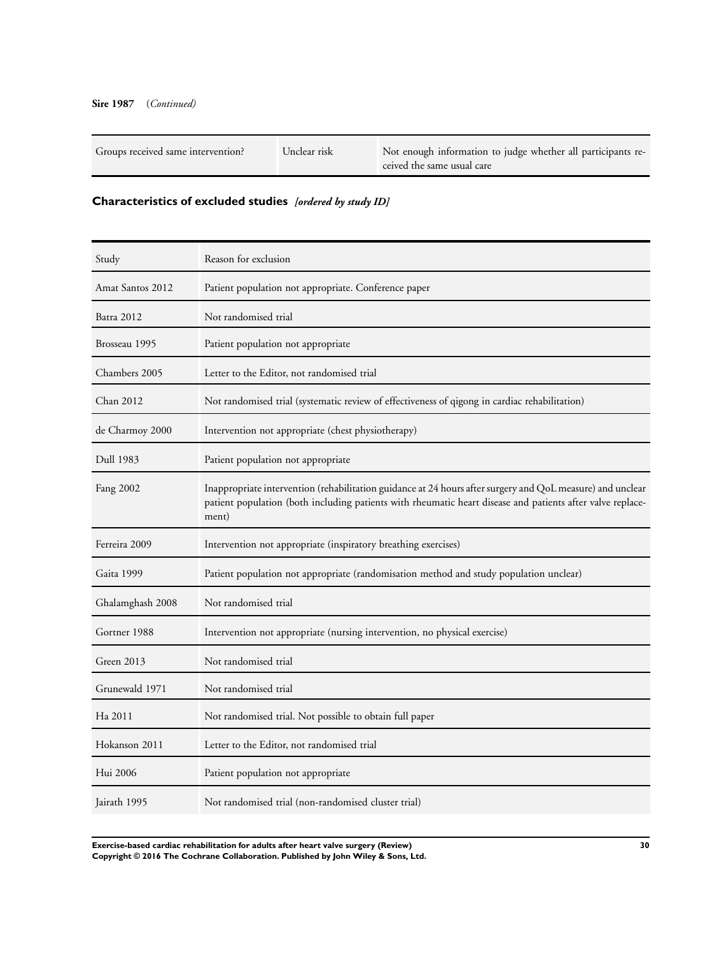<span id="page-31-0"></span>

| Groups received same intervention? | Unclear risk | Not enough information to judge whether all participants re-<br>ceived the same usual care |
|------------------------------------|--------------|--------------------------------------------------------------------------------------------|
|------------------------------------|--------------|--------------------------------------------------------------------------------------------|

# **Characteristics of excluded studies** *[ordered by study ID]*

| Study            | Reason for exclusion                                                                                                                                                                                                              |
|------------------|-----------------------------------------------------------------------------------------------------------------------------------------------------------------------------------------------------------------------------------|
| Amat Santos 2012 | Patient population not appropriate. Conference paper                                                                                                                                                                              |
| Batra 2012       | Not randomised trial                                                                                                                                                                                                              |
| Brosseau 1995    | Patient population not appropriate                                                                                                                                                                                                |
| Chambers 2005    | Letter to the Editor, not randomised trial                                                                                                                                                                                        |
| Chan 2012        | Not randomised trial (systematic review of effectiveness of qigong in cardiac rehabilitation)                                                                                                                                     |
| de Charmoy 2000  | Intervention not appropriate (chest physiotherapy)                                                                                                                                                                                |
| Dull 1983        | Patient population not appropriate                                                                                                                                                                                                |
| Fang 2002        | Inappropriate intervention (rehabilitation guidance at 24 hours after surgery and QoL measure) and unclear<br>patient population (both including patients with rheumatic heart disease and patients after valve replace-<br>ment) |
| Ferreira 2009    | Intervention not appropriate (inspiratory breathing exercises)                                                                                                                                                                    |
| Gaita 1999       | Patient population not appropriate (randomisation method and study population unclear)                                                                                                                                            |
| Ghalamghash 2008 | Not randomised trial                                                                                                                                                                                                              |
| Gortner 1988     | Intervention not appropriate (nursing intervention, no physical exercise)                                                                                                                                                         |
| Green 2013       | Not randomised trial                                                                                                                                                                                                              |
| Grunewald 1971   | Not randomised trial                                                                                                                                                                                                              |
| Ha 2011          | Not randomised trial. Not possible to obtain full paper                                                                                                                                                                           |
| Hokanson 2011    | Letter to the Editor, not randomised trial                                                                                                                                                                                        |
| Hui 2006         | Patient population not appropriate                                                                                                                                                                                                |
| Jairath 1995     | Not randomised trial (non-randomised cluster trial)                                                                                                                                                                               |

**Exercise-based cardiac rehabilitation for adults after heart valve surgery (Review) 30 Copyright © 2016 The Cochrane Collaboration. Published by John Wiley & Sons, Ltd.**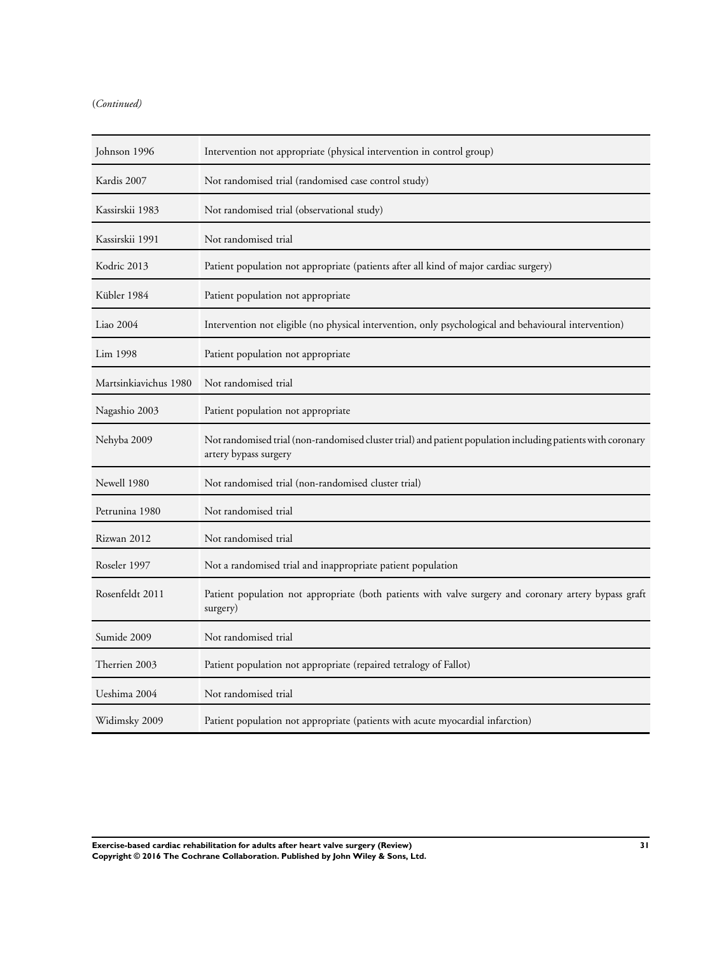# (*Continued)*

| Johnson 1996          | Intervention not appropriate (physical intervention in control group)                                                                |
|-----------------------|--------------------------------------------------------------------------------------------------------------------------------------|
| Kardis 2007           | Not randomised trial (randomised case control study)                                                                                 |
| Kassirskii 1983       | Not randomised trial (observational study)                                                                                           |
| Kassirskii 1991       | Not randomised trial                                                                                                                 |
| Kodric 2013           | Patient population not appropriate (patients after all kind of major cardiac surgery)                                                |
| Kübler 1984           | Patient population not appropriate                                                                                                   |
| Liao 2004             | Intervention not eligible (no physical intervention, only psychological and behavioural intervention)                                |
| Lim 1998              | Patient population not appropriate                                                                                                   |
| Martsinkiavichus 1980 | Not randomised trial                                                                                                                 |
| Nagashio 2003         | Patient population not appropriate                                                                                                   |
| Nehyba 2009           | Not randomised trial (non-randomised cluster trial) and patient population including patients with coronary<br>artery bypass surgery |
| Newell 1980           | Not randomised trial (non-randomised cluster trial)                                                                                  |
| Petrunina 1980        | Not randomised trial                                                                                                                 |
| Rizwan 2012           | Not randomised trial                                                                                                                 |
| Roseler 1997          | Not a randomised trial and inappropriate patient population                                                                          |
| Rosenfeldt 2011       | Patient population not appropriate (both patients with valve surgery and coronary artery bypass graft<br>surgery)                    |
| Sumide 2009           | Not randomised trial                                                                                                                 |
| Therrien 2003         | Patient population not appropriate (repaired tetralogy of Fallot)                                                                    |
| Ueshima 2004          | Not randomised trial                                                                                                                 |
| Widimsky 2009         | Patient population not appropriate (patients with acute myocardial infarction)                                                       |

**Exercise-based cardiac rehabilitation for adults after heart valve surgery (Review) 31 Copyright © 2016 The Cochrane Collaboration. Published by John Wiley & Sons, Ltd.**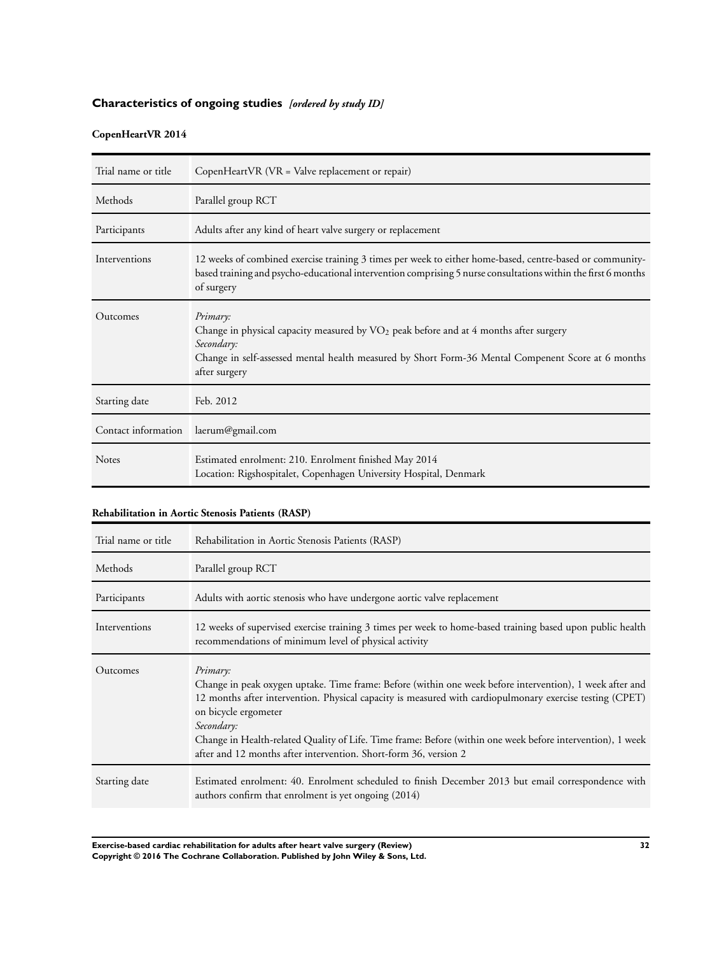# <span id="page-33-0"></span>**Characteristics of ongoing studies** *[ordered by study ID]*

# **CopenHeartVR 2014**

| Trial name or title | CopenHeartVR (VR = Valve replacement or repair)                                                                                                                                                                                          |
|---------------------|------------------------------------------------------------------------------------------------------------------------------------------------------------------------------------------------------------------------------------------|
| Methods             | Parallel group RCT                                                                                                                                                                                                                       |
| Participants        | Adults after any kind of heart valve surgery or replacement                                                                                                                                                                              |
| Interventions       | 12 weeks of combined exercise training 3 times per week to either home-based, centre-based or community-<br>based training and psycho-educational intervention comprising 5 nurse consultations within the first 6 months<br>of surgery  |
| Outcomes            | Primary:<br>Change in physical capacity measured by $VO2$ peak before and at 4 months after surgery<br>Secondary:<br>Change in self-assessed mental health measured by Short Form-36 Mental Compenent Score at 6 months<br>after surgery |
| Starting date       | Feb. 2012                                                                                                                                                                                                                                |
| Contact information | laerum@gmail.com                                                                                                                                                                                                                         |
| <b>Notes</b>        | Estimated enrolment: 210. Enrolment finished May 2014<br>Location: Rigshospitalet, Copenhagen University Hospital, Denmark                                                                                                               |

# **Rehabilitation in Aortic Stenosis Patients (RASP)**

| Trial name or title | Rehabilitation in Aortic Stenosis Patients (RASP)                                                                                                                                                                                                                                                                                                                                                                                                        |
|---------------------|----------------------------------------------------------------------------------------------------------------------------------------------------------------------------------------------------------------------------------------------------------------------------------------------------------------------------------------------------------------------------------------------------------------------------------------------------------|
| Methods             | Parallel group RCT                                                                                                                                                                                                                                                                                                                                                                                                                                       |
| Participants        | Adults with aortic stenosis who have undergone aortic valve replacement                                                                                                                                                                                                                                                                                                                                                                                  |
| Interventions       | 12 weeks of supervised exercise training 3 times per week to home-based training based upon public health<br>recommendations of minimum level of physical activity                                                                                                                                                                                                                                                                                       |
| Outcomes            | Primary:<br>Change in peak oxygen uptake. Time frame: Before (within one week before intervention), 1 week after and<br>12 months after intervention. Physical capacity is measured with cardiopulmonary exercise testing (CPET)<br>on bicycle ergometer<br>Secondary:<br>Change in Health-related Quality of Life. Time frame: Before (within one week before intervention), 1 week<br>after and 12 months after intervention. Short-form 36, version 2 |
| Starting date       | Estimated enrolment: 40. Enrolment scheduled to finish December 2013 but email correspondence with<br>authors confirm that enrolment is yet ongoing (2014)                                                                                                                                                                                                                                                                                               |

**Exercise-based cardiac rehabilitation for adults after heart valve surgery (Review) 32 Copyright © 2016 The Cochrane Collaboration. Published by John Wiley & Sons, Ltd.**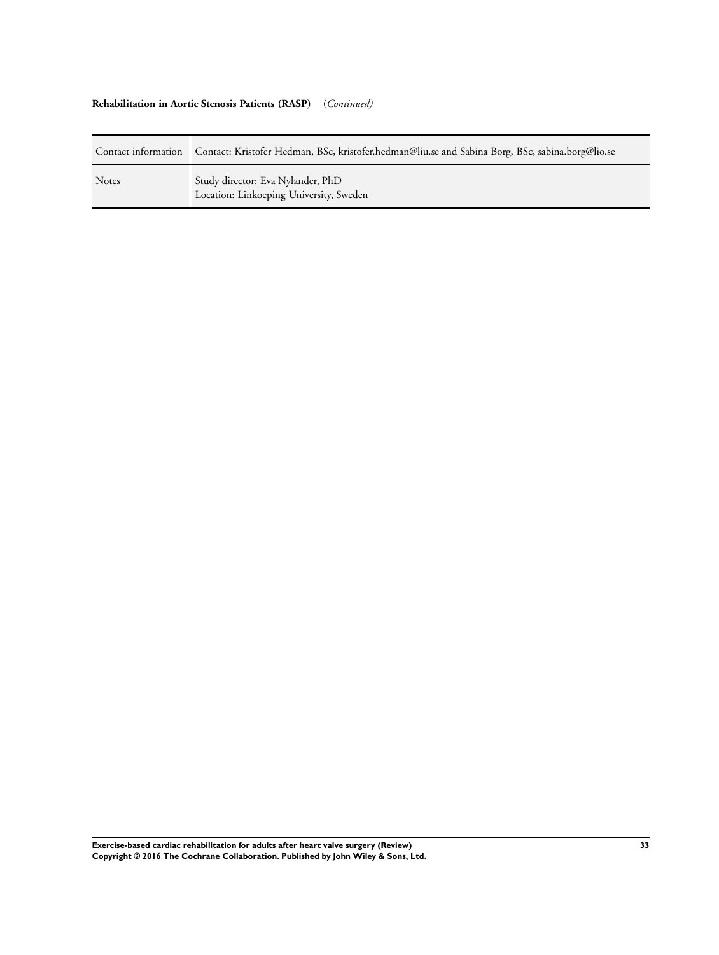# **Rehabilitation in Aortic Stenosis Patients (RASP)** (*Continued)*

| Contact information | Contact: Kristofer Hedman, BSc, kristofer.hedman@liu.se and Sabina Borg, BSc, sabina.borg@lio.se |
|---------------------|--------------------------------------------------------------------------------------------------|
| <b>Notes</b>        | Study director: Eva Nylander, PhD<br>Location: Linkoeping University, Sweden                     |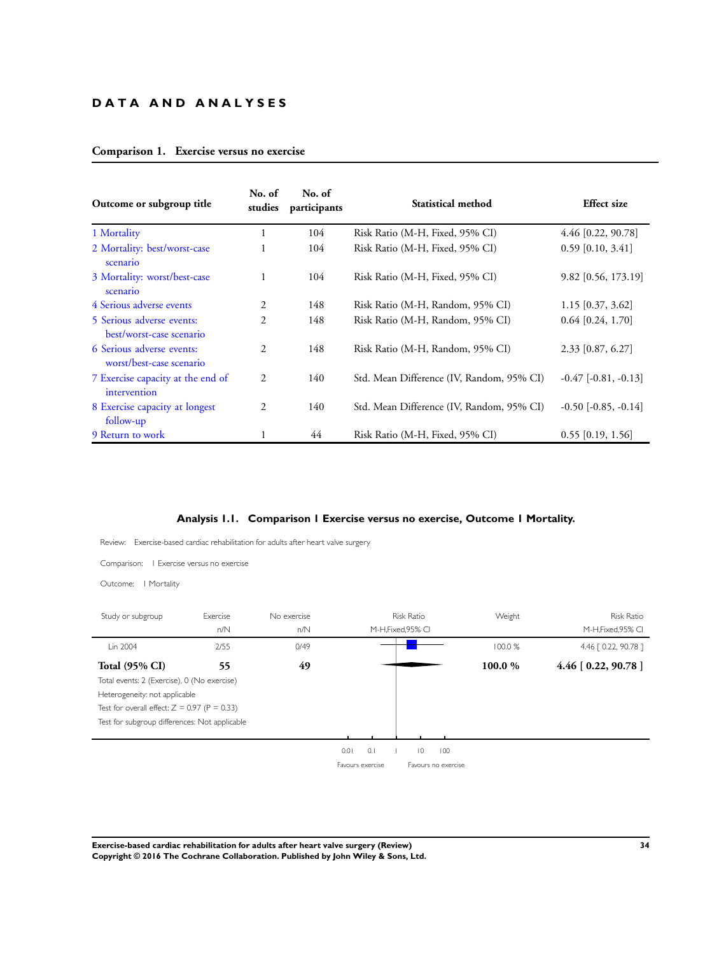# **D A T A A N D A N A L Y S E S**

| Comparison 1. Exercise versus no exercise |  |  |  |
|-------------------------------------------|--|--|--|

| Outcome or subgroup title                             | No. of<br>studies | No. of<br>participants | Statistical method                        | <b>Effect size</b>       |
|-------------------------------------------------------|-------------------|------------------------|-------------------------------------------|--------------------------|
| 1 Mortality                                           | 1                 | 104                    | Risk Ratio (M-H, Fixed, 95% CI)           | 4.46 [0.22, 90.78]       |
| 2 Mortality: best/worst-case<br>scenario              | 1                 | 104                    | Risk Ratio (M-H, Fixed, 95% CI)           | $0.59$ [0.10, 3.41]      |
| 3 Mortality: worst/best-case<br>scenario              |                   | 104                    | Risk Ratio (M-H, Fixed, 95% CI)           | 9.82 [0.56, 173.19]      |
| 4 Serious adverse events                              | 2                 | 148                    | Risk Ratio (M-H, Random, 95% CI)          | $1.15$ [0.37, 3.62]      |
| 5 Serious adverse events:<br>best/worst-case scenario | $\overline{2}$    | 148                    | Risk Ratio (M-H, Random, 95% CI)          | $0.64$ [0.24, 1.70]      |
| 6 Serious adverse events:<br>worst/best-case scenario | $\overline{c}$    | 148                    | Risk Ratio (M-H, Random, 95% CI)          | $2.33$ [0.87, 6.27]      |
| 7 Exercise capacity at the end of<br>intervention     | 2                 | 140                    | Std. Mean Difference (IV, Random, 95% CI) | $-0.47$ $[-0.81, -0.13]$ |
| 8 Exercise capacity at longest<br>follow-up           | 2                 | 140                    | Std. Mean Difference (IV, Random, 95% CI) | $-0.50$ $[-0.85, -0.14]$ |
| 9 Return to work                                      |                   | 44                     | Risk Ratio (M-H, Fixed, 95% CI)           | $0.55$ [0.19, 1.56]      |

## **Analysis 1.1. Comparison 1 Exercise versus no exercise, Outcome 1 Mortality.**

Review: Exercise-based cardiac rehabilitation for adults after heart valve surgery

Comparison: 1 Exercise versus no exercise

Outcome: 1 Mortality

| Study or subgroup                              | Exercise | No exercise |                  | <b>Risk Ratio</b>   | Weight  | <b>Risk Ratio</b>      |
|------------------------------------------------|----------|-------------|------------------|---------------------|---------|------------------------|
|                                                | n/N      | n/N         |                  | M-H, Fixed, 95% CI  |         | M-H, Fixed, 95% CI     |
| Lin 2004                                       | 2/55     | 0/49        |                  |                     | 100.0 % | 4.46 [ 0.22, 90.78 ]   |
| <b>Total (95% CI)</b>                          | 55       | 49          |                  |                     | 100.0 % | $4.46$ [ 0.22, 90.78 ] |
| Total events: 2 (Exercise), 0 (No exercise)    |          |             |                  |                     |         |                        |
| Heterogeneity: not applicable                  |          |             |                  |                     |         |                        |
| Test for overall effect: $Z = 0.97$ (P = 0.33) |          |             |                  |                     |         |                        |
| Test for subgroup differences: Not applicable  |          |             |                  |                     |         |                        |
|                                                |          |             |                  |                     |         |                        |
|                                                |          |             | 0.1<br>0.01      | $ 0\rangle$<br>100  |         |                        |
|                                                |          |             | Favours exercise | Favours no exercise |         |                        |

**Exercise-based cardiac rehabilitation for adults after heart valve surgery (Review) 34 Copyright © 2016 The Cochrane Collaboration. Published by John Wiley & Sons, Ltd.**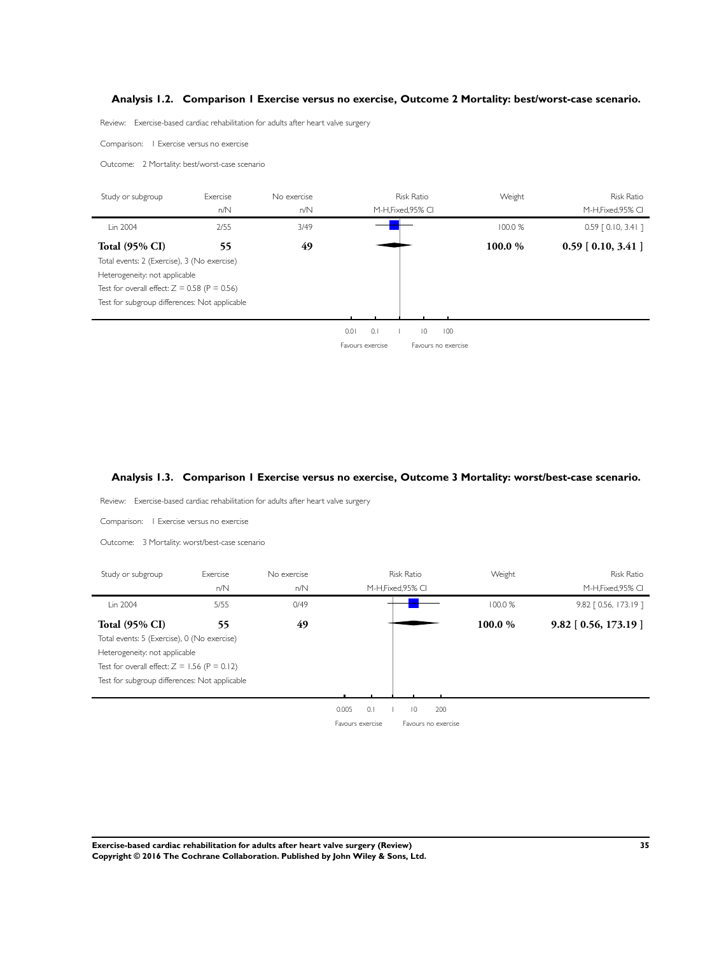# <span id="page-36-0"></span>**Analysis 1.2. Comparison 1 Exercise versus no exercise, Outcome 2 Mortality: best/worst-case scenario.**

Review: Exercise-based cardiac rehabilitation for adults after heart valve surgery

Comparison: 1 Exercise versus no exercise

j.

 $\blacksquare$ 

Ĭ.

Ĭ.

Outcome: 2 Mortality: best/worst-case scenario

| Study or subgroup                              | Exercise | No exercise |      |                  | <b>Risk Ratio</b>  |                     | Weight  | <b>Risk Ratio</b>     |
|------------------------------------------------|----------|-------------|------|------------------|--------------------|---------------------|---------|-----------------------|
|                                                | n/N      | n/N         |      |                  | M-H, Fixed, 95% CI |                     |         | M-H, Fixed, 95% CI    |
| Lin 2004                                       | 2/55     | 3/49        |      |                  |                    |                     | 100.0%  | $0.59$ $[0.10, 3.41]$ |
| <b>Total (95% CI)</b>                          | 55       | 49          |      |                  |                    |                     | 100.0 % | $0.59$ [ 0.10, 3.41 ] |
| Total events: 2 (Exercise), 3 (No exercise)    |          |             |      |                  |                    |                     |         |                       |
| Heterogeneity: not applicable                  |          |             |      |                  |                    |                     |         |                       |
| Test for overall effect: $Z = 0.58$ (P = 0.56) |          |             |      |                  |                    |                     |         |                       |
| Test for subgroup differences: Not applicable  |          |             |      |                  |                    |                     |         |                       |
|                                                |          |             |      |                  |                    |                     |         |                       |
|                                                |          |             | 0.01 | 0.1              | $\overline{0}$     | 100                 |         |                       |
|                                                |          |             |      | Favours exercise |                    | Favours no exercise |         |                       |

## **Analysis 1.3. Comparison 1 Exercise versus no exercise, Outcome 3 Mortality: worst/best-case scenario.**

Review: Exercise-based cardiac rehabilitation for adults after heart valve surgery

Comparison: 1 Exercise versus no exercise

Outcome: 3 Mortality: worst/best-case scenario

| Study or subgroup                              | Exercise | No exercise |                  | <b>Risk Ratio</b>     | Weight | <b>Risk Ratio</b>       |
|------------------------------------------------|----------|-------------|------------------|-----------------------|--------|-------------------------|
|                                                | n/N      | n/N         |                  | M-H, Fixed, 95% CI    |        | M-H, Fixed, 95% CI      |
| Lin 2004                                       | 5/55     | 0/49        |                  |                       | 100.0% | 9.82 [ 0.56, 173.19 ]   |
| <b>Total (95% CI)</b>                          | 55       | 49          |                  |                       | 100.0% | $9.82$ [ 0.56, 173.19 ] |
| Total events: 5 (Exercise), 0 (No exercise)    |          |             |                  |                       |        |                         |
| Heterogeneity: not applicable                  |          |             |                  |                       |        |                         |
| Test for overall effect: $Z = 1.56$ (P = 0.12) |          |             |                  |                       |        |                         |
| Test for subgroup differences: Not applicable  |          |             |                  |                       |        |                         |
|                                                |          |             |                  |                       |        |                         |
|                                                |          |             | 0.005<br>0.1     | 200<br>$\overline{0}$ |        |                         |
|                                                |          |             | Favours exercise | Favours no exercise   |        |                         |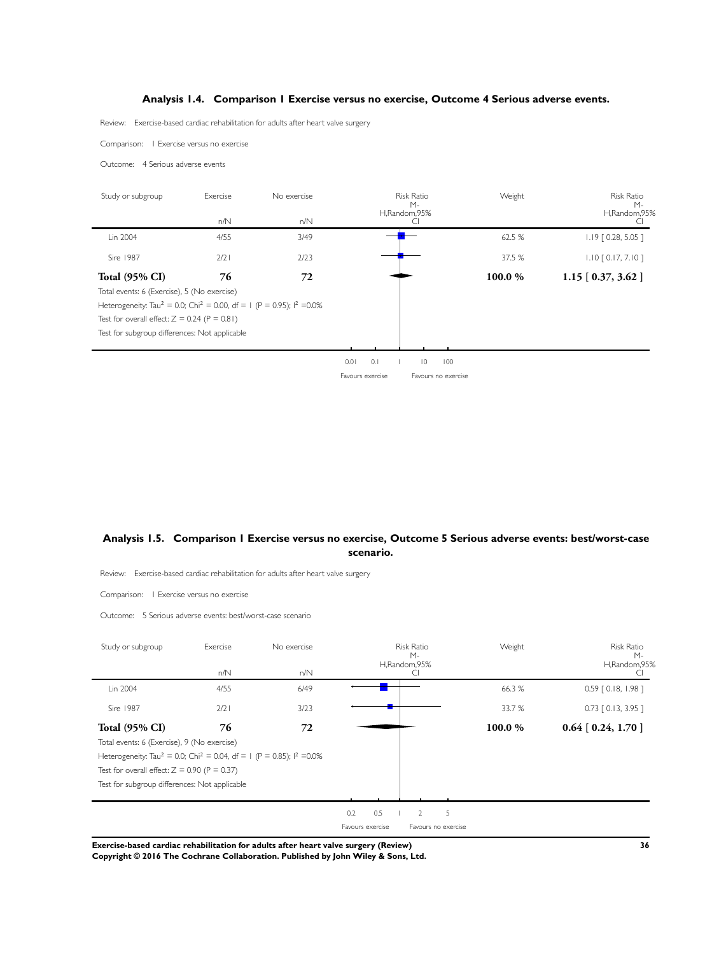# **Analysis 1.4. Comparison 1 Exercise versus no exercise, Outcome 4 Serious adverse events.**

<span id="page-37-0"></span>Review: Exercise-based cardiac rehabilitation for adults after heart valve surgery

Comparison: 1 Exercise versus no exercise

Outcome: 4 Serious adverse events

| Study or subgroup                                                                                        | Exercise | No exercise |      | <b>Risk Ratio</b><br>$M -$ |                |     | Weight | <b>Risk Ratio</b><br>$M -$ |
|----------------------------------------------------------------------------------------------------------|----------|-------------|------|----------------------------|----------------|-----|--------|----------------------------|
|                                                                                                          | n/N      | n/N         |      |                            | H,Random,95%   |     |        | H,Random,95%               |
| Lin 2004                                                                                                 | 4/55     | 3/49        |      |                            |                |     | 62.5 % | $1.19$ $[0.28, 5.05]$      |
| Sire 1987                                                                                                | 2/2      | 2/23        |      |                            |                |     | 37.5 % | $1.10$ $[0.17, 7.10]$      |
| <b>Total (95% CI)</b>                                                                                    | 76       | 72          |      |                            |                |     | 100.0% | $1.15$ [ 0.37, 3.62 ]      |
| Total events: 6 (Exercise), 5 (No exercise)                                                              |          |             |      |                            |                |     |        |                            |
| Heterogeneity: Tau <sup>2</sup> = 0.0; Chi <sup>2</sup> = 0.00, df = 1 (P = 0.95); l <sup>2</sup> = 0.0% |          |             |      |                            |                |     |        |                            |
| Test for overall effect: $Z = 0.24$ (P = 0.81)                                                           |          |             |      |                            |                |     |        |                            |
| Test for subgroup differences: Not applicable                                                            |          |             |      |                            |                |     |        |                            |
|                                                                                                          |          |             |      |                            |                |     |        |                            |
|                                                                                                          |          |             | 0.01 | 0.1                        | $\overline{0}$ | 100 |        |                            |

Favours exercise Favours no exercise

## **Analysis 1.5. Comparison 1 Exercise versus no exercise, Outcome 5 Serious adverse events: best/worst-case scenario.**

Review: Exercise-based cardiac rehabilitation for adults after heart valve surgery

Comparison: 1 Exercise versus no exercise

Outcome: 5 Serious adverse events: best/worst-case scenario

| Study or subgroup                                                                                        | Exercise | No exercise |     | <b>Risk Ratio</b><br>$M -$ |                     | Weight | Risk Ratio<br>$M -$   |
|----------------------------------------------------------------------------------------------------------|----------|-------------|-----|----------------------------|---------------------|--------|-----------------------|
|                                                                                                          | n/N      | n/N         |     | H,Random,95%<br>Ċ          |                     |        | H,Random,95%          |
| Lin 2004                                                                                                 | 4/55     | 6/49        |     |                            |                     | 66.3 % | $0.59$ $[0.18, 1.98]$ |
| Sire 1987                                                                                                | $2/2$    | 3/23        |     |                            |                     | 33.7 % | $0.73$ $[0.13, 3.95]$ |
| <b>Total (95% CI)</b>                                                                                    | 76       | 72          |     |                            |                     | 100.0% | $0.64$ [ 0.24, 1.70 ] |
| Total events: 6 (Exercise), 9 (No exercise)                                                              |          |             |     |                            |                     |        |                       |
| Heterogeneity: Tau <sup>2</sup> = 0.0; Chi <sup>2</sup> = 0.04, df = 1 (P = 0.85); l <sup>2</sup> = 0.0% |          |             |     |                            |                     |        |                       |
| Test for overall effect: $Z = 0.90$ (P = 0.37)                                                           |          |             |     |                            |                     |        |                       |
| Test for subgroup differences: Not applicable                                                            |          |             |     |                            |                     |        |                       |
|                                                                                                          |          |             |     |                            |                     |        |                       |
|                                                                                                          |          |             | 0.2 | 0.5<br>$\overline{2}$      | 5                   |        |                       |
|                                                                                                          |          |             |     | Favours exercise           | Favours no exercise |        |                       |

**Exercise-based cardiac rehabilitation for adults after heart valve surgery (Review) 36**

**Copyright © 2016 The Cochrane Collaboration. Published by John Wiley & Sons, Ltd.**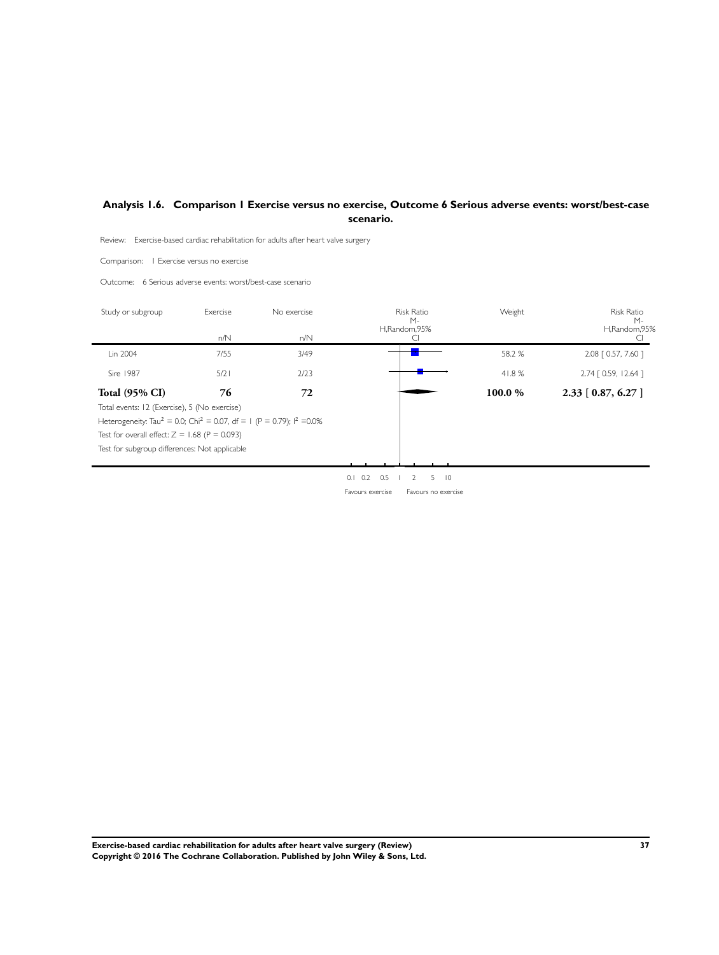# <span id="page-38-0"></span>**Analysis 1.6. Comparison 1 Exercise versus no exercise, Outcome 6 Serious adverse events: worst/best-case scenario.**

Review: Exercise-based cardiac rehabilitation for adults after heart valve surgery

Comparison: 1 Exercise versus no exercise

Outcome: 6 Serious adverse events: worst/best-case scenario

| Study or subgroup                                                                                        | Exercise | No exercise | <b>Risk Ratio</b><br>$M -$ | Weight | <b>Risk Ratio</b><br>$M -$ |
|----------------------------------------------------------------------------------------------------------|----------|-------------|----------------------------|--------|----------------------------|
|                                                                                                          | n/N      | n/N         | H,Random,95%               |        | H,Random,95%               |
| Lin 2004                                                                                                 | 7/55     | 3/49        |                            | 58.2 % | 2.08 [ 0.57, 7.60 ]        |
| Sire 1987                                                                                                | 5/2      | 2/23        |                            | 41.8%  | 2.74 [ 0.59, 12.64 ]       |
| <b>Total (95% CI)</b>                                                                                    | 76       | 72          |                            | 100.0% | $2.33$ [ 0.87, 6.27 ]      |
| Total events: 12 (Exercise), 5 (No exercise)                                                             |          |             |                            |        |                            |
| Heterogeneity: Tau <sup>2</sup> = 0.0; Chi <sup>2</sup> = 0.07, df = 1 (P = 0.79); l <sup>2</sup> = 0.0% |          |             |                            |        |                            |
| Test for overall effect: $Z = 1.68$ (P = 0.093)                                                          |          |             |                            |        |                            |
| Test for subgroup differences: Not applicable                                                            |          |             |                            |        |                            |
|                                                                                                          |          |             |                            |        |                            |

0.1 0.2 0.5 1 2 5 10 Favours exercise Favours no exercise

**Exercise-based cardiac rehabilitation for adults after heart valve surgery (Review) 37 Copyright © 2016 The Cochrane Collaboration. Published by John Wiley & Sons, Ltd.**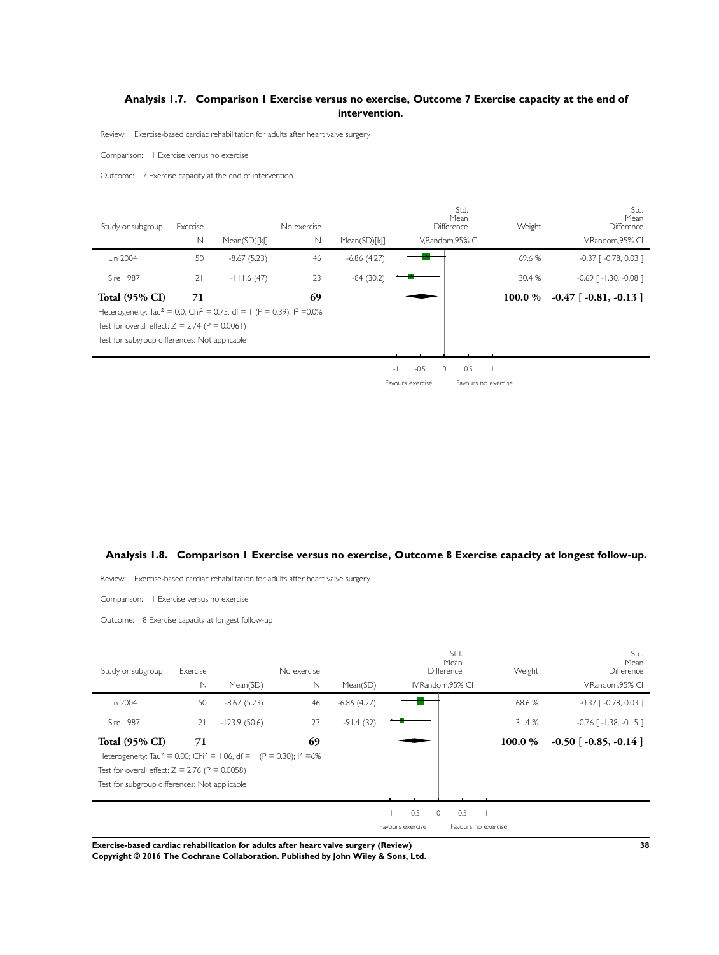# <span id="page-39-0"></span>**Analysis 1.7. Comparison 1 Exercise versus no exercise, Outcome 7 Exercise capacity at the end of intervention.**

Review: Exercise-based cardiac rehabilitation for adults after heart valve surgery

Comparison: 1 Exercise versus no exercise

Outcome: 7 Exercise capacity at the end of intervention

| Study or subgroup                                                                                        | Exercise    | No exercise   |             |               |                | Std.<br>Mean<br>Difference |           | Std.<br>Mean<br>Difference           |
|----------------------------------------------------------------------------------------------------------|-------------|---------------|-------------|---------------|----------------|----------------------------|-----------|--------------------------------------|
|                                                                                                          | $\mathbb N$ | Mean(SD)[k]]  | $\mathbb N$ | Mean(SD)[k]]  |                | IV.Random.95% CI           |           | IV.Random.95% CI                     |
| Lin 2004                                                                                                 | 50          | $-8.67(5.23)$ | 46          | $-6.86(4.27)$ |                |                            | 69.6 %    | $-0.37$ [ $-0.78$ , 0.03 ]           |
| Sire 1987                                                                                                | 21          | $-111.6(47)$  | 23          | $-84(30.2)$   |                |                            | 30.4 %    | $-0.69$ $\lceil -1.30, -0.08 \rceil$ |
| <b>Total (95% CI)</b>                                                                                    | 71          |               | 69          |               |                |                            | 100.0 $%$ | $-0.47$ [ $-0.81, -0.13$ ]           |
| Heterogeneity: Tau <sup>2</sup> = 0.0; Chi <sup>2</sup> = 0.73, df = 1 (P = 0.39); l <sup>2</sup> = 0.0% |             |               |             |               |                |                            |           |                                      |
| Test for overall effect: $Z = 2.74$ (P = 0.0061)                                                         |             |               |             |               |                |                            |           |                                      |
| Test for subgroup differences: Not applicable                                                            |             |               |             |               |                |                            |           |                                      |
|                                                                                                          |             |               |             |               |                |                            |           |                                      |
|                                                                                                          |             |               |             |               | $-0.5$<br>$-1$ | 0.5<br>$\Omega$            |           |                                      |

Favours exercise Favours no exercise

# **Analysis 1.8. Comparison 1 Exercise versus no exercise, Outcome 8 Exercise capacity at longest follow-up.**

Review: Exercise-based cardiac rehabilitation for adults after heart valve surgery

Comparison: 1 Exercise versus no exercise

Outcome: 8 Exercise capacity at longest follow-up

| Study or subgroup                                                                                                                                                                                                                    | Exercise    |                | No exercise |               |                                                                   | Std.<br>Mean<br>Difference | Weight  | Std.<br>Mean<br>Difference          |
|--------------------------------------------------------------------------------------------------------------------------------------------------------------------------------------------------------------------------------------|-------------|----------------|-------------|---------------|-------------------------------------------------------------------|----------------------------|---------|-------------------------------------|
|                                                                                                                                                                                                                                      | $\mathbb N$ | Mean(SD)       | $\mathbb N$ | Mean(SD)      |                                                                   | IV, Random, 95% CI         |         | IV, Random, 95% CI                  |
| Lin 2004                                                                                                                                                                                                                             | 50          | $-8.67(5.23)$  | 46          | $-6.86(4.27)$ |                                                                   |                            | 68.6%   | $-0.37$ $\lceil -0.78, 0.03 \rceil$ |
| Sire 1987                                                                                                                                                                                                                            | 21          | $-123.9(50.6)$ | 23          | $-91.4(32)$   |                                                                   |                            | 31.4%   | $-0.76$ [ $-1.38$ , $-0.15$ ]       |
| <b>Total (95% CI)</b><br>Heterogeneity: Tau <sup>2</sup> = 0.00; Chi <sup>2</sup> = 1.06, df = 1 (P = 0.30); l <sup>2</sup> =6%<br>Test for overall effect: $Z = 2.76$ (P = 0.0058)<br>Test for subgroup differences: Not applicable | 71          |                | 69          |               |                                                                   |                            | 100.0 % | $-0.50$ [ $-0.85$ , $-0.14$ ]       |
|                                                                                                                                                                                                                                      |             |                |             |               | $-0.5$<br>$\circ$<br>$\overline{\phantom{a}}$<br>Favours exercise | 0.5<br>Favours no exercise |         |                                     |

**Exercise-based cardiac rehabilitation for adults after heart valve surgery (Review) 38**

**Copyright © 2016 The Cochrane Collaboration. Published by John Wiley & Sons, Ltd.**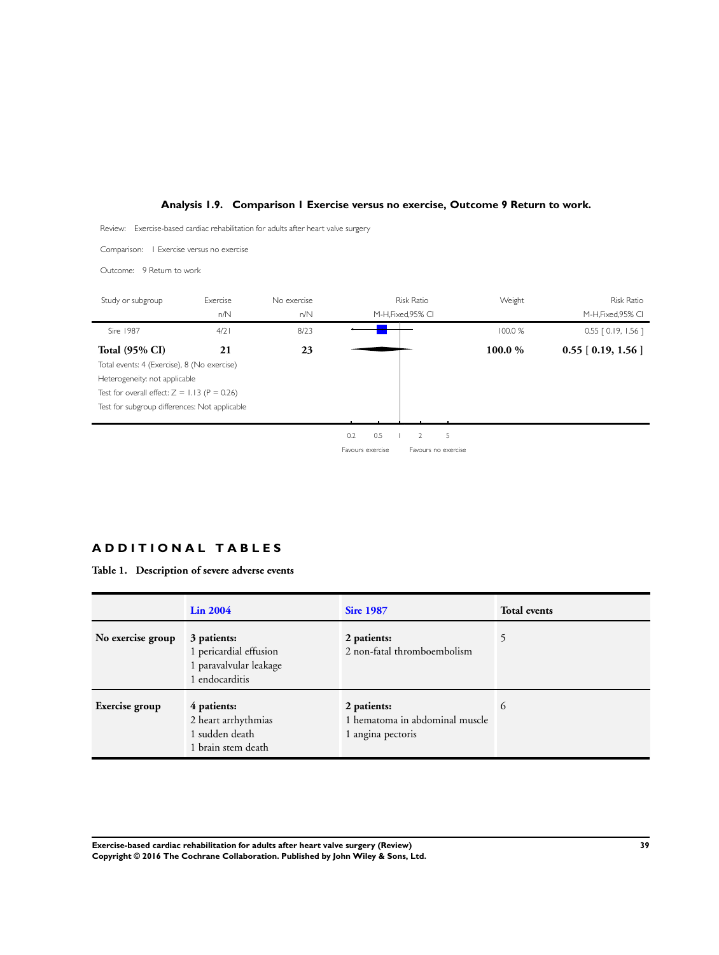# **Analysis 1.9. Comparison 1 Exercise versus no exercise, Outcome 9 Return to work.**

<span id="page-40-0"></span>Review: Exercise-based cardiac rehabilitation for adults after heart valve surgery

Comparison: 1 Exercise versus no exercise



# **A D D I T I O N A L T A B L E S**

**Table 1. Description of severe adverse events**

|                   | Lin 2004                                                                          | <b>Sire 1987</b>                                                   | <b>Total events</b> |
|-------------------|-----------------------------------------------------------------------------------|--------------------------------------------------------------------|---------------------|
| No exercise group | 3 patients:<br>1 pericardial effusion<br>1 paravalvular leakage<br>1 endocarditis | 2 patients:<br>2 non-fatal thromboembolism                         | 5                   |
| Exercise group    | 4 patients:<br>2 heart arrhythmias<br>1 sudden death<br>1 brain stem death        | 2 patients:<br>1 hematoma in abdominal muscle<br>1 angina pectoris | 6                   |

**Exercise-based cardiac rehabilitation for adults after heart valve surgery (Review) 39 Copyright © 2016 The Cochrane Collaboration. Published by John Wiley & Sons, Ltd.**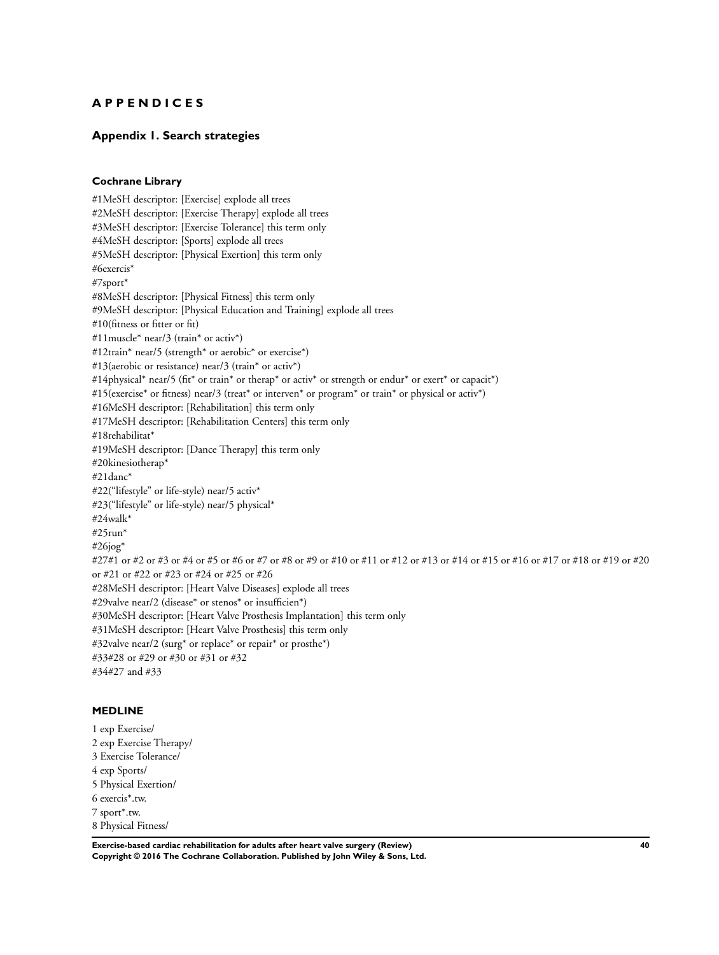# <span id="page-41-0"></span>**A P P E N D I C E S**

# **Appendix 1. Search strategies**

## **Cochrane Library**

#1MeSH descriptor: [Exercise] explode all trees #2MeSH descriptor: [Exercise Therapy] explode all trees #3MeSH descriptor: [Exercise Tolerance] this term only #4MeSH descriptor: [Sports] explode all trees #5MeSH descriptor: [Physical Exertion] this term only #6exercis\* #7sport\* #8MeSH descriptor: [Physical Fitness] this term only #9MeSH descriptor: [Physical Education and Training] explode all trees #10(fitness or fitter or fit) #11muscle\* near/3 (train\* or activ\*) #12train\* near/5 (strength\* or aerobic\* or exercise\*) #13(aerobic or resistance) near/3 (train\* or activ\*) #14physical\* near/5 (fit\* or train\* or therap\* or activ\* or strength or endur\* or exert\* or capacit\*) #15(exercise\* or fitness) near/3 (treat\* or interven\* or program\* or train\* or physical or activ\*) #16MeSH descriptor: [Rehabilitation] this term only #17MeSH descriptor: [Rehabilitation Centers] this term only #18rehabilitat\* #19MeSH descriptor: [Dance Therapy] this term only #20kinesiotherap\*  $#21$ danc<sup>\*</sup> #22("lifestyle" or life-style) near/5 activ\* #23("lifestyle" or life-style) near/5 physical\* #24walk\* #25run\*  $#26jog*$ #27#1 or #2 or #3 or #4 or #5 or #6 or #7 or #8 or #9 or #10 or #11 or #12 or #13 or #14 or #15 or #10 or #10 or #19 or #20 or #21 or #22 or #23 or #24 or #25 or #26 #28MeSH descriptor: [Heart Valve Diseases] explode all trees #29valve near/2 (disease\* or stenos\* or insufficien\*) #30MeSH descriptor: [Heart Valve Prosthesis Implantation] this term only #31MeSH descriptor: [Heart Valve Prosthesis] this term only #32valve near/2 (surg\* or replace\* or repair\* or prosthe\*) #33#28 or #29 or #30 or #31 or #32 #34#27 and #33

# **MEDLINE**

1 exp Exercise/ 2 exp Exercise Therapy/ 3 Exercise Tolerance/ 4 exp Sports/ 5 Physical Exertion/ 6 exercis\*.tw. 7 sport\*.tw. 8 Physical Fitness/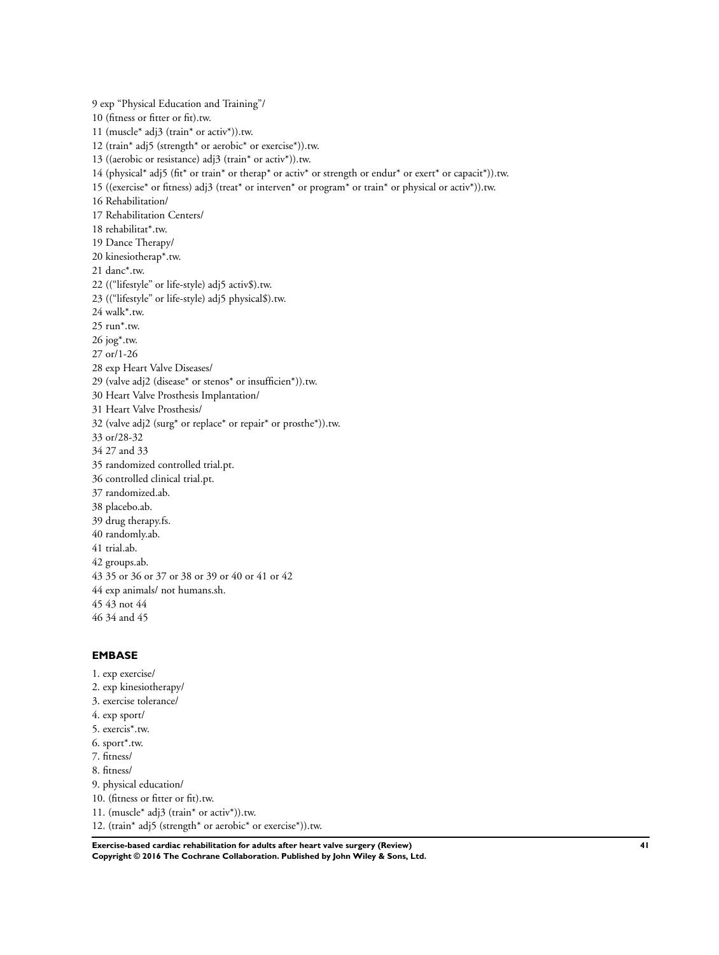9 exp "Physical Education and Training"/ 10 (fitness or fitter or fit).tw. 11 (muscle\* adj3 (train\* or activ\*)).tw. 12 (train\* adj5 (strength\* or aerobic\* or exercise\*)).tw. 13 ((aerobic or resistance) adj3 (train\* or activ\*)).tw. 14 (physical\* adj5 (fit\* or train\* or therap\* or activ\* or strength or endur\* or exert\* or capacit\*)).tw. 15 ((exercise\* or fitness) adj3 (treat\* or interven\* or program\* or train\* or physical or activ\*)).tw. 16 Rehabilitation/ 17 Rehabilitation Centers/ 18 rehabilitat\*.tw. 19 Dance Therapy/ 20 kinesiotherap\*.tw. 21 danc\*.tw. 22 (("lifestyle" or life-style) adj5 activ\$).tw. 23 (("lifestyle" or life-style) adj5 physical\$).tw. 24 walk\*.tw. 25 run\*.tw. 26 jog\*.tw. 27 or/1-26 28 exp Heart Valve Diseases/ 29 (valve adj2 (disease\* or stenos\* or insufficien\*)).tw. 30 Heart Valve Prosthesis Implantation/ 31 Heart Valve Prosthesis/ 32 (valve adj2 (surg\* or replace\* or repair\* or prosthe\*)).tw. 33 or/28-32 34 27 and 33 35 randomized controlled trial.pt. 36 controlled clinical trial.pt. 37 randomized.ab. 38 placebo.ab. 39 drug therapy.fs. 40 randomly.ab. 41 trial.ab. 42 groups.ab. 43 35 or 36 or 37 or 38 or 39 or 40 or 41 or 42 44 exp animals/ not humans.sh. 45 43 not 44 46 34 and 45

# **EMBASE**

1. exp exercise/ 2. exp kinesiotherapy/ 3. exercise tolerance/ 4. exp sport/ 5. exercis\*.tw. 6. sport\*.tw. 7. fitness/ 8. fitness/ 9. physical education/ 10. (fitness or fitter or fit).tw. 11. (muscle\* adj3 (train\* or activ\*)).tw. 12. (train\* adj5 (strength\* or aerobic\* or exercise\*)).tw.

**Exercise-based cardiac rehabilitation for adults after heart valve surgery (Review) 41 Copyright © 2016 The Cochrane Collaboration. Published by John Wiley & Sons, Ltd.**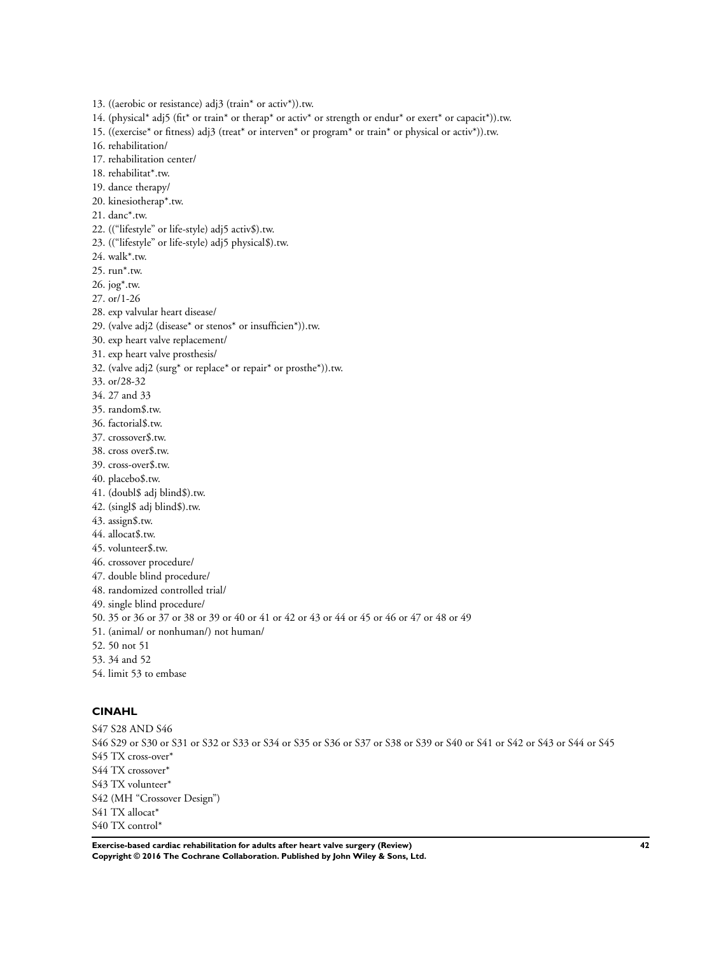13. ((aerobic or resistance) adj3 (train\* or activ\*)).tw.

14. (physical\* adj5 (fit\* or train\* or therap\* or activ\* or strength or endur\* or exert\* or capacit\*)).tw.

15. ((exercise\* or fitness) adj3 (treat\* or interven\* or program\* or train\* or physical or activ\*)).tw.

16. rehabilitation/

17. rehabilitation center/

18. rehabilitat\*.tw.

19. dance therapy/

20. kinesiotherap\*.tw.

21. danc\*.tw.

22. (("lifestyle" or life-style) adj5 activ\$).tw.

23. (("lifestyle" or life-style) adj5 physical\$).tw.

24. walk\*.tw.

25. run\*.tw.

26. jog\*.tw.

27. or/1-26

28. exp valvular heart disease/

29. (valve adj2 (disease\* or stenos\* or insufficien\*)).tw.

30. exp heart valve replacement/

31. exp heart valve prosthesis/

32. (valve adj2 (surg\* or replace\* or repair\* or prosthe\*)).tw.

33. or/28-32

34. 27 and 33

35. random\$.tw.

36. factorial\$.tw.

37. crossover\$.tw.

38. cross over\$.tw.

39. cross-over\$.tw.

40. placebo\$.tw.

41. (doubl\$ adj blind\$).tw.

42. (singl\$ adj blind\$).tw.

43. assign\$.tw.

44. allocat\$.tw.

45. volunteer\$.tw.

46. crossover procedure/

47. double blind procedure/

48. randomized controlled trial/

49. single blind procedure/

50. 35 or 36 or 37 or 38 or 39 or 40 or 41 or 42 or 43 or 44 or 45 or 46 or 47 or 48 or 49

51. (animal/ or nonhuman/) not human/

52. 50 not 51

53. 34 and 52

54. limit 53 to embase

# **CINAHL**

S47 S28 AND S46 S46 S29 or S30 or S31 or S32 or S33 or S34 or S35 or S36 or S37 or S38 or S39 or S40 or S41 or S42 or S43 or S44 or S45 S45 TX cross-over\* S44 TX crossover\* S43 TX volunteer\* S42 (MH "Crossover Design") S41 TX allocat\* S40 TX control\*

**Exercise-based cardiac rehabilitation for adults after heart valve surgery (Review) 42 Copyright © 2016 The Cochrane Collaboration. Published by John Wiley & Sons, Ltd.**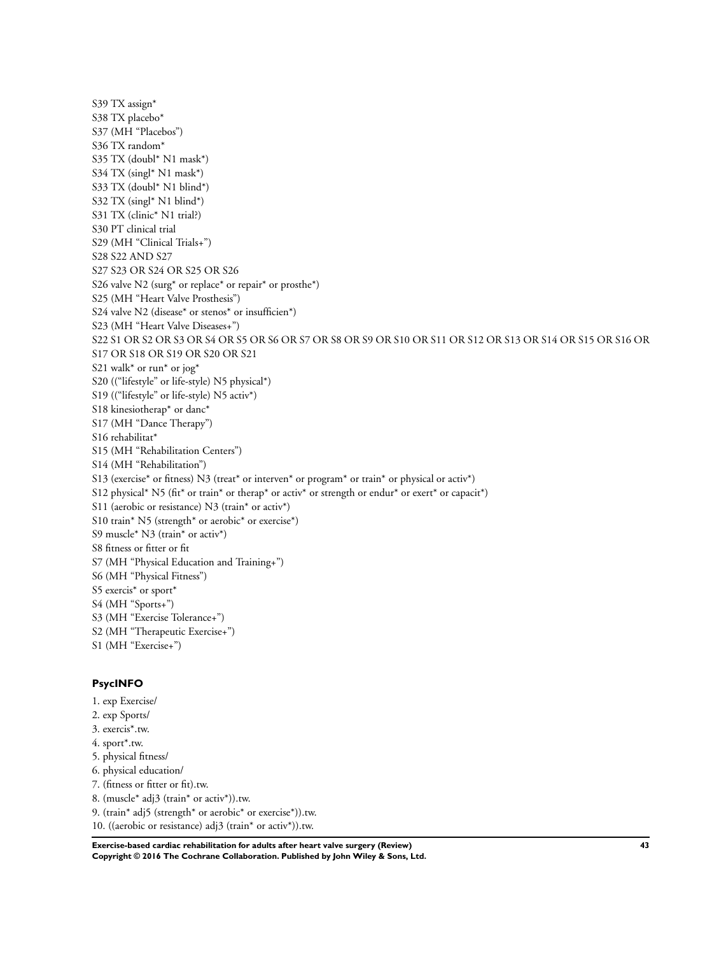S39 TX assign\* S38 TX placebo\* S37 (MH "Placebos") S36 TX random\* S35 TX (doubl\* N1 mask\*) S34 TX (singl\* N1 mask\*) S33 TX (doubl\* N1 blind\*) S32 TX (singl\* N1 blind\*) S31 TX (clinic\* N1 trial?) S30 PT clinical trial S29 (MH "Clinical Trials+") S28 S22 AND S27 S27 S23 OR S24 OR S25 OR S26 S26 valve N2 (surg\* or replace\* or repair\* or prosthe\*) S25 (MH "Heart Valve Prosthesis") S24 valve N2 (disease\* or stenos\* or insufficien\*) S23 (MH "Heart Valve Diseases+") S22 S1 OR S2 OR S3 OR S4 OR S5 OR S6 OR S7 OR S8 OR S9 OR S10 OR S11 OR S12 OR S13 OR S14 OR S15 OR S16 OR S17 OR S18 OR S19 OR S20 OR S21 S21 walk\* or run\* or jog\* S20 (("lifestyle" or life-style) N5 physical\*) S19 (("lifestyle" or life-style) N5 activ\*) S18 kinesiotherap\* or danc\* S17 (MH "Dance Therapy") S16 rehabilitat\* S15 (MH "Rehabilitation Centers") S14 (MH "Rehabilitation") S13 (exercise\* or fitness) N3 (treat\* or interven\* or program\* or train\* or physical or activ\*) S12 physical\* N5 (fit\* or train\* or therap\* or activ\* or strength or endur\* or exert\* or capacit\*) S11 (aerobic or resistance) N3 (train\* or activ\*) S10 train\* N5 (strength\* or aerobic\* or exercise\*) S9 muscle\* N3 (train\* or activ\*) S8 fitness or fitter or fit S7 (MH "Physical Education and Training+") S6 (MH "Physical Fitness") S5 exercis\* or sport\* S4 (MH "Sports+") S3 (MH "Exercise Tolerance+") S2 (MH "Therapeutic Exercise+") S1 (MH "Exercise+")

## **PsycINFO**

- 1. exp Exercise/
- 2. exp Sports/
- 3. exercis\*.tw.
- 4. sport\*.tw.
- 5. physical fitness/
- 6. physical education/
- 7. (fitness or fitter or fit).tw.
- 8. (muscle\* adj3 (train\* or activ\*)).tw.
- 9. (train\* adj5 (strength\* or aerobic\* or exercise\*)).tw.
- 10. ((aerobic or resistance) adj3 (train\* or activ\*)).tw.

**Exercise-based cardiac rehabilitation for adults after heart valve surgery (Review) 43 Copyright © 2016 The Cochrane Collaboration. Published by John Wiley & Sons, Ltd.**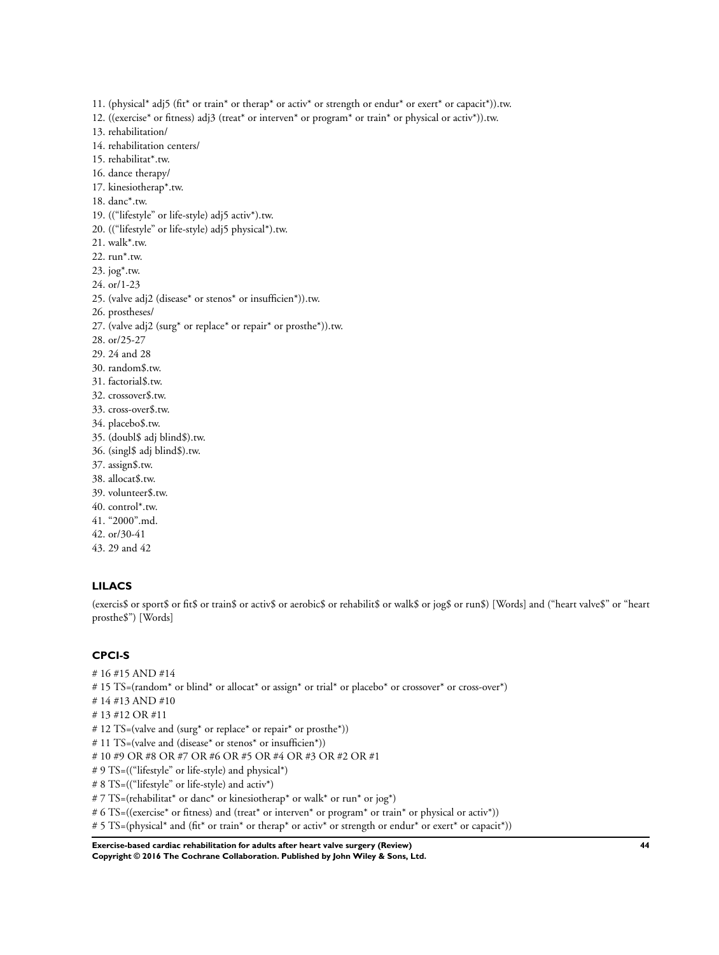11. (physical\* adj5 (fit\* or train\* or therap\* or activ\* or strength or endur\* or exert\* or capacit\*)).tw. 12. ((exercise\* or fitness) adj3 (treat\* or interven\* or program\* or train\* or physical or activ\*)).tw.

- 13. rehabilitation/
- 14. rehabilitation centers/
- 15. rehabilitat\*.tw.
- 16. dance therapy/
- 17. kinesiotherap\*.tw.
- 18. danc\*.tw.
- 19. (("lifestyle" or life-style) adj5 activ\*).tw.
- 20. (("lifestyle" or life-style) adj5 physical\*).tw.
- 21. walk\*.tw.
- 22. run\*.tw.
- 23. jog\*.tw.
- 24. or/1-23
- 25. (valve adj2 (disease\* or stenos\* or insufficien\*)).tw.
- 26. prostheses/
- 27. (valve adj2 (surg\* or replace\* or repair\* or prosthe\*)).tw.
- 28. or/25-27
- 29. 24 and 28
- 30. random\$.tw.
- 31. factorial\$.tw.
- 32. crossover\$.tw.
- 33. cross-over\$.tw.
- 34. placebo\$.tw.
- 35. (doubl\$ adj blind\$).tw.
- 36. (singl\$ adj blind\$).tw.
- 37. assign\$.tw.
- 38. allocat\$.tw.
- 39. volunteer\$.tw.
- 40. control\*.tw.
- 41. "2000".md.
- 42. or/30-41
- 43. 29 and 42

# **LILACS**

(exercis\$ or sport\$ or fit\$ or train\$ or activ\$ or aerobic\$ or rehabilit\$ or walk\$ or jog\$ or run\$) [Words] and ("heart valve\$" or "heart prosthe\$") [Words]

## **CPCI-S**

- # 16 #15 AND #14
- # 15 TS=(random\* or blind\* or allocat\* or assign\* or trial\* or placebo\* or crossover\* or cross-over\*)
- # 14 #13 AND #10
- # 13 #12 OR #11
- # 12 TS=(valve and (surg\* or replace\* or repair\* or prosthe\*))
- # 11 TS=(valve and (disease\* or stenos\* or insufficien\*))
- # 10 #9 OR #8 OR #7 OR #6 OR #5 OR #4 OR #3 OR #2 OR #1
- # 9 TS=(("lifestyle" or life-style) and physical\*)
- # 8 TS=(("lifestyle" or life-style) and activ\*)
- # 7 TS=(rehabilitat\* or danc\* or kinesiotherap\* or walk\* or run\* or jog\*)
- # 6 TS=((exercise\* or fitness) and (treat\* or interven\* or program\* or train\* or physical or activ\*))
- # 5 TS=(physical\* and (fit\* or train\* or therap\* or activ\* or strength or endur\* or exert\* or capacit\*))

### **Exercise-based cardiac rehabilitation for adults after heart valve surgery (Review) 44 Copyright © 2016 The Cochrane Collaboration. Published by John Wiley & Sons, Ltd.**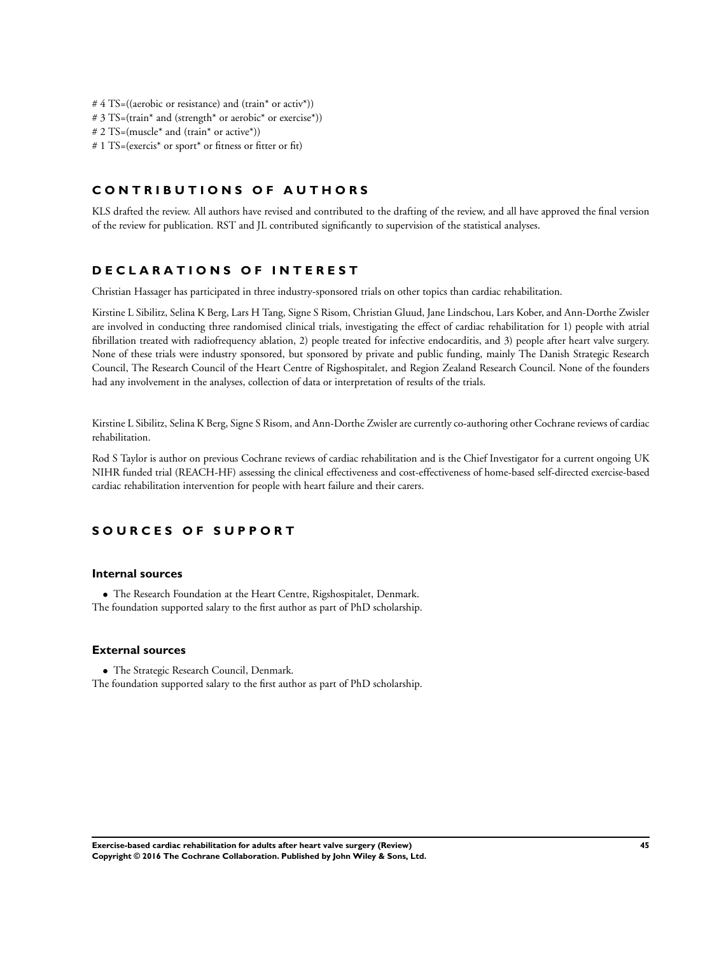- # 4 TS=((aerobic or resistance) and (train\* or activ\*))
- # 3 TS=(train\* and (strength\* or aerobic\* or exercise\*))
- # 2 TS=(muscle\* and (train\* or active\*))
- # 1 TS=(exercis\* or sport\* or fitness or fitter or fit)

# **C O N T R I B U T I O N S O F A U T H O R S**

KLS drafted the review. All authors have revised and contributed to the drafting of the review, and all have approved the final version of the review for publication. RST and JL contributed significantly to supervision of the statistical analyses.

# **D E C L A R A T I O N S O F I N T E R E S T**

Christian Hassager has participated in three industry-sponsored trials on other topics than cardiac rehabilitation.

Kirstine L Sibilitz, Selina K Berg, Lars H Tang, Signe S Risom, Christian Gluud, Jane Lindschou, Lars Kober, and Ann-Dorthe Zwisler are involved in conducting three randomised clinical trials, investigating the effect of cardiac rehabilitation for 1) people with atrial fibrillation treated with radiofrequency ablation, 2) people treated for infective endocarditis, and 3) people after heart valve surgery. None of these trials were industry sponsored, but sponsored by private and public funding, mainly The Danish Strategic Research Council, The Research Council of the Heart Centre of Rigshospitalet, and Region Zealand Research Council. None of the founders had any involvement in the analyses, collection of data or interpretation of results of the trials.

Kirstine L Sibilitz, Selina K Berg, Signe S Risom, and Ann-Dorthe Zwisler are currently co-authoring other Cochrane reviews of cardiac rehabilitation.

Rod S Taylor is author on previous Cochrane reviews of cardiac rehabilitation and is the Chief Investigator for a current ongoing UK NIHR funded trial (REACH-HF) assessing the clinical effectiveness and cost-effectiveness of home-based self-directed exercise-based cardiac rehabilitation intervention for people with heart failure and their carers.

# **S O U R C E S O F S U P P O R T**

# **Internal sources**

• The Research Foundation at the Heart Centre, Rigshospitalet, Denmark. The foundation supported salary to the first author as part of PhD scholarship.

## **External sources**

• The Strategic Research Council, Denmark. The foundation supported salary to the first author as part of PhD scholarship.